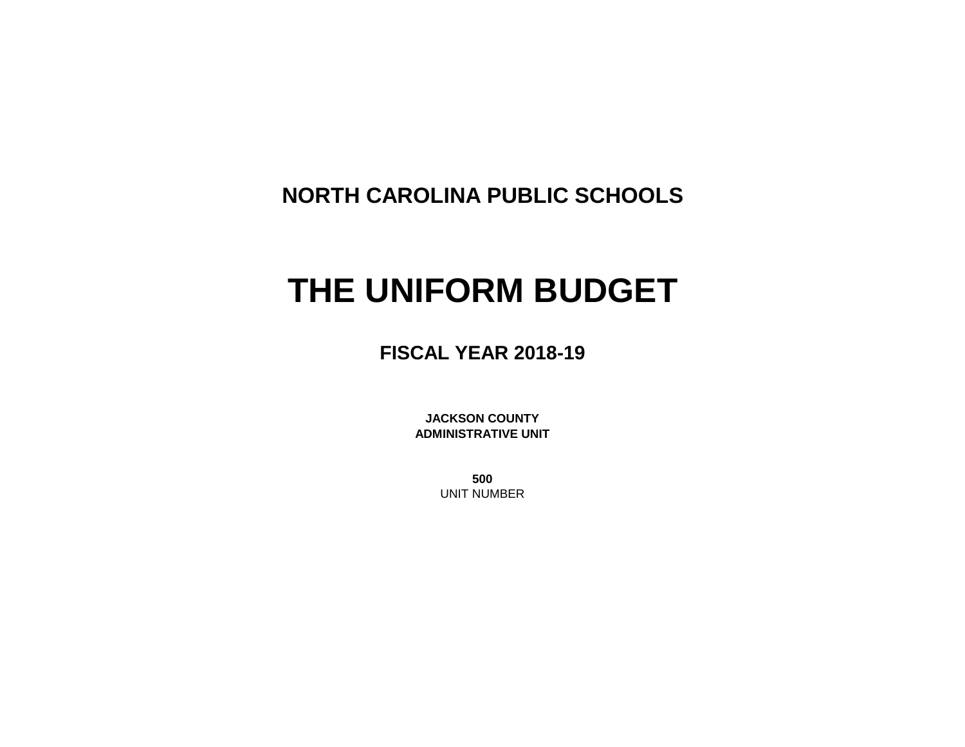**NORTH CAROLINA PUBLIC SCHOOLS**

# **THE UNIFORM BUDGET**

**FISCAL YEAR 2018-19**

**JACKSON COUNTY ADMINISTRATIVE UNIT**

> **500** UNIT NUMBER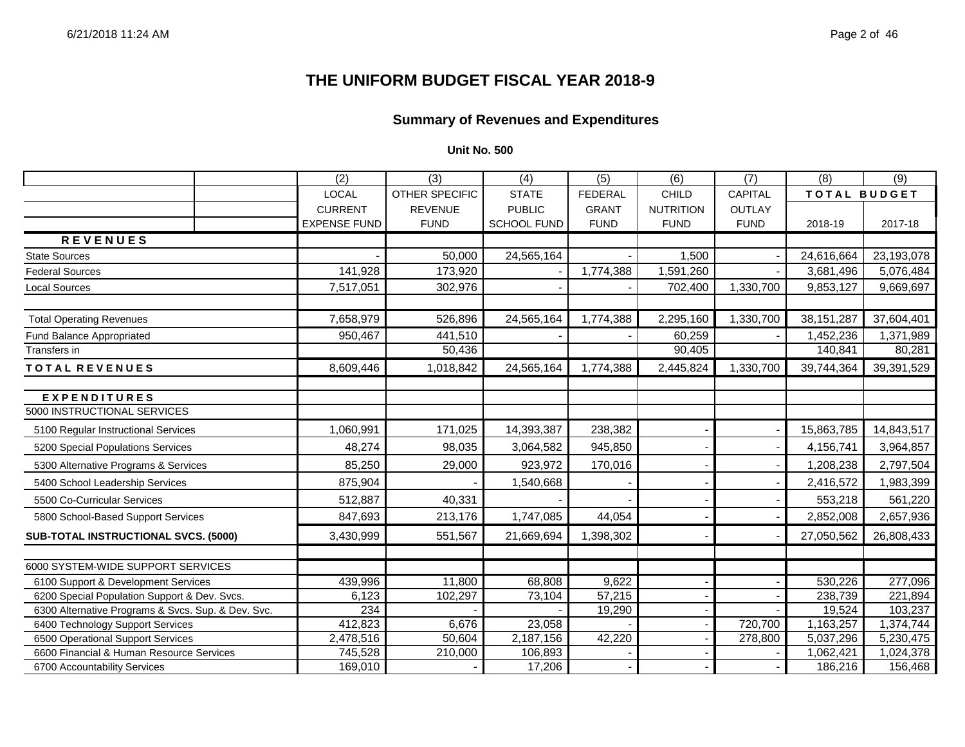#### **THE UNIFORM BUDGET FISCAL YEAR 2018-9**

#### **Summary of Revenues and Expenditures**

|                                                    | (2)                 | (3)            | (4)                | (5)            | (6)              | (7)            | (8)          | (9)        |
|----------------------------------------------------|---------------------|----------------|--------------------|----------------|------------------|----------------|--------------|------------|
|                                                    | LOCAL               | OTHER SPECIFIC | <b>STATE</b>       | <b>FEDERAL</b> | <b>CHILD</b>     | <b>CAPITAL</b> | TOTAL BUDGET |            |
|                                                    | <b>CURRENT</b>      | <b>REVENUE</b> | <b>PUBLIC</b>      | <b>GRANT</b>   | <b>NUTRITION</b> | <b>OUTLAY</b>  |              |            |
|                                                    | <b>EXPENSE FUND</b> | <b>FUND</b>    | <b>SCHOOL FUND</b> | <b>FUND</b>    | <b>FUND</b>      | <b>FUND</b>    | 2018-19      | 2017-18    |
| <b>REVENUES</b>                                    |                     |                |                    |                |                  |                |              |            |
| <b>State Sources</b>                               |                     | 50,000         | 24,565,164         |                | 1,500            |                | 24,616,664   | 23,193,078 |
| <b>Federal Sources</b>                             | 141,928             | 173,920        |                    | 1,774,388      | 1,591,260        |                | 3,681,496    | 5,076,484  |
| <b>Local Sources</b>                               | 7,517,051           | 302,976        |                    |                | 702,400          | 1,330,700      | 9,853,127    | 9,669,697  |
| <b>Total Operating Revenues</b>                    | 7,658,979           | 526,896        | 24,565,164         | 1,774,388      | 2,295,160        | 1,330,700      | 38, 151, 287 | 37,604,401 |
| Fund Balance Appropriated                          | 950,467             | 441,510        |                    |                | 60,259           |                | 1,452,236    | 1,371,989  |
| Transfers in                                       |                     | 50,436         |                    |                | 90,405           |                | 140,841      | 80,281     |
| TOTAL REVENUES                                     | 8,609,446           | 1,018,842      | 24,565,164         | 1,774,388      | 2,445,824        | 1,330,700      | 39,744,364   | 39,391,529 |
| <b>EXPENDITURES</b>                                |                     |                |                    |                |                  |                |              |            |
| 5000 INSTRUCTIONAL SERVICES                        |                     |                |                    |                |                  |                |              |            |
| 5100 Regular Instructional Services                | 1,060,991           | 171,025        | 14,393,387         | 238,382        |                  |                | 15,863,785   | 14,843,517 |
| 5200 Special Populations Services                  | 48,274              | 98,035         | 3,064,582          | 945,850        |                  |                | 4,156,741    | 3,964,857  |
| 5300 Alternative Programs & Services               | 85,250              | 29,000         | 923,972            | 170,016        |                  |                | 1,208,238    | 2,797,504  |
| 5400 School Leadership Services                    | 875,904             |                | 1,540,668          |                |                  |                | 2,416,572    | 1,983,399  |
| 5500 Co-Curricular Services                        | 512,887             | 40,331         |                    |                |                  |                | 553,218      | 561,220    |
| 5800 School-Based Support Services                 | 847,693             | 213,176        | 1,747,085          | 44,054         |                  |                | 2,852,008    | 2,657,936  |
| SUB-TOTAL INSTRUCTIONAL SVCS. (5000)               | 3,430,999           | 551,567        | 21,669,694         | 1,398,302      |                  |                | 27,050,562   | 26,808,433 |
| 6000 SYSTEM-WIDE SUPPORT SERVICES                  |                     |                |                    |                |                  |                |              |            |
| 6100 Support & Development Services                | 439,996             | 11,800         | 68,808             | 9,622          |                  |                | 530,226      | 277,096    |
| 6200 Special Population Support & Dev. Svcs.       | 6,123               | 102,297        | 73,104             | 57,215         |                  |                | 238,739      | 221,894    |
| 6300 Alternative Programs & Svcs. Sup. & Dev. Svc. | 234                 |                |                    | 19,290         |                  |                | 19,524       | 103,237    |
| 6400 Technology Support Services                   | 412,823             | 6,676          | 23,058             |                |                  | 720,700        | 1,163,257    | 1,374,744  |
| 6500 Operational Support Services                  | 2,478,516           | 50,604         | 2,187,156          | 42,220         |                  | 278,800        | 5,037,296    | 5,230,475  |
| 6600 Financial & Human Resource Services           | 745,528             | 210,000        | 106,893            |                |                  |                | 1,062,421    | 1,024,378  |
| 6700 Accountability Services                       | 169,010             |                | 17,206             |                |                  |                | 186,216      | 156,468    |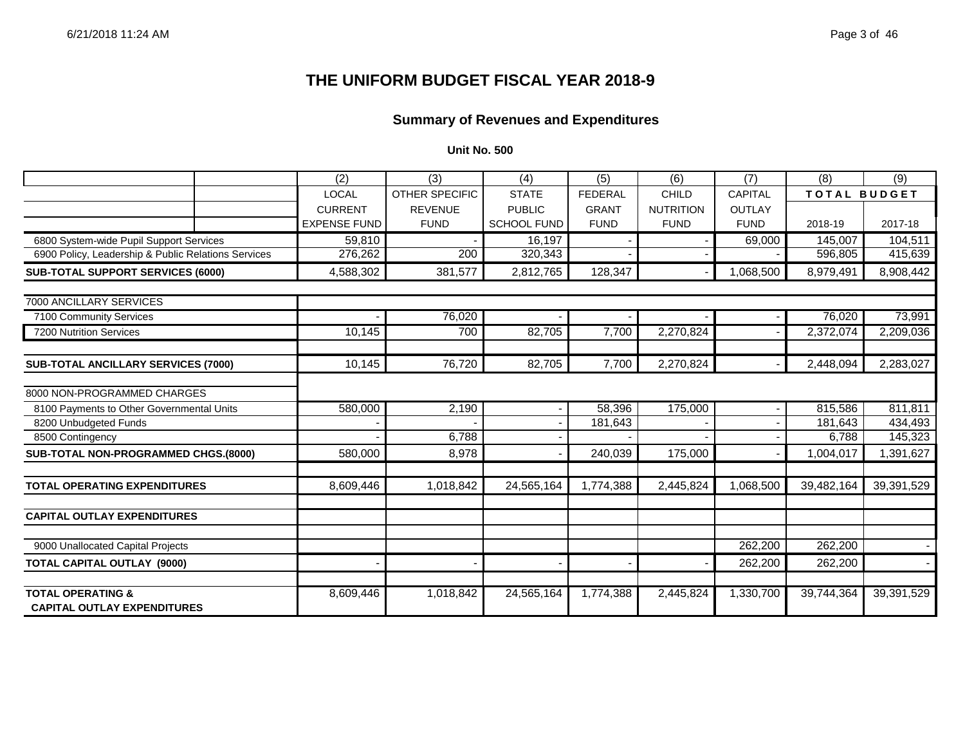#### **THE UNIFORM BUDGET FISCAL YEAR 2018-9**

#### **Summary of Revenues and Expenditures**

|                                                                    | $\overline{(2)}$    | $\overline{(3)}$      | (4)                | (5)            | (6)              | (7)            | (8)                 | (9)        |
|--------------------------------------------------------------------|---------------------|-----------------------|--------------------|----------------|------------------|----------------|---------------------|------------|
|                                                                    | <b>LOCAL</b>        | <b>OTHER SPECIFIC</b> | <b>STATE</b>       | <b>FEDERAL</b> | CHILD            | <b>CAPITAL</b> | <b>TOTAL BUDGET</b> |            |
|                                                                    | <b>CURRENT</b>      | <b>REVENUE</b>        | <b>PUBLIC</b>      | <b>GRANT</b>   | <b>NUTRITION</b> | <b>OUTLAY</b>  |                     |            |
|                                                                    | <b>EXPENSE FUND</b> | <b>FUND</b>           | <b>SCHOOL FUND</b> | <b>FUND</b>    | <b>FUND</b>      | <b>FUND</b>    | 2018-19             | 2017-18    |
| 6800 System-wide Pupil Support Services                            | 59,810              |                       | 16,197             |                |                  | 69,000         | 145,007             | 104,511    |
| 6900 Policy, Leadership & Public Relations Services                | 276,262             | 200                   | 320,343            |                |                  |                | 596,805             | 415,639    |
| SUB-TOTAL SUPPORT SERVICES (6000)                                  | 4,588,302           | 381,577               | 2,812,765          | 128,347        |                  | 1,068,500      | 8,979,491           | 8,908,442  |
| 7000 ANCILLARY SERVICES                                            |                     |                       |                    |                |                  |                |                     |            |
| 7100 Community Services                                            |                     | 76,020                |                    |                |                  |                | 76,020              | 73,991     |
| 7200 Nutrition Services                                            | 10,145              | 700                   | 82,705             | 7,700          | 2,270,824        |                | 2,372,074           | 2,209,036  |
|                                                                    |                     |                       |                    |                |                  |                |                     |            |
| <b>SUB-TOTAL ANCILLARY SERVICES (7000)</b>                         | 10,145              | 76,720                | 82,705             | 7,700          | 2,270,824        |                | 2,448,094           | 2,283,027  |
| 8000 NON-PROGRAMMED CHARGES                                        |                     |                       |                    |                |                  |                |                     |            |
| 8100 Payments to Other Governmental Units                          | 580,000             | 2,190                 |                    | 58,396         | 175,000          |                | 815,586             | 811,811    |
| 8200 Unbudgeted Funds                                              |                     |                       |                    | 181,643        |                  |                | 181,643             | 434,493    |
| 8500 Contingency                                                   |                     | 6,788                 |                    |                |                  |                | 6,788               | 145,323    |
| SUB-TOTAL NON-PROGRAMMED CHGS.(8000)                               | 580,000             | 8,978                 |                    | 240,039        | 175,000          |                | 1,004,017           | 1,391,627  |
| <b>TOTAL OPERATING EXPENDITURES</b>                                | 8,609,446           | 1,018,842             | 24,565,164         | 1,774,388      | 2,445,824        | 1,068,500      | 39,482,164          | 39,391,529 |
|                                                                    |                     |                       |                    |                |                  |                |                     |            |
| <b>CAPITAL OUTLAY EXPENDITURES</b>                                 |                     |                       |                    |                |                  |                |                     |            |
| 9000 Unallocated Capital Projects                                  |                     |                       |                    |                |                  | 262,200        | 262,200             |            |
|                                                                    |                     |                       |                    |                |                  |                |                     |            |
| <b>TOTAL CAPITAL OUTLAY (9000)</b>                                 |                     |                       |                    |                |                  | 262,200        | 262,200             |            |
| <b>TOTAL OPERATING &amp;</b><br><b>CAPITAL OUTLAY EXPENDITURES</b> | 8,609,446           | 1,018,842             | 24,565,164         | 1,774,388      | 2,445,824        | 1,330,700      | 39,744,364          | 39,391,529 |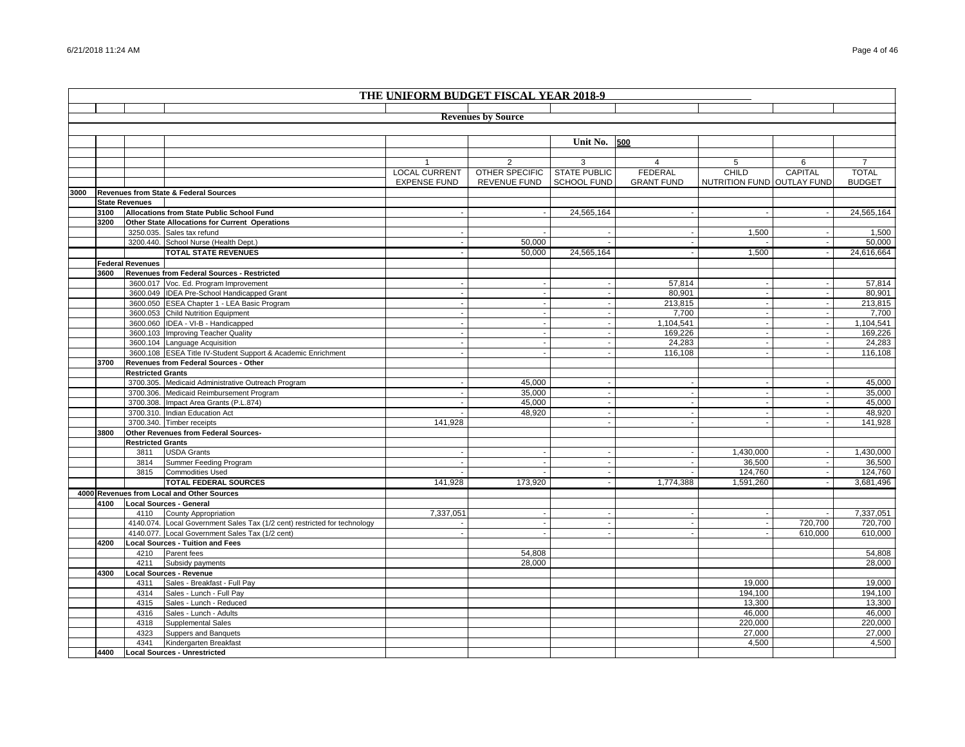|      | THE UNIFORM BUDGET FISCAL YEAR 2018-9 |                          |                                                                                    |                      |                           |                     |                          |                            |                |                  |
|------|---------------------------------------|--------------------------|------------------------------------------------------------------------------------|----------------------|---------------------------|---------------------|--------------------------|----------------------------|----------------|------------------|
|      |                                       |                          |                                                                                    |                      |                           |                     |                          |                            |                |                  |
|      |                                       |                          |                                                                                    |                      | <b>Revenues by Source</b> |                     |                          |                            |                |                  |
|      |                                       |                          |                                                                                    |                      |                           |                     |                          |                            |                |                  |
|      |                                       |                          |                                                                                    |                      |                           | Unit No.            | 500                      |                            |                |                  |
|      |                                       |                          |                                                                                    |                      |                           |                     |                          |                            |                |                  |
|      |                                       |                          |                                                                                    |                      |                           | 3                   | $\overline{4}$           | 5                          | 6              |                  |
|      |                                       |                          |                                                                                    | <b>LOCAL CURRENT</b> | <b>OTHER SPECIFIC</b>     | <b>STATE PUBLIC</b> | <b>FEDERAL</b>           | <b>CHILD</b>               | <b>CAPITAL</b> | <b>TOTAL</b>     |
|      |                                       |                          |                                                                                    | <b>EXPENSE FUND</b>  | REVENUE FUND              | <b>SCHOOL FUND</b>  | <b>GRANT FUND</b>        | NUTRITION FUND OUTLAY FUND |                | <b>BUDGET</b>    |
| 3000 |                                       |                          | Revenues from State & Federal Sources                                              |                      |                           |                     |                          |                            |                |                  |
|      |                                       | <b>State Revenues</b>    |                                                                                    |                      |                           |                     |                          |                            |                |                  |
|      | 3100                                  |                          | Allocations from State Public School Fund                                          |                      |                           | 24,565,164          |                          |                            |                | 24,565,164       |
|      | 3200                                  |                          | Other State Allocations for Current Operations                                     |                      |                           |                     |                          |                            |                |                  |
|      |                                       |                          | 3250.035. Sales tax refund                                                         |                      |                           |                     |                          | 1,500                      |                | 1,500            |
|      |                                       |                          | 3200.440. School Nurse (Health Dept.)                                              |                      | 50,000                    |                     |                          |                            | $\blacksquare$ | 50,000           |
|      |                                       |                          | <b>TOTAL STATE REVENUES</b>                                                        |                      | 50,000                    | 24,565,164          |                          | 1,500                      |                | 24,616,664       |
|      |                                       | <b>Federal Revenues</b>  |                                                                                    |                      |                           |                     |                          |                            |                |                  |
|      | 3600                                  |                          | Revenues from Federal Sources - Restricted                                         |                      |                           |                     |                          |                            |                |                  |
|      |                                       |                          | 3600.017 Voc. Ed. Program Improvement                                              |                      |                           |                     | 57,814                   |                            |                | 57,814           |
|      |                                       |                          | 3600.049 IDEA Pre-School Handicapped Grant                                         |                      |                           |                     | 80,901                   |                            |                | 80,901           |
|      |                                       |                          | 3600.050 ESEA Chapter 1 - LEA Basic Program                                        |                      | $\mathbf{r}$              |                     | 213,815                  | $\overline{\phantom{a}}$   | $\blacksquare$ | 213,815          |
|      |                                       |                          | 3600.053 Child Nutrition Equipment                                                 |                      |                           |                     | 7,700                    |                            | $\sim$         | 7,700            |
|      |                                       |                          | 3600.060 IDEA - VI-B - Handicapped                                                 |                      |                           |                     | 1,104,541                |                            |                | 1,104,541        |
|      |                                       |                          | 3600.103 Improving Teacher Quality                                                 |                      | ÷,                        |                     | 169,226                  |                            | $\blacksquare$ | 169,226          |
|      |                                       |                          | 3600.104 Language Acquisition                                                      |                      |                           |                     | 24,283                   |                            | $\sim$         | 24,283           |
|      |                                       |                          | 3600.108 ESEA Title IV-Student Support & Academic Enrichment                       |                      |                           |                     | 116,108                  |                            |                | 116,108          |
|      | 3700                                  |                          | Revenues from Federal Sources - Other                                              |                      |                           |                     |                          |                            |                |                  |
|      |                                       | <b>Restricted Grants</b> |                                                                                    |                      |                           |                     |                          |                            |                |                  |
|      |                                       |                          | 3700.305. Medicaid Administrative Outreach Program                                 |                      | 45.000                    |                     |                          |                            | $\sim$         | 45,000           |
|      |                                       |                          | 3700.306. Medicaid Reimbursement Program<br>3700.308. Impact Area Grants (P.L.874) |                      | 35,000<br>45,000          |                     | $\overline{\phantom{a}}$ | $\sim$                     | $\sim$         | 35,000<br>45,000 |
|      |                                       |                          | 3700.310. Indian Education Act                                                     |                      | 48,920                    |                     | $\sim$                   |                            |                | 48,920           |
|      |                                       |                          | 3700.340. Timber receipts                                                          | 141,928              |                           |                     |                          |                            |                | 141,928          |
|      | 3800                                  |                          | Other Revenues from Federal Sources-                                               |                      |                           |                     |                          |                            |                |                  |
|      |                                       | <b>Restricted Grants</b> |                                                                                    |                      |                           |                     |                          |                            |                |                  |
|      |                                       | 3811                     | <b>USDA Grants</b>                                                                 |                      |                           |                     |                          | 1,430,000                  |                | 1,430,000        |
|      |                                       | 3814                     | Summer Feeding Program                                                             |                      |                           |                     |                          | 36,500                     |                | 36,500           |
|      |                                       | 3815                     | <b>Commodities Used</b>                                                            |                      |                           |                     |                          | 124,760                    | $\blacksquare$ | 124,760          |
|      |                                       |                          | <b>TOTAL FEDERAL SOURCES</b>                                                       | 141,928              | 173,920                   |                     | 1,774,388                | 1,591,260                  |                | 3,681,496        |
|      |                                       |                          | 4000 Revenues from Local and Other Sources                                         |                      |                           |                     |                          |                            |                |                  |
|      | 4100                                  |                          | <b>Local Sources - General</b>                                                     |                      |                           |                     |                          |                            |                |                  |
|      |                                       | 4110                     | <b>County Appropriation</b>                                                        | 7,337,051            |                           |                     |                          |                            |                | 7,337,051        |
|      |                                       |                          | 4140.074. Local Government Sales Tax (1/2 cent) restricted for technology          |                      |                           |                     | $\sim$                   |                            | 720,700        | 720,700          |
|      |                                       |                          | 4140.077. Local Government Sales Tax (1/2 cent)                                    |                      |                           |                     |                          |                            | 610,000        | 610,000          |
|      | 4200                                  |                          | <b>Local Sources - Tuition and Fees</b>                                            |                      |                           |                     |                          |                            |                |                  |
|      |                                       | 4210                     | Parent fees                                                                        |                      | 54,808                    |                     |                          |                            |                | 54,808           |
|      |                                       | 4211                     | Subsidy payments                                                                   |                      | 28,000                    |                     |                          |                            |                | 28,000           |
|      | 4300                                  |                          | ocal Sources - Revenue                                                             |                      |                           |                     |                          |                            |                |                  |
|      |                                       | 4311                     | Sales - Breakfast - Full Pay                                                       |                      |                           |                     |                          | 19,000                     |                | 19,000           |
|      |                                       | 4314                     | Sales - Lunch - Full Pay                                                           |                      |                           |                     |                          | 194,100                    |                | 194,100          |
|      |                                       | 4315                     | Sales - Lunch - Reduced                                                            |                      |                           |                     |                          | 13,300                     |                | 13,300           |
|      |                                       | 4316                     | Sales - Lunch - Adults                                                             |                      |                           |                     |                          | 46,000                     |                | 46,000           |
|      |                                       | 4318                     | <b>Supplemental Sales</b>                                                          |                      |                           |                     |                          | 220,000                    |                | 220,000          |
|      |                                       | 4323                     | Suppers and Banquets                                                               |                      |                           |                     |                          | 27,000                     |                | 27.000           |
|      |                                       | 4341                     | Kindergarten Breakfast                                                             |                      |                           |                     |                          | 4,500                      |                | 4,500            |
|      | 4400                                  |                          | <b>Local Sources - Unrestricted</b>                                                |                      |                           |                     |                          |                            |                |                  |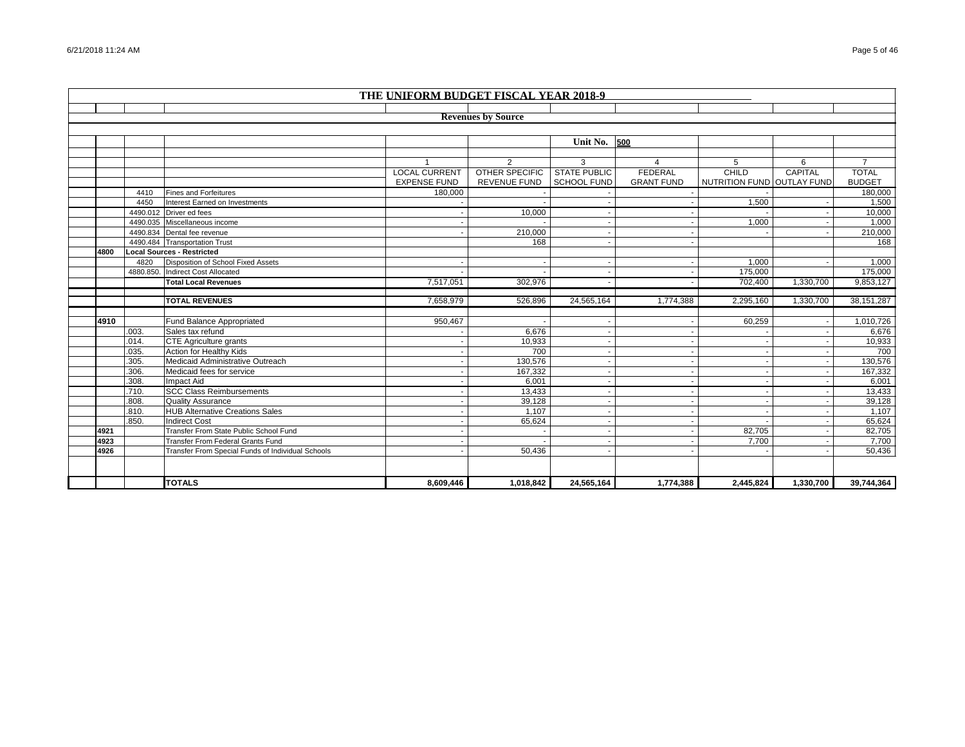|      | THE UNIFORM BUDGET FISCAL YEAR 2018-9 |                                                                |                      |                           |                     |                          |                            |           |                  |  |  |
|------|---------------------------------------|----------------------------------------------------------------|----------------------|---------------------------|---------------------|--------------------------|----------------------------|-----------|------------------|--|--|
|      |                                       |                                                                |                      |                           |                     |                          |                            |           |                  |  |  |
|      |                                       |                                                                |                      | <b>Revenues by Source</b> |                     |                          |                            |           |                  |  |  |
|      |                                       |                                                                |                      |                           |                     |                          |                            |           |                  |  |  |
|      |                                       |                                                                |                      |                           | <b>Unit No. 500</b> |                          |                            |           |                  |  |  |
|      |                                       |                                                                |                      |                           |                     |                          |                            |           |                  |  |  |
|      |                                       |                                                                |                      | $\mathfrak{p}$            | 3                   | $\overline{a}$           | 5                          | 6         | $\overline{7}$   |  |  |
|      |                                       |                                                                | <b>LOCAL CURRENT</b> | <b>OTHER SPECIFIC</b>     | <b>STATE PUBLIC</b> | <b>FEDERAL</b>           | CHILD                      | CAPITAL   | <b>TOTAL</b>     |  |  |
|      |                                       |                                                                | <b>EXPENSE FUND</b>  | <b>REVENUE FUND</b>       | SCHOOL FUND         | <b>GRANT FUND</b>        | NUTRITION FUND OUTLAY FUND |           | <b>BUDGET</b>    |  |  |
|      | 4410                                  | <b>Fines and Forfeitures</b>                                   | 180,000              |                           |                     |                          |                            |           | 180,000          |  |  |
|      | 4450                                  | Interest Earned on Investments                                 |                      |                           |                     |                          | 1,500                      |           | 1,500            |  |  |
|      |                                       | 4490.012 Driver ed fees                                        |                      | 10,000                    |                     |                          |                            |           | 10,000           |  |  |
|      |                                       | 4490.035 Miscellaneous income                                  |                      |                           |                     |                          | 1,000                      |           | 1,000            |  |  |
|      |                                       | 4490.834 Dental fee revenue                                    |                      | 210,000                   |                     |                          |                            |           | 210,000          |  |  |
|      |                                       | 4490.484 Transportation Trust                                  |                      | 168                       |                     |                          |                            |           | 168              |  |  |
| 4800 |                                       | <b>Local Sources - Restricted</b>                              |                      |                           |                     |                          |                            |           |                  |  |  |
|      | 4820                                  | Disposition of School Fixed Assets                             |                      |                           |                     |                          | 1.000                      |           | 1,000            |  |  |
|      |                                       | 4880.850. Indirect Cost Allocated                              |                      |                           |                     |                          | 175,000                    |           | 175,000          |  |  |
|      |                                       | <b>Total Local Revenues</b>                                    | 7,517,051            | 302,976                   |                     | $\overline{\phantom{a}}$ | 702,400                    | 1,330,700 | 9,853,127        |  |  |
|      |                                       |                                                                |                      |                           |                     |                          |                            |           |                  |  |  |
|      |                                       |                                                                |                      |                           |                     |                          |                            |           |                  |  |  |
|      |                                       | <b>TOTAL REVENUES</b>                                          | 7,658,979            | 526.896                   | 24,565,164          | 1,774,388                | 2,295,160                  | 1,330,700 | 38, 151, 287     |  |  |
|      |                                       |                                                                |                      |                           |                     |                          |                            |           |                  |  |  |
| 4910 |                                       | Fund Balance Appropriated                                      | 950.467              |                           |                     |                          | 60.259                     |           | 1,010,726        |  |  |
|      | .003.                                 | Sales tax refund                                               |                      | 6,676                     |                     |                          |                            |           | 6,676            |  |  |
|      | .014.                                 | <b>CTE Agriculture grants</b>                                  |                      | 10,933                    |                     |                          |                            |           | 10,933           |  |  |
|      | .035.                                 | Action for Healthy Kids                                        |                      | 700                       |                     | $\overline{\phantom{a}}$ |                            |           | 700              |  |  |
|      | .305.                                 | Medicaid Administrative Outreach                               |                      | 130,576                   |                     |                          |                            |           | 130,576          |  |  |
|      | .306.                                 | Medicaid fees for service                                      |                      | 167,332                   |                     |                          |                            |           | 167,332          |  |  |
|      | .308.                                 | Impact Aid                                                     |                      | 6,001                     |                     | ٠.                       |                            |           | 6,001            |  |  |
|      | .710.                                 | <b>SCC Class Reimbursements</b>                                |                      | 13,433                    |                     |                          |                            |           | 13,433           |  |  |
|      | .808.                                 | <b>Quality Assurance</b>                                       |                      | 39,128                    |                     |                          |                            |           | 39,128           |  |  |
|      | .810.<br>.850.                        | <b>HUB Alternative Creations Sales</b><br><b>Indirect Cost</b> |                      | 1,107                     |                     |                          |                            |           | 1,107            |  |  |
| 4921 |                                       | Transfer From State Public School Fund                         |                      | 65,624                    |                     |                          | 82,705                     |           | 65,624<br>82,705 |  |  |
| 4923 |                                       | <b>Transfer From Federal Grants Fund</b>                       |                      |                           |                     |                          | 7,700                      |           | 7.700            |  |  |
| 4926 |                                       | Transfer From Special Funds of Individual Schools              |                      | 50,436                    |                     |                          |                            |           | 50,436           |  |  |
|      |                                       |                                                                |                      |                           |                     |                          |                            |           |                  |  |  |
|      |                                       |                                                                |                      |                           |                     |                          |                            |           |                  |  |  |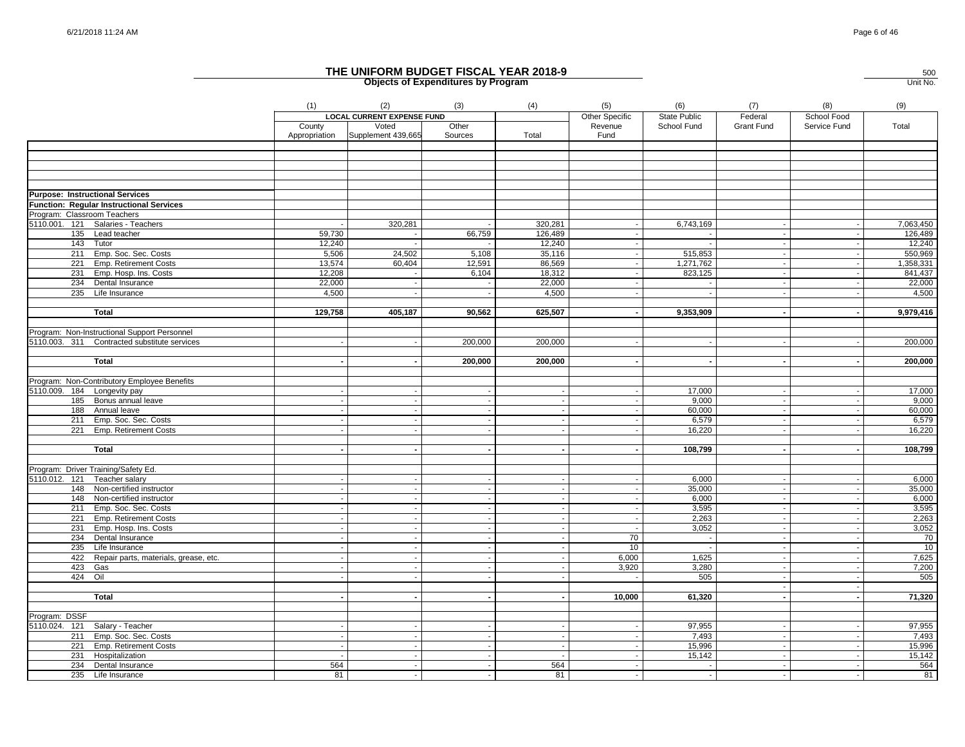|                             |                                                                 | (1)                      | (2)                                        | (3)            | (4)                                   | (5)                       | (6)                                | (7)                          | (8)                         | (9)             |
|-----------------------------|-----------------------------------------------------------------|--------------------------|--------------------------------------------|----------------|---------------------------------------|---------------------------|------------------------------------|------------------------------|-----------------------------|-----------------|
|                             |                                                                 | County                   | <b>LOCAL CURRENT EXPENSE FUND</b><br>Voted | Other          |                                       | Other Specific<br>Revenue | <b>State Public</b><br>School Fund | Federal<br><b>Grant Fund</b> | School Food<br>Service Fund | Total           |
|                             |                                                                 | Appropriation            | Supplement 439,665                         | Sources        | Total                                 | Fund                      |                                    |                              |                             |                 |
|                             |                                                                 |                          |                                            |                |                                       |                           |                                    |                              |                             |                 |
|                             |                                                                 |                          |                                            |                |                                       |                           |                                    |                              |                             |                 |
|                             |                                                                 |                          |                                            |                |                                       |                           |                                    |                              |                             |                 |
|                             |                                                                 |                          |                                            |                |                                       |                           |                                    |                              |                             |                 |
|                             |                                                                 |                          |                                            |                |                                       |                           |                                    |                              |                             |                 |
|                             | <b>Purpose: Instructional Services</b>                          |                          |                                            |                |                                       |                           |                                    |                              |                             |                 |
| Program: Classroom Teachers | Function: Regular Instructional Services                        |                          |                                            |                |                                       |                           |                                    |                              |                             |                 |
|                             | 5110.001. 121 Salaries - Teachers                               |                          | 320,281                                    |                | 320,281                               |                           | 6,743,169                          | $\sim$                       | $\sim$                      | 7,063,450       |
|                             | 135 Lead teacher                                                | 59,730                   |                                            | 66,759         | 126,489                               |                           |                                    | $\sim$                       | $\sim$                      | 126,489         |
|                             | 143 Tutor                                                       | 12,240                   |                                            |                | 12,240                                |                           |                                    | $\sim$                       |                             | 12,240          |
|                             | 211 Emp. Soc. Sec. Costs                                        | 5,506                    | 24,502                                     | 5,108          | 35,116                                |                           | 515,853                            | $\sim$                       | $\sim$                      | 550,969         |
|                             | 221 Emp. Retirement Costs                                       | 13,574                   | 60,404                                     | 12,591         | 86,569                                |                           | 1,271,762                          | $\sim$                       | $\overline{\phantom{a}}$    | 1,358,331       |
|                             | 231 Emp. Hosp. Ins. Costs                                       | 12,208                   |                                            | 6,104          | 18,312                                | $\sim$                    | 823,125                            | $\sim$                       | $\sim$                      | 841,437         |
|                             | 234 Dental Insurance                                            | 22,000                   |                                            |                | 22,000                                |                           |                                    | $\sim$                       |                             | 22,000          |
|                             | 235 Life Insurance                                              | 4.500                    |                                            |                | 4.500                                 |                           |                                    | $\sim$                       |                             | 4,500           |
|                             |                                                                 |                          |                                            |                |                                       |                           |                                    |                              |                             |                 |
|                             | Total                                                           | 129,758                  | 405,187                                    | 90,562         | 625,507                               | $\sim$                    | 9,353,909                          | $\sim$                       | $\sim$                      | 9,979,416       |
|                             |                                                                 |                          |                                            |                |                                       |                           |                                    |                              |                             |                 |
|                             | Program: Non-Instructional Support Personnel                    |                          |                                            |                |                                       |                           |                                    |                              |                             |                 |
|                             | 5110.003. 311 Contracted substitute services                    |                          |                                            | 200,000        | 200,000                               |                           |                                    | $\sim$                       |                             | 200,000         |
|                             |                                                                 |                          |                                            |                |                                       |                           |                                    |                              |                             |                 |
|                             | <b>Total</b>                                                    |                          |                                            | 200,000        | 200,000                               |                           |                                    | $\sim$                       | $\sim$                      | 200,000         |
|                             | Program: Non-Contributory Employee Benefits                     |                          |                                            |                |                                       |                           |                                    |                              |                             |                 |
| 5110.009. 184 Longevity pay |                                                                 |                          |                                            |                | $\sim$                                | $\overline{\phantom{a}}$  | 17,000                             | $\sim$                       | $\overline{\phantom{a}}$    | 17,000          |
|                             | 185 Bonus annual leave                                          |                          |                                            |                | $\sim$                                |                           | 9,000                              | $\sim$                       | $\overline{\phantom{a}}$    | 9,000           |
|                             | 188 Annual leave                                                |                          |                                            |                | $\sim$                                | $\blacksquare$            | 60,000                             | $\sim$                       |                             | 60,000          |
|                             | 211 Emp. Soc. Sec. Costs                                        |                          |                                            |                | $\sim$                                | $\sim$                    | 6,579                              | $\sim$                       | $\blacksquare$              | 6,579           |
|                             | 221 Emp. Retirement Costs                                       |                          |                                            |                | $\sim$                                | $\sim$                    | 16,220                             | $\sim$                       |                             | 16,220          |
|                             |                                                                 |                          |                                            |                |                                       |                           |                                    |                              |                             |                 |
|                             | Total                                                           |                          |                                            |                | $\sim$                                | $\sim$                    | 108,799                            | $\sim$                       |                             | 108,799         |
|                             |                                                                 |                          |                                            |                |                                       |                           |                                    |                              |                             |                 |
|                             | Program: Driver Training/Safety Ed.                             |                          |                                            |                |                                       |                           |                                    |                              |                             |                 |
|                             | 5110.012. 121 Teacher salary                                    |                          |                                            |                |                                       |                           | 6,000                              |                              | $\overline{\phantom{a}}$    | 6,000           |
|                             | 148 Non-certified instructor                                    | $\overline{\phantom{a}}$ |                                            |                | $\sim$                                | $\sim$                    | 35,000                             | $\sim$                       | $\overline{\phantom{a}}$    | 35,000          |
|                             | 148 Non-certified instructor                                    |                          |                                            |                | $\sim$                                | $\sim$                    | 6,000                              | $\blacksquare$               | $\blacksquare$              | 6,000           |
|                             | 211 Emp. Soc. Sec. Costs                                        | $\overline{\phantom{a}}$ |                                            | $\overline{a}$ | $\mathcal{L}$                         | $\sim$                    | 3,595                              | $\sim$                       | $\sim$                      | 3,595           |
|                             | 221 Emp. Retirement Costs                                       |                          |                                            |                | $\sim$                                | $\sim$                    | 2,263                              | $\sim$                       | $\overline{\phantom{a}}$    | 2,263           |
|                             | 231 Emp. Hosp. Ins. Costs                                       |                          |                                            | $\sim$         | $\sim$                                | $\sim$                    | 3,052                              | $\sim$                       | $\sim$                      | 3,052           |
|                             | 234 Dental Insurance                                            |                          | $\overline{\phantom{a}}$                   | $\mathbf{r}$   | $\mathcal{L}_{\mathcal{A}}$           | 70                        | $\sim$                             | $\sim$                       | $\sim$                      | $\overline{70}$ |
|                             | 235 Life Insurance<br>422 Repair parts, materials, grease, etc. | $\sim$                   | $\sim$                                     |                | $\sim$<br>$\mathcal{L}_{\mathcal{A}}$ | 10<br>6,000               | 1,625                              | $\sim$<br>$\sim$             | $\sim$<br>$\sim$            | 10<br>7,625     |
|                             | 423 Gas                                                         |                          |                                            | $\sim$         | $\sim$                                | 3,920                     | 3,280                              | $\sim$                       | $\overline{\phantom{a}}$    | 7,200           |
|                             | 424 Oil                                                         |                          | $\mathbf{r}$                               |                | $\mathcal{L}_{\mathcal{A}}$           |                           | 505                                | $\sim$                       | $\sim$                      | 505             |
|                             |                                                                 |                          |                                            |                |                                       |                           |                                    | $\sim$                       | $\overline{\phantom{a}}$    |                 |
|                             | Total                                                           |                          |                                            |                |                                       | 10,000                    | 61,320                             | $\blacksquare$               |                             | 71,320          |
|                             |                                                                 |                          |                                            |                |                                       |                           |                                    |                              |                             |                 |
| Program: DSSF               |                                                                 |                          |                                            |                |                                       |                           |                                    |                              |                             |                 |
|                             | 5110.024. 121 Salary - Teacher                                  |                          |                                            |                | $\sim$                                |                           | 97,955                             |                              |                             | 97,955          |
|                             | 211 Emp. Soc. Sec. Costs                                        |                          |                                            |                |                                       |                           | 7,493                              |                              | $\overline{\phantom{a}}$    | 7,493           |
|                             | 221 Emp. Retirement Costs                                       | $\sim$                   |                                            |                | $\sim$                                | $\sim$                    | 15,996                             | $\sim$                       | $\sim$                      | 15,996          |
|                             | 231 Hospitalization                                             |                          |                                            |                |                                       |                           | 15,142                             | $\sim$                       |                             | 15,142          |
|                             | 234 Dental Insurance                                            | 564                      |                                            |                | 564                                   | $\sim$                    |                                    | $\sim$                       |                             | 564             |
|                             | 235 Life Insurance                                              | 81                       |                                            |                | 81                                    |                           |                                    |                              |                             | 81              |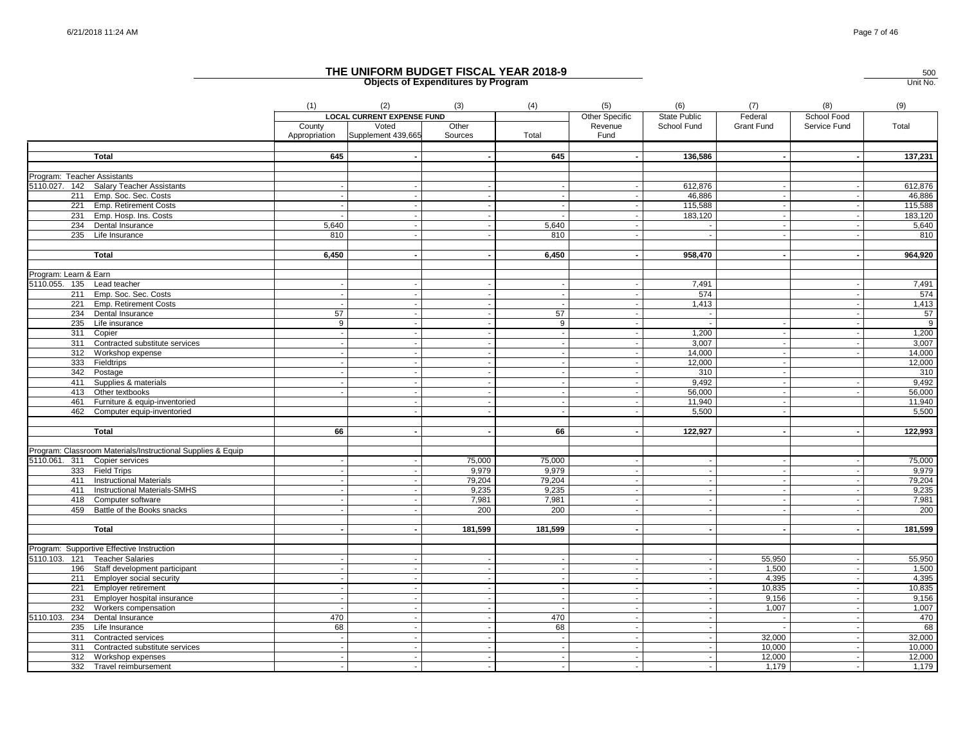|                                                             | (1)    | (2)                               | (3)                      | (4)                      | (5)                      | (6)            | (7)        | (8)                      | (9)        |
|-------------------------------------------------------------|--------|-----------------------------------|--------------------------|--------------------------|--------------------------|----------------|------------|--------------------------|------------|
|                                                             |        | <b>LOCAL CURRENT EXPENSE FUND</b> |                          |                          | Other Specific           | State Public   | Federal    | School Food              |            |
|                                                             | County | Voted                             | Other                    |                          | Revenue                  | School Fund    | Grant Fund | Service Fund             | Total      |
|                                                             |        | Appropriation Supplement 439,665  | Sources                  | Total                    | Fund                     |                |            |                          |            |
|                                                             |        |                                   |                          |                          |                          |                |            |                          |            |
| <b>Total</b>                                                | 645    |                                   |                          | 645                      |                          | 136,586        |            |                          | 137,231    |
|                                                             |        |                                   |                          |                          |                          |                |            |                          |            |
| Program: Teacher Assistants                                 |        |                                   |                          |                          |                          |                |            |                          |            |
| 5110.027. 142 Salary Teacher Assistants                     |        |                                   |                          |                          |                          | 612,876        |            |                          | 612,876    |
| 211 Emp. Soc. Sec. Costs                                    |        |                                   |                          |                          |                          | 46,886         |            |                          | 46,886     |
| 221 Emp. Retirement Costs                                   |        |                                   |                          | $\sim$                   |                          | 115,588        |            |                          | 115,588    |
| 231 Emp. Hosp. Ins. Costs                                   |        |                                   |                          |                          |                          | 183,120        |            |                          | 183,120    |
| 234 Dental Insurance                                        | 5,640  |                                   |                          | 5,640                    |                          | $\sim$         |            |                          | 5,640      |
| 235 Life Insurance                                          | 810    |                                   |                          | 810                      |                          |                |            |                          | 810        |
| <b>Total</b>                                                | 6,450  |                                   |                          | 6,450                    |                          | 958,470        |            |                          | 964,920    |
|                                                             |        |                                   |                          |                          |                          |                |            |                          |            |
| Program: Learn & Earn                                       |        |                                   |                          |                          |                          |                |            |                          |            |
| 5110.055. 135 Lead teacher                                  |        |                                   |                          |                          |                          | 7,491          |            |                          | 7,491      |
| 211 Emp. Soc. Sec. Costs                                    |        | $\blacksquare$                    | $\blacksquare$           |                          |                          | 574            |            | $\overline{\phantom{a}}$ | 574        |
| 221 Emp. Retirement Costs                                   |        |                                   |                          |                          |                          | 1,413          |            |                          | 1,413      |
| 234 Dental Insurance                                        | 57     |                                   |                          | 57                       | $\overline{\phantom{a}}$ | $\sim$         |            |                          | 57         |
| 235 Life insurance                                          | 9      | $\sim$                            |                          | 9                        |                          | $\sim$         |            |                          | $^{\circ}$ |
| 311 Copier                                                  |        |                                   |                          | $\sim$                   | $\overline{\phantom{a}}$ | 1,200          |            | $\ddot{\phantom{a}}$     | 1,200      |
| 311 Contracted substitute services                          |        |                                   |                          |                          |                          | 3,007          |            |                          | 3,007      |
| 312 Workshop expense                                        |        |                                   |                          |                          | $\sim$                   | 14,000         |            |                          | 14,000     |
| 333 Fieldtrips                                              |        | $\overline{\phantom{a}}$          |                          |                          |                          | 12,000         |            |                          | 12,000     |
| 342 Postage                                                 |        |                                   |                          |                          |                          | 310            |            |                          | 310        |
| 411 Supplies & materials                                    |        |                                   |                          |                          |                          | 9.492          |            |                          | 9,492      |
| 413 Other textbooks                                         |        |                                   |                          |                          |                          | 56,000         |            |                          | 56,000     |
| 461 Furniture & equip-inventoried                           |        |                                   |                          | $\sim$                   |                          | 11,940         |            |                          | 11,940     |
| 462 Computer equip-inventoried                              |        |                                   |                          |                          |                          | 5,500          |            |                          | 5,500      |
|                                                             |        |                                   |                          |                          |                          |                |            |                          |            |
| Total                                                       | 66     |                                   |                          | 66                       |                          | 122,927        |            |                          | 122,993    |
|                                                             |        |                                   |                          |                          |                          |                |            |                          |            |
| Program: Classroom Materials/Instructional Supplies & Equip |        |                                   |                          |                          |                          |                |            |                          |            |
| 5110.061. 311 Copier services                               |        |                                   | 75,000                   | 75,000                   |                          |                |            |                          | 75,000     |
| 333 Field Trips                                             |        |                                   | 9,979                    | 9,979                    | $\sim$                   | $\sim$         | $\sim$     | $\overline{\phantom{a}}$ | 9,979      |
| 411 Instructional Materials                                 |        |                                   | 79,204                   | 79,204                   |                          |                |            |                          | 79,204     |
| 411 Instructional Materials-SMHS                            |        |                                   | 9,235                    | 9,235                    | $\sim$                   | $\sim$         |            |                          | 9,235      |
| 418 Computer software                                       |        |                                   | 7,981                    | 7,981                    |                          |                |            |                          | 7,981      |
| 459 Battle of the Books snacks                              |        |                                   | 200                      | 200                      | $\overline{\phantom{a}}$ | $\sim$         |            |                          | 200        |
| <b>Total</b>                                                |        |                                   | 181,599                  | 181,599                  |                          |                |            |                          | 181,599    |
|                                                             |        |                                   |                          |                          |                          |                |            |                          |            |
| Program: Supportive Effective Instruction                   |        |                                   |                          |                          |                          |                |            |                          |            |
| 5110.103. 121 Teacher Salaries                              |        |                                   |                          |                          |                          |                | 55,950     |                          | 55,950     |
| 196 Staff development participant                           |        | $\blacksquare$                    |                          |                          |                          | $\blacksquare$ | 1,500      |                          | 1,500      |
| 211 Employer social security                                |        | $\sim$                            |                          |                          |                          | $\sim$         | 4,395      | $\overline{\phantom{a}}$ | 4,395      |
| 221 Employer retirement                                     |        |                                   | $\blacksquare$           | $\overline{\phantom{a}}$ | $\overline{\phantom{a}}$ | $\sim$         | 10,835     | $\overline{\phantom{a}}$ | 10,835     |
| 231 Employer hospital insurance                             |        | $\sim$                            | $\overline{\phantom{a}}$ | $\overline{\phantom{a}}$ | $\overline{\phantom{a}}$ | $\sim$         | 9,156      | $\blacksquare$           | 9,156      |
| 232 Workers compensation                                    |        | $\mathbf{r}$                      | $\sim$                   |                          | $\sim$                   | $\blacksquare$ | 1,007      | $\sim$                   | 1,007      |
| 5110.103. 234 Dental Insurance                              | 470    | $\ddot{\phantom{a}}$              | $\overline{\phantom{a}}$ | 470                      | $\overline{\phantom{a}}$ | $\sim$         |            | $\sim$                   | 470        |
| 235 Life Insurance                                          | 68     |                                   |                          | 68                       |                          |                |            |                          | 68         |
| 311 Contracted services                                     |        |                                   |                          |                          |                          | $\sim$         | 32,000     |                          | 32,000     |
| 311 Contracted substitute services                          |        |                                   |                          |                          |                          |                | 10,000     |                          | 10,000     |
| 312 Workshop expenses                                       |        |                                   |                          |                          |                          |                | 12,000     |                          | 12,000     |
| 332 Travel reimbursement                                    |        |                                   |                          |                          |                          | $\sim$         | 1,179      |                          | 1,179      |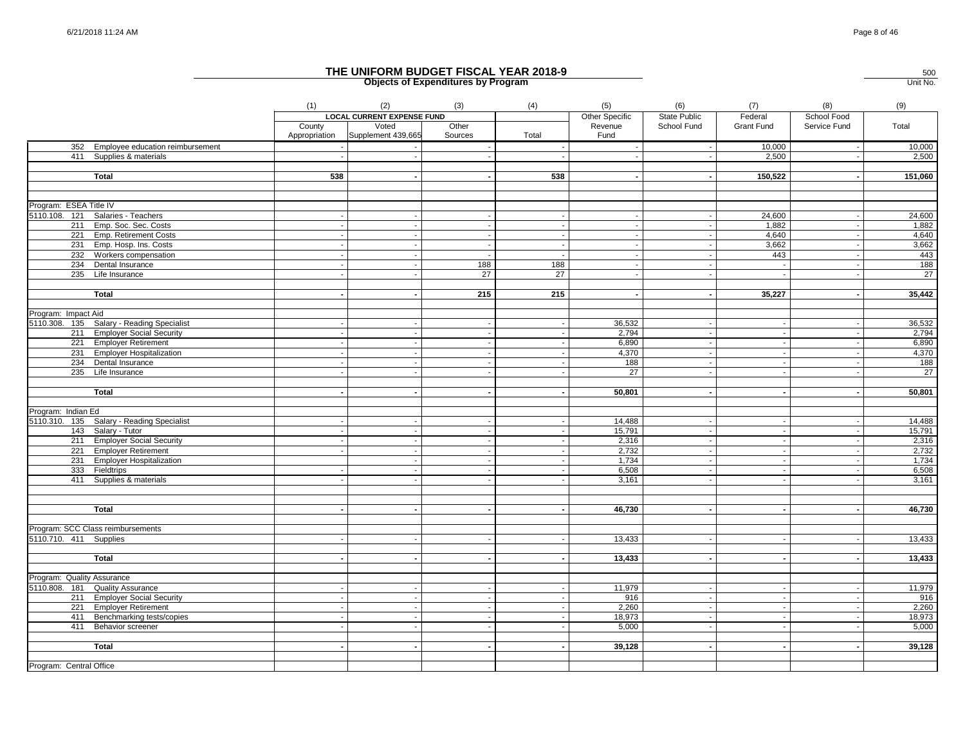|                            |                                           | (1)                      | (2)                               | (3)              | (4)    | (5)                      | (6)                 | (7)               | (8)                              | (9)            |
|----------------------------|-------------------------------------------|--------------------------|-----------------------------------|------------------|--------|--------------------------|---------------------|-------------------|----------------------------------|----------------|
|                            |                                           |                          | <b>LOCAL CURRENT EXPENSE FUND</b> |                  |        | <b>Other Specific</b>    | <b>State Public</b> | Federal           | School Food                      |                |
|                            |                                           | County<br>Appropriation  | Voted<br>Supplement 439,665       | Other<br>Sources | Total  | Revenue<br>Fund          | School Fund         | <b>Grant Fund</b> | Service Fund                     | Total          |
|                            | 352 Employee education reimbursement      |                          |                                   |                  |        |                          |                     | 10,000            |                                  | 10,000         |
|                            | 411 Supplies & materials                  |                          |                                   |                  |        |                          |                     | 2,500             |                                  | 2,500          |
|                            |                                           |                          |                                   |                  |        |                          |                     |                   |                                  |                |
|                            | <b>Total</b>                              | 538                      |                                   |                  | 538    |                          |                     | 150,522           |                                  | 151,060        |
|                            |                                           |                          |                                   |                  |        |                          |                     |                   |                                  |                |
| Program: ESEA Title IV     |                                           |                          |                                   |                  |        |                          |                     |                   |                                  |                |
|                            | 5110.108. 121 Salaries - Teachers         |                          |                                   |                  |        |                          |                     | 24,600            |                                  | 24,600         |
|                            | 211 Emp. Soc. Sec. Costs                  | $\overline{\phantom{a}}$ | $\overline{\phantom{a}}$          |                  | $\sim$ | $\overline{\phantom{a}}$ | $\sim$              | 1,882             | $\overline{\phantom{a}}$         | 1,882          |
|                            | 221 Emp. Retirement Costs                 |                          |                                   |                  | $\sim$ | $\overline{\phantom{a}}$ | $\sim$              | 4.640             |                                  | 4,640          |
|                            | 231 Emp. Hosp. Ins. Costs                 |                          |                                   |                  | $\sim$ |                          | $\sim$              | 3,662             |                                  | 3,662          |
|                            | 232 Workers compensation                  |                          |                                   |                  |        |                          |                     | 443               |                                  | 443            |
|                            | 234 Dental Insurance                      |                          |                                   | 188              | 188    | ٠.                       | $\sim$              |                   | $\sim$                           | 188            |
|                            | 235 Life Insurance                        |                          |                                   | 27               | 27     |                          |                     |                   |                                  | 27             |
|                            | <b>Total</b>                              |                          |                                   | 215              | 215    | $\overline{\phantom{a}}$ | $\sim$              | 35,227            | $\overline{\phantom{a}}$         | 35,442         |
|                            |                                           |                          |                                   |                  |        |                          |                     |                   |                                  |                |
| Program: Impact Aid        | 5110.308. 135 Salary - Reading Specialist |                          |                                   |                  |        | 36,532                   |                     |                   |                                  | 36,532         |
|                            |                                           | - 11                     |                                   |                  |        |                          |                     |                   | $\overline{\phantom{a}}$         |                |
|                            | 211 Employer Social Security              |                          |                                   |                  |        | 2,794                    | $\sim$              |                   |                                  | 2,794          |
|                            | 221 Employer Retirement                   |                          |                                   |                  |        | 6,890                    | $\sim$              |                   |                                  | 6,890<br>4,370 |
|                            | 231 Employer Hospitalization              |                          |                                   |                  |        | 4,370                    |                     |                   |                                  |                |
|                            | 234 Dental Insurance                      |                          |                                   |                  |        | 188                      | $\sim$              |                   |                                  | 188            |
|                            | 235 Life Insurance                        |                          |                                   |                  |        | 27                       |                     |                   |                                  | 27             |
|                            | <b>Total</b>                              |                          |                                   |                  |        | 50,801                   |                     |                   |                                  | 50,801         |
| Program: Indian Ed         |                                           |                          |                                   |                  |        |                          |                     |                   |                                  |                |
|                            | 5110.310. 135 Salary - Reading Specialist |                          |                                   |                  |        | 14,488                   | $\sim$              |                   |                                  | 14,488         |
|                            | 143 Salary - Tutor                        |                          |                                   |                  |        | 15,791                   | $\sim$              |                   | $\blacksquare$                   | 15,791         |
|                            | 211 Employer Social Security              |                          |                                   |                  |        | 2,316                    | $\blacksquare$      |                   |                                  | 2,316          |
|                            | 221 Employer Retirement                   |                          |                                   |                  |        | 2,732                    | $\sim$              |                   |                                  | 2,732          |
|                            | 231 Employer Hospitalization              |                          |                                   |                  |        | 1,734                    |                     |                   |                                  | 1,734          |
|                            | 333 Fieldtrips                            |                          | $\sim$                            | $\sim$           | $\sim$ | 6,508                    | $\sim$              |                   | $\sim$                           | 6,508          |
|                            |                                           |                          |                                   |                  |        |                          |                     |                   |                                  | 3,161          |
|                            | 411 Supplies & materials                  |                          |                                   |                  |        | 3,161                    |                     |                   |                                  |                |
|                            |                                           |                          |                                   |                  |        |                          |                     |                   |                                  |                |
|                            | <b>Total</b>                              |                          |                                   |                  |        | 46,730                   |                     |                   |                                  | 46,730         |
|                            | Program: SCC Class reimbursements         |                          |                                   |                  |        |                          |                     |                   |                                  |                |
| 5110.710. 411 Supplies     |                                           |                          |                                   |                  |        | 13,433                   | $\sim$              |                   |                                  | 13,433         |
|                            | <b>Total</b>                              |                          |                                   |                  |        | 13,433                   | $\sim$              |                   |                                  | 13,433         |
|                            |                                           |                          |                                   |                  |        |                          |                     |                   |                                  |                |
| Program: Quality Assurance |                                           |                          |                                   |                  |        |                          |                     |                   |                                  |                |
|                            | 5110.808. 181 Quality Assurance           |                          |                                   |                  |        | 11,979<br>916            |                     |                   |                                  | 11,979         |
|                            | 211 Employer Social Security              | $\overline{\phantom{a}}$ | $\sim$                            |                  |        | 2,260                    | $\sim$              |                   |                                  | 916<br>2,260   |
|                            | 221 Employer Retirement                   |                          |                                   |                  |        |                          | $\sim$<br>$\sim$    |                   | $\blacksquare$<br>$\blacksquare$ |                |
|                            | 411 Benchmarking tests/copies             |                          |                                   |                  |        | 18,973                   |                     |                   |                                  | 18,973         |
| 411                        | <b>Behavior screener</b>                  |                          |                                   |                  |        | 5,000                    | $\sim$              |                   |                                  | 5,000          |
|                            | <b>Total</b>                              |                          | $\sim$                            |                  |        | 39,128                   | $\sim$              |                   |                                  | 39,128         |
|                            |                                           |                          |                                   |                  |        |                          |                     |                   |                                  |                |
| Program: Central Office    |                                           |                          |                                   |                  |        |                          |                     |                   |                                  |                |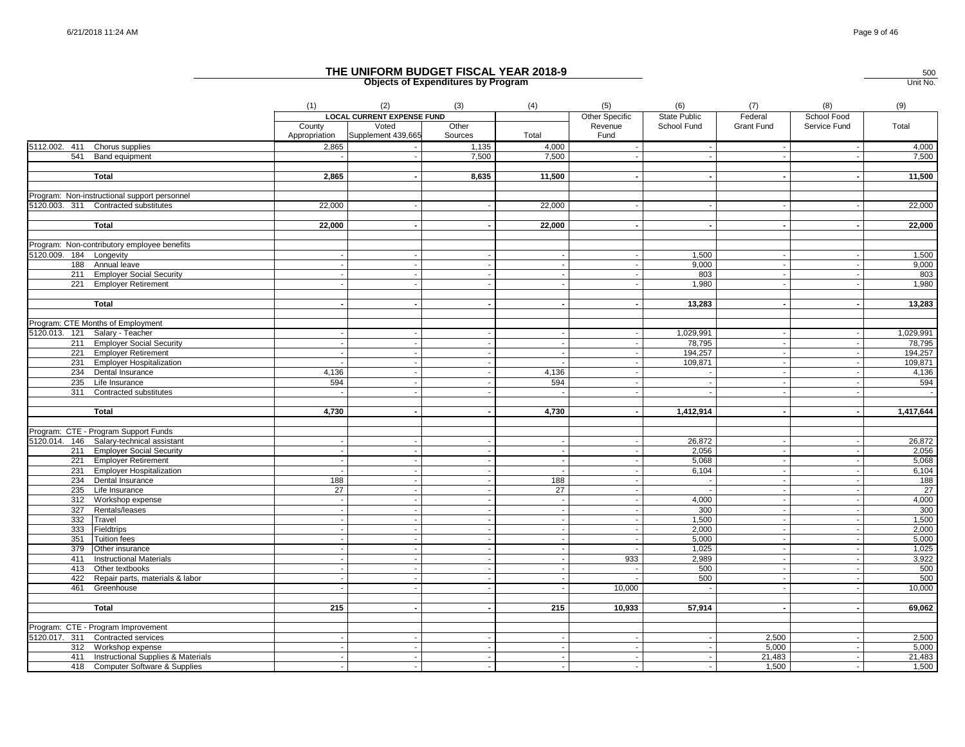|                         |                                                    | (1)                      | (2)                               | (3)              | (4)            | (5)                      | (6)                      | (7)               | (8)                      | (9)             |
|-------------------------|----------------------------------------------------|--------------------------|-----------------------------------|------------------|----------------|--------------------------|--------------------------|-------------------|--------------------------|-----------------|
|                         |                                                    |                          | <b>LOCAL CURRENT EXPENSE FUND</b> |                  |                | Other Specific           | State Public             | Federal           | School Food              |                 |
|                         |                                                    | County<br>Appropriation  | Voted<br>Supplement 439,665       | Other<br>Sources | Total          | Revenue<br>Fund          | School Fund              | <b>Grant Fund</b> | Service Fund             | Total           |
|                         | 5112.002. 411 Chorus supplies                      | 2,865                    |                                   | 1,135            | 4,000          |                          |                          |                   | $\sim$                   | 4,000           |
|                         | 541 Band equipment                                 |                          |                                   | 7,500            | 7,500          |                          |                          |                   |                          | 7,500           |
|                         |                                                    |                          |                                   |                  |                |                          |                          |                   |                          |                 |
|                         | Total                                              | 2,865                    |                                   | 8,635            | 11,500         |                          |                          |                   |                          | 11,500          |
|                         |                                                    |                          |                                   |                  |                |                          |                          |                   |                          |                 |
|                         | Program: Non-instructional support personnel       |                          |                                   |                  |                |                          |                          |                   |                          |                 |
|                         | 5120.003. 311 Contracted substitutes               | 22,000                   |                                   |                  | 22,000         |                          |                          |                   |                          | 22,000          |
|                         |                                                    | 22,000                   |                                   |                  | 22,000         |                          | $\overline{\phantom{a}}$ | $\blacksquare$    | $\blacksquare$           | 22,000          |
|                         | <b>Total</b>                                       |                          |                                   |                  |                |                          |                          |                   |                          |                 |
|                         | Program: Non-contributory employee benefits        |                          |                                   |                  |                |                          |                          |                   |                          |                 |
| 5120.009. 184 Longevity |                                                    |                          |                                   |                  |                |                          | 1,500                    | $\sim$            |                          | 1,500           |
|                         | 188 Annual leave                                   |                          |                                   |                  |                | $\overline{\phantom{a}}$ | 9,000                    | $\sim$            | $\sim$                   | 9,000           |
|                         | 211 Employer Social Security                       |                          |                                   |                  |                |                          | 803                      |                   |                          | 803             |
|                         | 221 Employer Retirement                            |                          |                                   |                  |                |                          | 1,980                    |                   |                          | 1,980           |
|                         |                                                    |                          |                                   |                  |                |                          |                          |                   |                          |                 |
|                         | Total                                              |                          |                                   |                  |                |                          | 13,283                   |                   |                          | 13,283          |
|                         |                                                    |                          |                                   |                  |                |                          |                          |                   |                          |                 |
|                         | Program: CTE Months of Employment                  |                          |                                   |                  |                |                          |                          |                   |                          |                 |
|                         | 5120.013. 121 Salary - Teacher                     |                          |                                   |                  |                |                          | 1,029,991                | $\sim$            | $\sim$                   | 1,029,991       |
|                         | 211 Employer Social Security                       |                          |                                   |                  |                |                          | 78,795                   |                   |                          | 78,795          |
|                         | 221 Employer Retirement                            |                          |                                   |                  | $\overline{a}$ | $\overline{\phantom{a}}$ | 194,257                  | $\sim$            | $\sim$                   | 194,257         |
|                         | 231 Employer Hospitalization                       |                          |                                   |                  |                |                          | 109,871                  | $\sim$            | $\sim$                   | 109,871         |
|                         | 234 Dental Insurance                               | 4,136                    | $\sim$                            |                  | 4,136          | $\overline{\phantom{a}}$ | $\overline{\phantom{a}}$ | $\sim$            | $\sim$                   | 4,136           |
|                         | 235 Life Insurance                                 | 594                      |                                   |                  | 594            |                          |                          |                   |                          | 594             |
| 311                     | Contracted substitutes                             |                          |                                   |                  |                |                          |                          |                   |                          | $\sim$          |
|                         | <b>Total</b>                                       | 4,730                    |                                   |                  | 4,730          | $\blacksquare$           | 1,412,914                | $\sim$            | $\sim$                   | 1,417,644       |
|                         |                                                    |                          |                                   |                  |                |                          |                          |                   |                          |                 |
|                         | Program: CTE - Program Support Funds               |                          |                                   |                  |                |                          |                          |                   |                          |                 |
|                         | 5120.014. 146 Salary-technical assistant           |                          |                                   |                  | $\sim$         |                          | 26,872                   | $\sim$            | $\sim$                   | 26,872          |
|                         | 211 Employer Social Security                       |                          |                                   |                  |                |                          | 2,056                    |                   |                          | 2,056           |
|                         | 221 Employer Retirement                            |                          |                                   |                  |                |                          | 5,068                    | $\sim$            | $\sim$                   | 5,068           |
|                         | 231 Employer Hospitalization                       |                          |                                   |                  |                |                          | 6,104                    |                   |                          | 6,104           |
|                         | 234 Dental Insurance                               | 188                      | $\sim$                            |                  | 188            | $\sim$                   | $\sim$                   | $\sim$            | $\sim$                   | 188             |
|                         | 235 Life Insurance                                 | 27                       |                                   |                  | 27             |                          |                          | $\sim$            |                          | $\overline{27}$ |
|                         | 312 Workshop expense                               | $\overline{\phantom{a}}$ |                                   |                  | $\sim$         |                          | 4,000                    | $\sim$            | $\overline{\phantom{a}}$ | 4,000           |
|                         | 327 Rentals/leases                                 |                          |                                   |                  | ÷.             |                          | 300                      | $\sim$            | $\sim$                   | 300             |
|                         | 332 Travel                                         |                          |                                   |                  |                |                          | 1,500                    | $\sim$            | $\sim$                   | 1,500           |
|                         | 333 Fieldtrips                                     |                          |                                   |                  |                |                          | 2,000                    |                   |                          | 2,000           |
|                         | 351 Tuition fees                                   |                          |                                   |                  |                |                          | 5,000                    |                   |                          | 5,000           |
|                         | 379 Other insurance<br>411 Instructional Materials |                          |                                   |                  |                | 933                      | 1,025<br>2,989           | $\sim$            | $\sim$                   | 1,025<br>3,922  |
|                         | 413 Other textbooks                                |                          |                                   |                  |                |                          | 500                      |                   |                          | 500             |
|                         | 422 Repair parts, materials & labor                |                          |                                   |                  |                |                          | 500                      |                   |                          | 500             |
| 461                     | Greenhouse                                         |                          | $\sim$                            |                  |                | 10,000                   | $\sim$                   | $\sim$            | $\sim$                   | 10,000          |
|                         |                                                    |                          |                                   |                  |                |                          |                          |                   |                          |                 |
|                         | <b>Total</b>                                       | 215                      | $\sim$                            |                  | 215            | 10,933                   | 57,914                   | $\sim$            |                          | 69,062          |
|                         |                                                    |                          |                                   |                  |                |                          |                          |                   |                          |                 |
|                         | Program: CTE - Program Improvement                 |                          |                                   |                  |                |                          |                          |                   |                          |                 |
|                         | 5120.017. 311 Contracted services                  |                          |                                   |                  |                |                          |                          | 2,500             |                          | 2,500           |
|                         | 312 Workshop expense                               |                          |                                   |                  |                |                          |                          | 5,000             |                          | 5,000           |
|                         | 411 Instructional Supplies & Materials             |                          |                                   |                  |                |                          |                          | 21,483            |                          | 21,483          |
|                         | 418 Computer Software & Supplies                   |                          |                                   |                  |                |                          |                          | 1,500             |                          | 1,500           |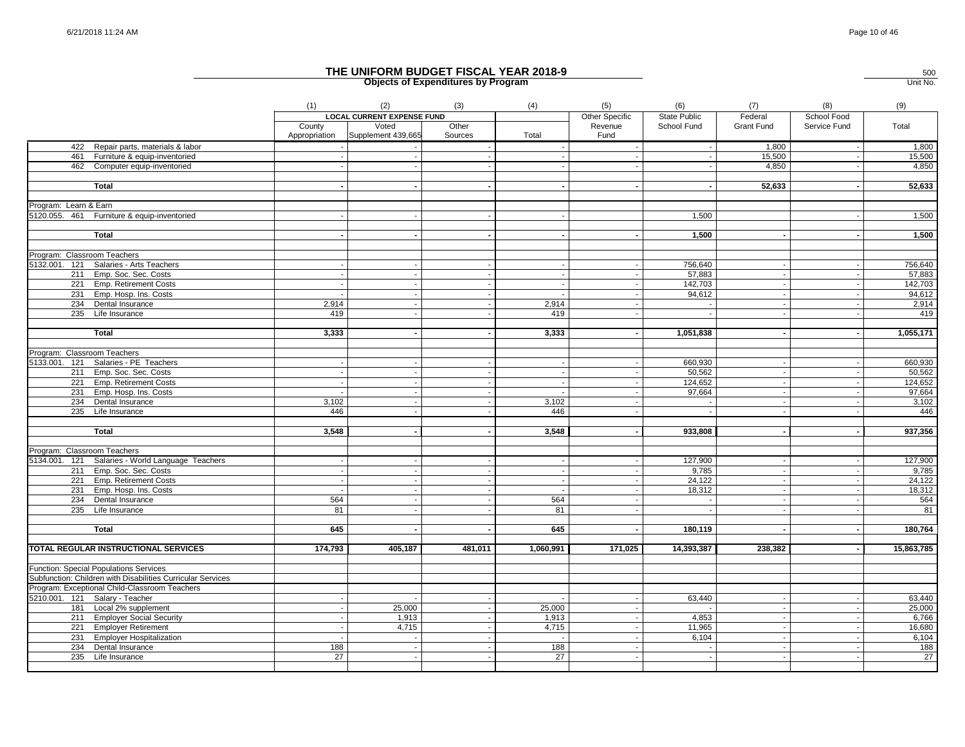|                                                                       | (1)           | (2)                               | (3)     | (4)       | (5)            | (6)          | (7)                         | (8)                      | (9)        |
|-----------------------------------------------------------------------|---------------|-----------------------------------|---------|-----------|----------------|--------------|-----------------------------|--------------------------|------------|
|                                                                       |               | <b>LOCAL CURRENT EXPENSE FUND</b> |         |           | Other Specific | State Public | Federal                     | School Food              |            |
|                                                                       | County        | Voted                             | Other   |           | Revenue        | School Fund  | <b>Grant Fund</b>           | Service Fund             | Total      |
|                                                                       | Appropriation | Supplement 439,665                | Sources | Total     | Fund           |              |                             |                          |            |
| 422 Repair parts, materials & labor                                   |               |                                   |         |           |                |              | 1,800                       |                          | 1,800      |
| 461 Furniture & equip-inventoried                                     |               |                                   |         |           |                |              | 15,500                      | $\sim$                   | 15,500     |
| 462 Computer equip-inventoried                                        |               |                                   |         |           |                |              | 4,850                       |                          | 4,850      |
|                                                                       |               |                                   |         |           |                |              |                             |                          |            |
| <b>Total</b>                                                          |               |                                   |         |           |                |              | 52,633                      |                          | 52,633     |
|                                                                       |               |                                   |         |           |                |              |                             |                          |            |
| Program: Learn & Earn                                                 |               |                                   |         |           |                |              |                             |                          |            |
| 5120.055. 461 Furniture & equip-inventoried                           |               |                                   |         |           |                | 1,500        |                             |                          | 1,500      |
|                                                                       |               |                                   |         |           |                |              |                             |                          |            |
| Total                                                                 |               |                                   |         |           |                | 1,500        |                             |                          | 1,500      |
|                                                                       |               |                                   |         |           |                |              |                             |                          |            |
| Program: Classroom Teachers<br>5132.001. 121 Salaries - Arts Teachers |               |                                   |         |           |                | 756,640      |                             |                          | 756,640    |
|                                                                       |               |                                   |         |           |                | 57,883       |                             |                          | 57,883     |
| 211 Emp. Soc. Sec. Costs<br>221 Emp. Retirement Costs                 |               |                                   |         |           |                | 142,703      |                             |                          | 142,703    |
| 231 Emp. Hosp. Ins. Costs                                             |               |                                   |         |           |                | 94,612       |                             |                          | 94,612     |
| 234 Dental Insurance                                                  | 2,914         |                                   |         | 2,914     |                |              |                             |                          | 2,914      |
| 235 Life Insurance                                                    | 419           |                                   |         | 419       |                |              |                             |                          | 419        |
|                                                                       |               |                                   |         |           |                |              |                             |                          |            |
| <b>Total</b>                                                          | 3,333         | $\sim$                            |         | 3,333     | $\sim$         | 1,051,838    | $\sim$                      | $\sim$                   | 1,055,171  |
|                                                                       |               |                                   |         |           |                |              |                             |                          |            |
| Program: Classroom Teachers                                           |               |                                   |         |           |                |              |                             |                          |            |
| 5133.001. 121 Salaries - PE Teachers                                  |               |                                   |         |           |                | 660,930      |                             |                          | 660,930    |
| 211 Emp. Soc. Sec. Costs                                              |               |                                   |         |           |                | 50,562       | $\mathcal{L}_{\mathcal{A}}$ |                          | 50,562     |
| 221 Emp. Retirement Costs                                             |               |                                   |         |           |                | 124,652      | $\sim$                      |                          | 124,652    |
| 231 Emp. Hosp. Ins. Costs                                             |               |                                   |         |           |                | 97,664       |                             |                          | 97,664     |
| 234 Dental Insurance                                                  | 3,102         |                                   |         | 3,102     |                |              | $\sim$                      |                          | 3,102      |
| 235 Life Insurance                                                    | 446           |                                   |         | 446       |                |              |                             |                          | 446        |
|                                                                       |               |                                   |         |           |                |              |                             |                          |            |
| Total                                                                 | 3,548         |                                   |         | 3,548     |                | 933,808      |                             |                          | 937,356    |
|                                                                       |               |                                   |         |           |                |              |                             |                          |            |
| Program: Classroom Teachers                                           |               |                                   |         |           |                |              |                             |                          |            |
| 5134.001. 121 Salaries - World Language Teachers                      |               |                                   |         |           |                | 127,900      |                             |                          | 127,900    |
| 211 Emp. Soc. Sec. Costs                                              |               |                                   |         |           |                | 9,785        | $\sim$                      | $\overline{\phantom{a}}$ | 9,785      |
| 221 Emp. Retirement Costs                                             |               |                                   |         |           |                | 24,122       |                             |                          | 24,122     |
| 231 Emp. Hosp. Ins. Costs                                             |               |                                   |         |           |                | 18,312       | $\sim$                      |                          | 18,312     |
| 234 Dental Insurance                                                  | 564           |                                   |         | 564       |                |              |                             |                          | 564        |
| 235 Life Insurance                                                    | 81            |                                   |         | 81        |                |              | $\sim$                      |                          | 81         |
|                                                                       | 645           |                                   |         |           |                |              |                             |                          |            |
| <b>Total</b>                                                          |               |                                   |         | 645       |                | 180,119      |                             |                          | 180,764    |
| TOTAL REGULAR INSTRUCTIONAL SERVICES                                  | 174,793       | 405,187                           | 481,011 | 1,060,991 | 171,025        | 14,393,387   | 238,382                     |                          | 15,863,785 |
|                                                                       |               |                                   |         |           |                |              |                             |                          |            |
| <b>Function: Special Populations Services</b>                         |               |                                   |         |           |                |              |                             |                          |            |
| Subfunction: Children with Disabilities Curricular Services           |               |                                   |         |           |                |              |                             |                          |            |
| Program: Exceptional Child-Classroom Teachers                         |               |                                   |         |           |                |              |                             |                          |            |
| 5210.001. 121 Salary - Teacher                                        |               |                                   |         |           |                | 63,440       |                             |                          | 63,440     |
| 181 Local 2% supplement                                               |               | 25,000                            |         | 25,000    |                |              | $\sim$                      | $\sim$                   | 25,000     |
| 211 Employer Social Security                                          |               | 1,913                             |         | 1,913     |                | 4,853        | $\sim$                      |                          | 6,766      |
| 221 Employer Retirement                                               |               | 4,715                             |         | 4,715     |                | 11,965       |                             |                          | 16,680     |
| 231 Employer Hospitalization                                          |               |                                   |         |           |                | 6,104        |                             |                          | 6,104      |
| 234 Dental Insurance                                                  | 188           |                                   |         | 188       |                |              | $\sim$                      |                          | 188        |
| 235 Life Insurance                                                    | 27            |                                   |         | 27        |                |              |                             |                          | 27         |
|                                                                       |               |                                   |         |           |                |              |                             |                          |            |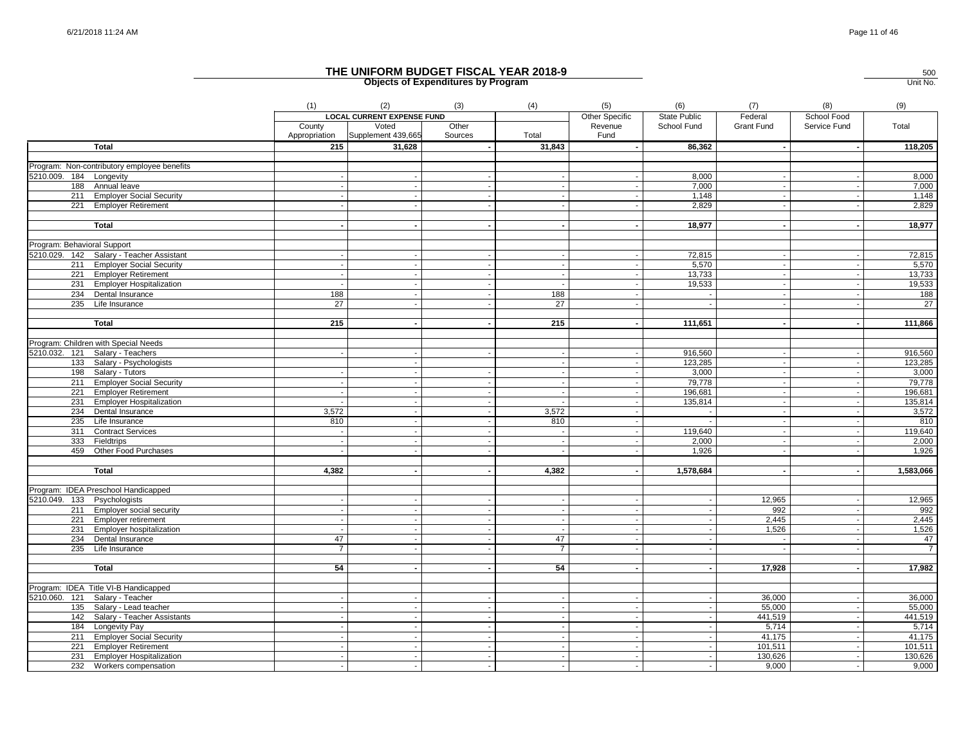|                             |                                             | (1)                     | (2)                               | (3)              | (4)                      | (5)                      | (6)          | (7)        | (8)                  | (9)            |
|-----------------------------|---------------------------------------------|-------------------------|-----------------------------------|------------------|--------------------------|--------------------------|--------------|------------|----------------------|----------------|
|                             |                                             |                         | <b>LOCAL CURRENT EXPENSE FUND</b> |                  |                          | Other Specific           | State Public | Federal    | School Food          |                |
|                             |                                             | County<br>Appropriation | Voted<br>Supplement 439,665       | Other<br>Sources | Total                    | Revenue<br>Fund          | School Fund  | Grant Fund | Service Fund         | Total          |
|                             | <b>Total</b>                                | 215                     | 31,628                            |                  | 31,843                   | $\sim$                   | 86,362       |            |                      | 118,205        |
|                             |                                             |                         |                                   |                  |                          |                          |              |            |                      |                |
|                             | Program: Non-contributory employee benefits |                         |                                   |                  |                          |                          |              |            |                      |                |
| 5210.009. 184 Longevity     |                                             |                         |                                   |                  |                          |                          | 8.000        |            |                      | 8,000          |
|                             | 188 Annual leave                            |                         |                                   |                  |                          |                          | 7,000        |            |                      | 7,000          |
|                             | 211 Employer Social Security                |                         |                                   |                  |                          |                          | 1,148        |            |                      | 1,148          |
|                             | 221 Employer Retirement                     |                         |                                   |                  |                          |                          | 2,829        |            |                      | 2,829          |
|                             | <b>Total</b>                                |                         |                                   | $\blacksquare$   | $\sim$                   | $\sim$                   | 18,977       |            |                      | 18,977         |
|                             |                                             |                         |                                   |                  |                          |                          |              |            |                      |                |
| Program: Behavioral Support |                                             |                         |                                   |                  |                          |                          |              |            |                      |                |
|                             | 5210.029. 142 Salary - Teacher Assistant    |                         |                                   |                  |                          |                          | 72,815       |            |                      | 72,815         |
|                             | 211 Employer Social Security                |                         |                                   |                  | $\sim$                   | $\sim$                   | 5,570        | $\sim$     |                      | 5,570          |
|                             | 221 Employer Retirement                     |                         |                                   |                  |                          |                          | 13,733       |            |                      | 13,733         |
|                             | 231 Employer Hospitalization                |                         |                                   |                  |                          |                          | 19,533       |            |                      | 19,533         |
|                             | 234 Dental Insurance                        | 188                     |                                   |                  | 188                      |                          |              |            |                      | 188            |
|                             | 235 Life Insurance                          | $\overline{27}$         |                                   |                  | $\overline{27}$          |                          |              |            |                      | 27             |
|                             |                                             |                         |                                   |                  |                          |                          |              |            |                      |                |
|                             | Total                                       | 215                     |                                   |                  | 215                      |                          | 111,651      |            |                      | 111,866        |
|                             |                                             |                         |                                   |                  |                          |                          |              |            |                      |                |
|                             | Program: Children with Special Needs        |                         |                                   |                  |                          |                          |              |            |                      |                |
|                             | 5210.032. 121 Salary - Teachers             |                         |                                   |                  |                          |                          | 916,560      |            |                      | 916,560        |
|                             | 133 Salary - Psychologists                  |                         |                                   |                  | $\overline{\phantom{a}}$ |                          | 123,285      |            |                      | 123,285        |
|                             | 198 Salary - Tutors                         |                         |                                   |                  |                          |                          | 3,000        |            |                      | 3,000          |
|                             | 211 Employer Social Security                |                         |                                   |                  |                          |                          | 79,778       |            |                      | 79,778         |
|                             | 221 Employer Retirement                     |                         |                                   |                  |                          |                          | 196,681      |            |                      | 196,681        |
|                             | 231 Employer Hospitalization                |                         |                                   | $\blacksquare$   |                          | $\overline{\phantom{a}}$ | 135,814      |            |                      | 135,814        |
|                             | 234 Dental Insurance                        | 3,572                   |                                   |                  | 3,572                    |                          |              |            |                      | 3,572          |
|                             | 235 Life Insurance                          | 810                     |                                   |                  | 810                      |                          |              |            |                      | 810            |
|                             | 311 Contract Services                       |                         |                                   |                  |                          |                          | 119,640      |            |                      | 119,640        |
|                             | 333 Fieldtrips                              |                         | $\sim$                            | $\sim$           | $\sim$                   | $\sim$                   | 2,000        | $\sim$     | $\ddot{\phantom{a}}$ | 2,000          |
|                             | 459 Other Food Purchases                    |                         |                                   |                  |                          |                          | 1,926        |            |                      | 1,926          |
|                             | <b>Total</b>                                | 4,382                   |                                   |                  | 4,382                    | $\blacksquare$           | 1,578,684    | $\sim$     |                      | 1,583,066      |
|                             |                                             |                         |                                   |                  |                          |                          |              |            |                      |                |
|                             | Program: IDEA Preschool Handicapped         |                         |                                   |                  |                          |                          |              |            |                      |                |
| 5210.049. 133 Psychologists |                                             |                         |                                   |                  |                          |                          |              | 12,965     |                      | 12,965         |
|                             | 211 Employer social security                |                         |                                   | $\sim$           | $\sim$                   | $\overline{\phantom{a}}$ |              | 992        |                      | 992            |
|                             | 221 Employer retirement                     |                         |                                   |                  |                          | $\overline{\phantom{a}}$ |              | 2,445      |                      | 2,445          |
|                             | 231 Employer hospitalization                |                         |                                   | $\mathbf{r}$     |                          | $\sim$                   |              | 1,526      |                      | 1,526          |
|                             | 234 Dental Insurance                        | 47                      |                                   |                  | 47                       | $\sim$                   |              | $\sim$     |                      | 47             |
|                             | 235 Life Insurance                          | $\overline{7}$          |                                   |                  | $\overline{7}$           | $\sim$                   | $\sim$       |            |                      | $\overline{7}$ |
|                             |                                             | 54                      |                                   |                  |                          |                          |              |            |                      |                |
|                             | <b>Total</b>                                |                         |                                   |                  | 54                       |                          |              | 17,928     |                      | 17,982         |
|                             | Program: IDEA Title VI-B Handicapped        |                         |                                   |                  |                          |                          |              |            |                      |                |
| 5210.060. 121               | Salary - Teacher                            |                         |                                   |                  |                          |                          |              | 36,000     |                      | 36,000         |
|                             | 135 Salary - Lead teacher                   |                         |                                   |                  |                          |                          |              | 55,000     |                      | 55,000         |
|                             | 142 Salary - Teacher Assistants             |                         |                                   |                  | $\sim$                   | $\sim$                   |              | 441,519    |                      | 441,519        |
|                             | 184 Longevity Pay                           |                         |                                   |                  |                          |                          |              | 5,714      |                      | 5,714          |
|                             | 211 Employer Social Security                |                         |                                   |                  |                          |                          |              | 41,175     |                      | 41,175         |
|                             | 221 Employer Retirement                     |                         |                                   |                  |                          |                          |              | 101,511    |                      | 101,511        |
|                             | 231 Employer Hospitalization                |                         | $\sim$                            | $\sim$           | $\overline{\phantom{a}}$ | $\sim$                   |              | 130,626    | $\ddot{\phantom{a}}$ | 130,626        |
|                             | 232 Workers compensation                    |                         |                                   |                  |                          |                          |              | 9,000      |                      | 9,000          |
|                             |                                             |                         |                                   |                  |                          |                          |              |            |                      |                |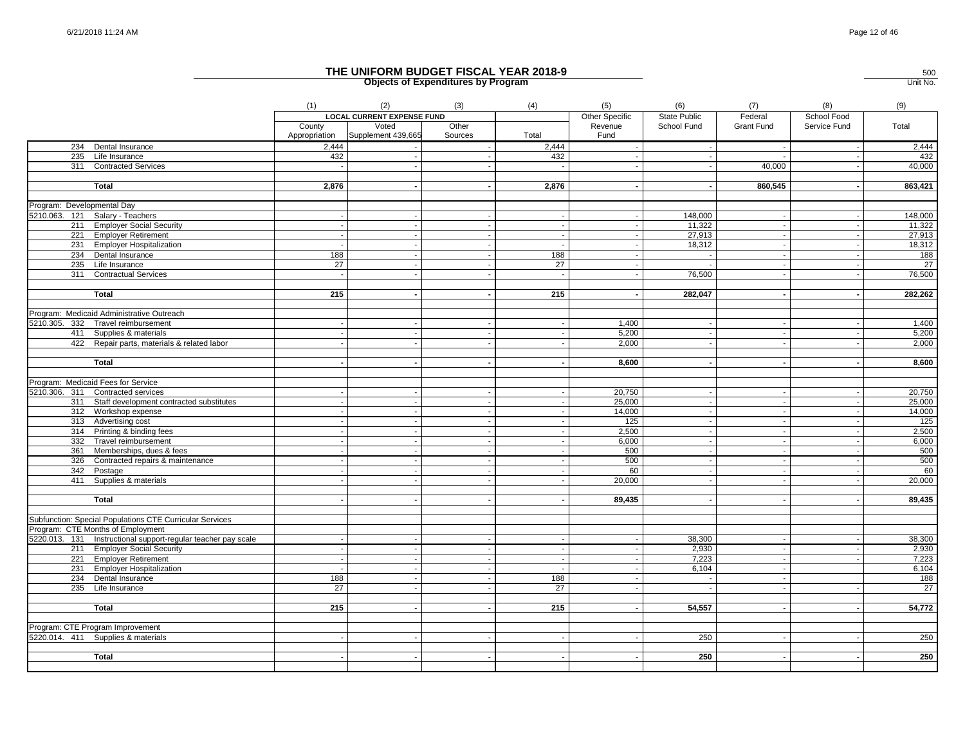|                                                               | (1)                      | (2)<br><b>LOCAL CURRENT EXPENSE FUND</b> | (3)              | (4)                      | (5)<br>Other Specific    | (6)<br><b>State Public</b>         | (7)<br>Federal           | (8)<br>School Food       | (9)            |
|---------------------------------------------------------------|--------------------------|------------------------------------------|------------------|--------------------------|--------------------------|------------------------------------|--------------------------|--------------------------|----------------|
|                                                               | County<br>Appropriation  | Voted<br>Supplement 439,665              | Other<br>Sources | Total                    | Revenue<br>Fund          | School Fund                        | <b>Grant Fund</b>        | Service Fund             | Total          |
| 234 Dental Insurance                                          | 2,444                    |                                          |                  | 2,444                    |                          | $\sim$                             | $\sim$                   | $\overline{\phantom{a}}$ | 2,444          |
| 235 Life Insurance                                            | 432                      |                                          |                  | 432                      |                          |                                    |                          |                          | 432            |
| 311 Contracted Services                                       |                          |                                          |                  |                          |                          | $\sim$                             | 40.000                   |                          | 40,000         |
| <b>Total</b>                                                  | 2,876                    |                                          |                  | 2,876                    |                          | $\sim$                             | 860,545                  | $\overline{\phantom{a}}$ | 863,421        |
| Program: Developmental Day                                    |                          |                                          |                  |                          |                          |                                    |                          |                          |                |
| 5210.063. 121 Salary - Teachers                               |                          |                                          |                  |                          |                          | 148,000                            |                          |                          | 148,000        |
| 211 Employer Social Security                                  |                          |                                          |                  |                          |                          | 11,322                             |                          |                          | 11,322         |
| 221 Employer Retirement                                       |                          |                                          |                  | $\sim$                   |                          | 27,913                             |                          | $\overline{\phantom{a}}$ | 27,913         |
| 231 Employer Hospitalization                                  |                          |                                          |                  | $\sim$                   |                          | 18,312                             |                          |                          | 18,312         |
| 234 Dental Insurance                                          | 188                      |                                          |                  | 188                      |                          | $\sim$                             | $\sim$                   | $\overline{\phantom{a}}$ | 188            |
| 235 Life Insurance                                            | $\overline{27}$          |                                          |                  | $\overline{27}$          |                          |                                    |                          |                          | $^{27}$        |
| 311 Contractual Services                                      | $\overline{\phantom{a}}$ |                                          |                  | $\sim$                   | $\overline{a}$           | 76.500                             |                          | $\sim$                   | 76,500         |
|                                                               |                          |                                          |                  |                          |                          |                                    |                          |                          |                |
| <b>Total</b>                                                  | 215                      |                                          |                  | 215                      | $\overline{\phantom{a}}$ | 282,047                            | $\sim$                   | $\sim$                   | 282,262        |
| Program: Medicaid Administrative Outreach                     |                          |                                          |                  |                          |                          |                                    |                          |                          |                |
| 5210.305. 332 Travel reimbursement                            |                          |                                          |                  |                          | 1,400                    | $\sim$                             |                          | $\overline{\phantom{a}}$ | 1,400          |
| 411 Supplies & materials                                      |                          |                                          |                  | $\overline{\phantom{a}}$ | 5,200                    | $\blacksquare$                     |                          |                          | 5,200          |
| 422 Repair parts, materials & related labor                   |                          |                                          |                  |                          | 2,000                    | $\sim$                             |                          |                          | 2,000          |
| <b>Total</b>                                                  |                          |                                          |                  | $\sim$                   | 8,600                    | $\sim$                             | $\blacksquare$           | $\sim$                   | 8,600          |
|                                                               |                          |                                          |                  |                          |                          |                                    |                          |                          |                |
| Program: Medicaid Fees for Service                            |                          |                                          |                  |                          |                          |                                    |                          |                          |                |
| 5210.306. 311 Contracted services                             |                          |                                          |                  |                          | 20,750                   | $\overline{\phantom{a}}$<br>$\sim$ |                          |                          | 20,750         |
| 311 Staff development contracted substitutes                  |                          |                                          |                  |                          | 25,000                   |                                    |                          |                          | 25,000         |
| 312 Workshop expense                                          |                          |                                          |                  |                          | 14,000                   | $\sim$                             |                          | $\overline{\phantom{a}}$ | 14,000         |
| 313 Advertising cost                                          |                          |                                          |                  |                          | 125                      | $\mathbb{Z}^2$                     |                          |                          | 125            |
| 314 Printing & binding fees                                   |                          |                                          |                  | $\sim$                   | 2,500                    | $\sim$                             | $\blacksquare$           | $\overline{\phantom{a}}$ | 2,500          |
| 332 Travel reimbursement                                      |                          |                                          |                  |                          | 6,000                    | $\sim$                             |                          |                          | 6,000          |
| 361 Memberships, dues & fees                                  |                          |                                          |                  |                          | 500                      | $\sim$                             | $\sim$                   |                          | 500            |
| 326 Contracted repairs & maintenance                          |                          |                                          |                  | $\sim$                   | 500                      | $\overline{\phantom{a}}$           |                          |                          | 500            |
| 342 Postage                                                   |                          |                                          | $\overline{a}$   | $\sim$                   | 60                       | $\sim$                             | $\sim$                   | $\overline{\phantom{a}}$ | 60             |
| 411 Supplies & materials                                      |                          |                                          |                  | $\overline{\phantom{a}}$ | 20,000                   |                                    |                          | $\overline{\phantom{a}}$ | 20,000         |
| <b>Total</b>                                                  |                          |                                          | $\blacksquare$   | $\blacksquare$           | 89,435                   | $\sim$                             | $\blacksquare$           | $\overline{\phantom{a}}$ | 89,435         |
|                                                               |                          |                                          |                  |                          |                          |                                    |                          |                          |                |
| Subfunction: Special Populations CTE Curricular Services      |                          |                                          |                  |                          |                          |                                    |                          |                          |                |
| Program: CTE Months of Employment                             |                          |                                          |                  |                          |                          |                                    |                          |                          |                |
| 5220.013. 131 Instructional support-regular teacher pay scale |                          |                                          |                  | $\sim$                   | $\overline{\phantom{a}}$ | 38,300                             | $\sim$                   | $\overline{\phantom{a}}$ | 38,300         |
| 211 Employer Social Security                                  |                          |                                          |                  | $\overline{\phantom{a}}$ |                          | 2,930                              | $\overline{\phantom{a}}$ |                          | 2,930          |
| 221 Employer Retirement                                       |                          |                                          |                  | $\sim$                   | $\overline{\phantom{a}}$ | 7,223                              | $\overline{a}$           |                          | 7,223<br>6,104 |
| 231 Employer Hospitalization                                  |                          |                                          |                  | $\sim$                   |                          | 6,104                              | $\mathbf{r}$             |                          |                |
| 234 Dental Insurance                                          | 188                      |                                          |                  | 188                      |                          | $\sim$                             | $\sim$                   |                          | 188            |
| 235 Life Insurance                                            | 27                       |                                          |                  | 27                       |                          |                                    |                          |                          | 27             |
| Total                                                         | 215                      |                                          |                  | 215                      |                          | 54,557                             | $\blacksquare$           | $\overline{\phantom{a}}$ | 54,772         |
| Program: CTE Program Improvement                              |                          |                                          |                  |                          |                          |                                    |                          |                          |                |
|                                                               |                          |                                          |                  |                          |                          |                                    |                          |                          |                |
| 5220.014. 411 Supplies & materials                            |                          |                                          |                  |                          |                          | 250                                |                          |                          | 250            |
| Total                                                         |                          |                                          |                  | $\sim$                   |                          | 250                                |                          |                          | 250            |
|                                                               |                          |                                          |                  |                          |                          |                                    |                          |                          |                |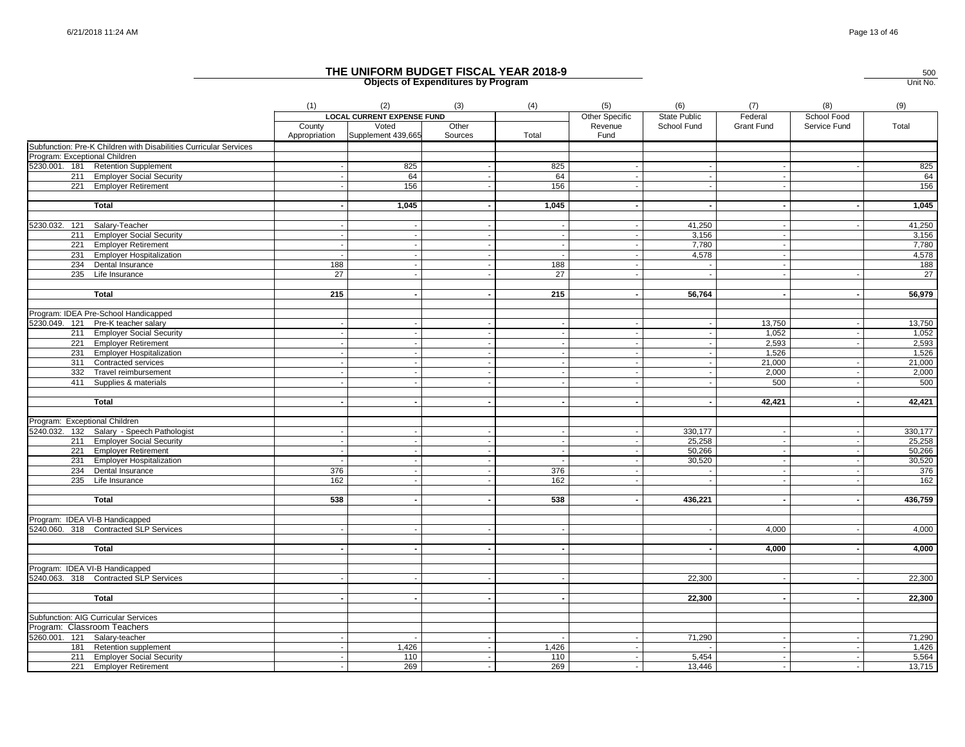|                                                                         | (1)             | (2)                               | (3)                      | (4)                      | (5)                      | (6)                      | (7)               | (8)            | (9)             |
|-------------------------------------------------------------------------|-----------------|-----------------------------------|--------------------------|--------------------------|--------------------------|--------------------------|-------------------|----------------|-----------------|
|                                                                         |                 | <b>LOCAL CURRENT EXPENSE FUND</b> |                          |                          | Other Specific           | <b>State Public</b>      | Federal           | School Food    |                 |
|                                                                         | County          | Voted                             | Other                    |                          | Revenue                  | School Fund              | <b>Grant Fund</b> | Service Fund   | Total           |
|                                                                         | Appropriation   | Supplement 439,665                | Sources                  | Total                    | Fund                     |                          |                   |                |                 |
| Subfunction: Pre-K Children with Disabilities Curricular Services       |                 |                                   |                          |                          |                          |                          |                   |                |                 |
| Program: Exceptional Children                                           |                 |                                   |                          |                          |                          |                          |                   |                |                 |
| 5230.001. 181 Retention Supplement                                      |                 | 825                               |                          | 825                      |                          |                          |                   |                | 825             |
| 211 Employer Social Security                                            |                 | 64                                |                          | 64                       |                          |                          |                   |                | 64              |
| 221 Employer Retirement                                                 |                 | 156                               |                          | 156                      |                          | $\sim$                   |                   |                | 156             |
|                                                                         |                 |                                   |                          |                          |                          |                          |                   |                |                 |
| <b>Total</b>                                                            |                 | 1,045                             |                          | 1,045                    |                          |                          |                   |                | 1,045           |
| 5230.032. 121<br>Salary-Teacher                                         |                 |                                   |                          |                          |                          | 41,250                   |                   |                | 41,250          |
| 211 Employer Social Security                                            |                 |                                   |                          |                          |                          | 3,156                    |                   |                | 3,156           |
| 221 Employer Retirement                                                 |                 |                                   |                          |                          |                          | 7,780                    |                   |                | 7,780           |
| 231 Employer Hospitalization                                            |                 | $\mathbf{r}$                      |                          |                          |                          | 4,578                    |                   |                | 4,578           |
| 234 Dental Insurance                                                    | 188             |                                   |                          | 188                      |                          |                          |                   |                | 188             |
| 235 Life Insurance                                                      | $\overline{27}$ |                                   |                          | $\overline{27}$          |                          |                          |                   |                | $\overline{27}$ |
|                                                                         |                 |                                   |                          |                          |                          |                          |                   |                |                 |
| Total                                                                   | 215             |                                   |                          | 215                      |                          | 56,764                   |                   | $\blacksquare$ | 56,979          |
| Program: IDEA Pre-School Handicapped                                    |                 |                                   |                          |                          |                          |                          |                   |                |                 |
| 5230.049. 121 Pre-K teacher salary                                      |                 |                                   |                          |                          |                          |                          | 13,750            |                | 13,750          |
| 211 Employer Social Security                                            |                 |                                   |                          | $\overline{\phantom{a}}$ | $\overline{a}$           | $\sim$                   | 1,052             | $\sim$         | 1,052           |
| 221 Employer Retirement                                                 |                 |                                   |                          |                          |                          |                          | 2,593             |                | 2,593           |
| 231 Employer Hospitalization                                            |                 |                                   |                          |                          | $\overline{a}$           | $\sim$                   | 1,526             |                | 1,526           |
| 311 Contracted services                                                 |                 |                                   |                          |                          |                          |                          | 21,000            |                | 21,000          |
|                                                                         |                 |                                   |                          |                          |                          |                          |                   |                |                 |
| 332 Travel reimbursement                                                |                 |                                   |                          |                          |                          |                          | 2,000             |                | 2,000           |
| 411 Supplies & materials                                                |                 |                                   |                          |                          |                          |                          | 500               |                | 500             |
| Total                                                                   |                 |                                   |                          |                          |                          | $\blacksquare$           | 42,421            | $\blacksquare$ | 42,421          |
|                                                                         |                 |                                   |                          |                          |                          |                          |                   |                |                 |
| Program: Exceptional Children                                           |                 |                                   |                          |                          |                          |                          |                   |                |                 |
| 5240.032. 132 Salary - Speech Pathologist                               |                 |                                   |                          |                          |                          | 330,177                  |                   |                | 330.177         |
| 211 Employer Social Security                                            |                 |                                   | $\overline{\phantom{a}}$ | $\sim$                   | $\overline{\phantom{a}}$ | 25,258                   | $\sim$            | $\sim$         | 25,258          |
| 221 Employer Retirement                                                 |                 |                                   |                          |                          |                          | 50,266                   |                   |                | 50,266          |
| 231 Employer Hospitalization                                            |                 |                                   |                          |                          |                          | 30,520                   |                   |                | 30,520          |
| 234 Dental Insurance                                                    | 376             |                                   |                          | 376                      |                          |                          |                   |                | 376             |
| 235<br>Life Insurance                                                   | 162             |                                   |                          | 162                      |                          |                          |                   |                | 162             |
|                                                                         |                 |                                   |                          |                          |                          |                          |                   |                |                 |
| <b>Total</b>                                                            | 538             |                                   |                          | 538                      |                          | 436,221                  |                   |                | 436,759         |
|                                                                         |                 |                                   |                          |                          |                          |                          |                   |                |                 |
| Program: IDEA VI-B Handicapped<br>5240.060. 318 Contracted SLP Services |                 |                                   |                          |                          |                          |                          |                   |                |                 |
|                                                                         |                 |                                   |                          |                          |                          |                          | 4.000             |                | 4,000           |
| <b>Total</b>                                                            |                 |                                   |                          |                          |                          | $\sim$                   | 4,000             |                | 4,000           |
|                                                                         |                 |                                   |                          |                          |                          |                          |                   |                |                 |
| Program: IDEA VI-B Handicapped                                          |                 |                                   |                          |                          |                          |                          |                   |                |                 |
| 5240.063. 318 Contracted SLP Services                                   |                 |                                   |                          |                          |                          | 22,300                   |                   |                | 22,300          |
|                                                                         |                 |                                   |                          |                          |                          |                          |                   |                |                 |
| <b>Total</b>                                                            |                 |                                   |                          |                          |                          | 22,300                   |                   |                | 22,300          |
|                                                                         |                 |                                   |                          |                          |                          |                          |                   |                |                 |
| Subfunction: AIG Curricular Services                                    |                 |                                   |                          |                          |                          |                          |                   |                |                 |
| Program: Classroom Teachers                                             |                 |                                   |                          |                          |                          |                          |                   |                |                 |
| 5260.001. 121 Salary-teacher                                            |                 |                                   |                          |                          |                          | 71,290                   |                   |                | 71,290          |
| 181 Retention supplement                                                |                 | 1,426                             |                          | 1,426                    |                          | $\overline{\phantom{a}}$ |                   |                | 1,426           |
| 211 Employer Social Security                                            |                 | 110                               | $\sim$                   | 110                      |                          | 5,454                    | $\sim$            | $\sim$         | 5,564           |
| 221 Employer Retirement                                                 |                 | 269                               |                          | 269                      |                          | 13,446                   |                   |                | 13,715          |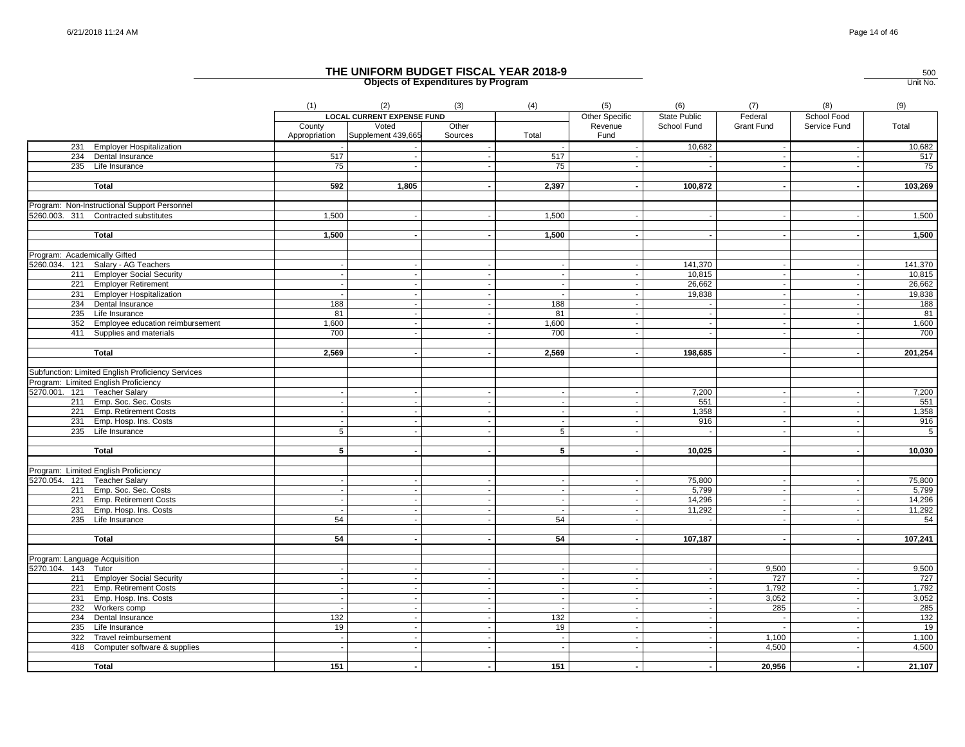|                               |                                                   | (1)                     | (2)                                                              | (3)                      | (4)            | (5)                               | (6)                                | (7)                         | (8)                         | (9)     |
|-------------------------------|---------------------------------------------------|-------------------------|------------------------------------------------------------------|--------------------------|----------------|-----------------------------------|------------------------------------|-----------------------------|-----------------------------|---------|
|                               |                                                   | County<br>Appropriation | <b>LOCAL CURRENT EXPENSE FUND</b><br>Voted<br>Supplement 439,665 | Other<br>Sources         | Total          | Other Specific<br>Revenue<br>Fund | <b>State Public</b><br>School Fund | Federal<br>Grant Fund       | School Food<br>Service Fund | Total   |
|                               | 231 Employer Hospitalization                      |                         | $\sim$                                                           |                          | $\sim$         | $\sim$                            | 10,682                             | $\sim$                      | $\sim$                      | 10,682  |
|                               | 234 Dental Insurance                              | 517                     |                                                                  |                          | 517            |                                   |                                    | $\sim$                      | $\sim$                      | 517     |
|                               | 235 Life Insurance                                | 75                      | $\sim$                                                           |                          | 75             |                                   |                                    |                             |                             | 75      |
|                               | Total                                             | 592                     | 1,805                                                            |                          | 2,397          |                                   | 100,872                            |                             |                             | 103,269 |
|                               | Program: Non-Instructional Support Personnel      |                         |                                                                  |                          |                |                                   |                                    |                             |                             |         |
|                               | 5260.003. 311 Contracted substitutes              | 1,500                   |                                                                  |                          | 1,500          |                                   |                                    |                             |                             | 1,500   |
|                               |                                                   |                         |                                                                  |                          |                |                                   |                                    |                             |                             |         |
|                               | Total                                             | 1,500                   |                                                                  |                          | 1,500          |                                   |                                    | $\sim$                      |                             | 1,500   |
| Program: Academically Gifted  |                                                   |                         |                                                                  |                          |                |                                   |                                    |                             |                             |         |
|                               | 5260.034. 121 Salary - AG Teachers                |                         |                                                                  |                          |                |                                   | 141,370                            |                             |                             | 141,370 |
|                               | 211 Employer Social Security                      |                         |                                                                  |                          |                |                                   | 10,815                             | $\sim$                      |                             | 10,815  |
|                               | 221 Employer Retirement                           |                         |                                                                  | $\blacksquare$           |                |                                   | 26,662                             | $\sim$                      | $\overline{\phantom{a}}$    | 26,662  |
|                               | 231 Employer Hospitalization                      |                         |                                                                  |                          |                |                                   | 19,838                             |                             |                             | 19,838  |
|                               | 234 Dental Insurance                              | 188                     |                                                                  |                          | 188            |                                   |                                    | $\sim$                      |                             | 188     |
|                               | 235 Life Insurance                                | 81                      |                                                                  |                          | 81             |                                   |                                    |                             |                             | 81      |
|                               | 352 Employee education reimbursement              | 1,600                   | $\sim$                                                           |                          | 1,600          |                                   |                                    | $\sim$                      | $\blacksquare$              | 1,600   |
|                               | 411 Supplies and materials                        | 700                     |                                                                  |                          | 700            |                                   |                                    |                             |                             | 700     |
|                               | Total                                             | 2,569                   |                                                                  | $\blacksquare$           | 2,569          |                                   | 198,685                            |                             | $\blacksquare$              | 201,254 |
|                               |                                                   |                         |                                                                  |                          |                |                                   |                                    | $\sim$                      |                             |         |
|                               | Subfunction: Limited English Proficiency Services |                         |                                                                  |                          |                |                                   |                                    |                             |                             |         |
|                               | Program: Limited English Proficiency              |                         |                                                                  |                          |                |                                   |                                    |                             |                             |         |
|                               | 5270.001. 121 Teacher Salary                      |                         |                                                                  |                          |                |                                   | 7,200                              | $\sim$                      | $\overline{\phantom{a}}$    | 7,200   |
|                               | 211 Emp. Soc. Sec. Costs                          |                         |                                                                  |                          |                |                                   | 551                                | $\sim$                      |                             | 551     |
|                               | 221 Emp. Retirement Costs                         |                         |                                                                  |                          |                |                                   | 1,358                              | $\sim$                      |                             | 1,358   |
|                               | 231 Emp. Hosp. Ins. Costs                         |                         |                                                                  |                          |                |                                   | 916                                | $\sim$                      |                             | 916     |
|                               | 235 Life Insurance                                | 5                       | $\sim$                                                           |                          | $\overline{5}$ | $\overline{\phantom{a}}$          |                                    | $\sim$                      | $\overline{\phantom{a}}$    | $-5$    |
|                               | <b>Total</b>                                      | 5                       |                                                                  | $\sim$                   | 5              |                                   | 10,025                             | $\sim$                      |                             | 10,030  |
|                               |                                                   |                         |                                                                  |                          |                |                                   |                                    |                             |                             |         |
|                               | Program: Limited English Proficiency              |                         |                                                                  |                          |                |                                   |                                    |                             |                             |         |
|                               | 5270.054. 121 Teacher Salary                      |                         |                                                                  |                          |                |                                   | 75,800                             |                             |                             | 75,800  |
|                               | 211 Emp. Soc. Sec. Costs                          |                         |                                                                  |                          |                |                                   | 5,799                              | $\mathcal{L}_{\mathcal{A}}$ | $\blacksquare$              | 5,799   |
|                               | 221 Emp. Retirement Costs                         |                         |                                                                  | $\overline{\phantom{a}}$ |                |                                   | 14,296                             | $\sim$                      | $\overline{\phantom{a}}$    | 14,296  |
|                               | 231 Emp. Hosp. Ins. Costs                         |                         |                                                                  |                          |                |                                   | 11,292                             | $\sim$                      |                             | 11,292  |
|                               | 235 Life Insurance                                | 54                      |                                                                  |                          | 54             |                                   |                                    | $\sim$                      | $\overline{\phantom{a}}$    | 54      |
|                               | Total                                             | 54                      | $\sim$                                                           |                          | 54             |                                   | 107,187                            | $\sim$                      | $\blacksquare$              | 107,241 |
|                               |                                                   |                         |                                                                  |                          |                |                                   |                                    |                             |                             |         |
| Program: Language Acquisition |                                                   |                         |                                                                  |                          |                |                                   |                                    |                             |                             |         |
| 5270.104. 143 Tutor           |                                                   |                         |                                                                  |                          |                |                                   |                                    | 9,500                       |                             | 9,500   |
|                               | 211 Employer Social Security                      |                         |                                                                  |                          |                |                                   |                                    | 727                         |                             | 727     |
|                               | 221 Emp. Retirement Costs                         |                         |                                                                  |                          |                |                                   |                                    | 1,792                       |                             | 1,792   |
|                               | 231 Emp. Hosp. Ins. Costs                         |                         |                                                                  |                          |                |                                   |                                    | 3,052                       |                             | 3,052   |
|                               | 232 Workers comp                                  |                         | $\sim$                                                           | $\sim$                   |                | $\sim$                            |                                    | 285                         | $\sim$                      | 285     |
|                               | 234 Dental Insurance                              | 132                     |                                                                  |                          | 132            |                                   |                                    | $\sim$                      | $\blacksquare$              | 132     |
|                               | $235$ Life Insurance                              | 19                      | $\sim$                                                           | $\sim$                   | 19             | $\overline{\phantom{a}}$          |                                    | $\sim$                      | $\sim$                      | 19      |
| 322                           | Travel reimbursement                              |                         |                                                                  |                          | $\sim$         |                                   |                                    | 1,100                       | $\blacksquare$              | 1,100   |
|                               | 418 Computer software & supplies                  |                         |                                                                  |                          |                | $\overline{\phantom{a}}$          |                                    | 4,500                       |                             | 4,500   |
|                               | <b>Total</b>                                      | 151                     |                                                                  |                          | 151            |                                   |                                    | 20,956                      |                             | 21,107  |
|                               |                                                   |                         |                                                                  |                          |                |                                   |                                    |                             |                             |         |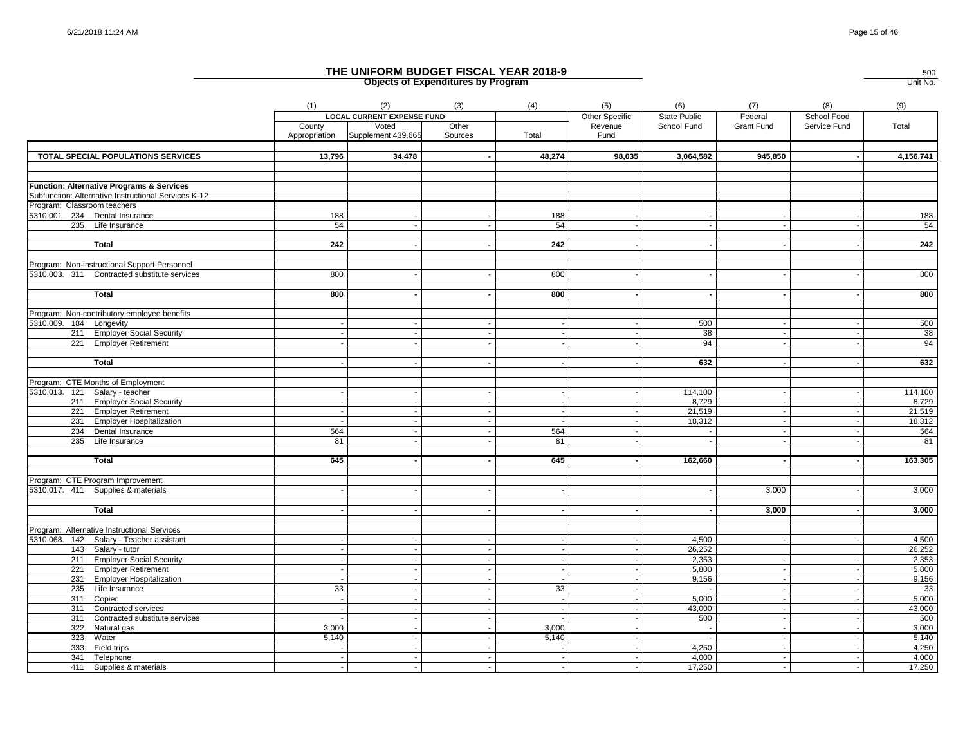|                                                      | (1)                      | (2)                               | (3)            | (4)                      | (5)                      | (6)                 | (7)        | (8)                      | (9)       |
|------------------------------------------------------|--------------------------|-----------------------------------|----------------|--------------------------|--------------------------|---------------------|------------|--------------------------|-----------|
|                                                      |                          | <b>LOCAL CURRENT EXPENSE FUND</b> |                |                          | Other Specific           | <b>State Public</b> | Federal    | School Food              |           |
|                                                      | County                   | Voted                             | Other          |                          | Revenue                  | School Fund         | Grant Fund | Service Fund             | Total     |
|                                                      |                          | Appropriation Supplement 439,665  | Sources        | Total                    | Fund                     |                     |            |                          |           |
|                                                      |                          |                                   |                |                          |                          |                     |            |                          |           |
| TOTAL SPECIAL POPULATIONS SERVICES                   | 13,796                   | 34,478                            |                | 48,274                   | 98,035                   | 3,064,582           | 945,850    |                          | 4,156,741 |
|                                                      |                          |                                   |                |                          |                          |                     |            |                          |           |
| <b>Function: Alternative Programs &amp; Services</b> |                          |                                   |                |                          |                          |                     |            |                          |           |
| Subfunction: Alternative Instructional Services K-12 |                          |                                   |                |                          |                          |                     |            |                          |           |
| Program: Classroom teachers                          |                          |                                   |                |                          |                          |                     |            |                          |           |
| 5310.001 234 Dental Insurance                        | 188                      |                                   |                | 188                      |                          |                     | $\sim$     |                          | 188       |
| 235 Life Insurance                                   | 54                       |                                   |                | 54                       |                          |                     |            |                          | 54        |
|                                                      |                          |                                   |                |                          |                          |                     |            |                          |           |
| <b>Total</b>                                         | 242                      |                                   |                | 242                      |                          |                     |            |                          | 242       |
|                                                      |                          |                                   |                |                          |                          |                     |            |                          |           |
| Program: Non-instructional Support Personnel         |                          |                                   |                |                          |                          |                     |            |                          |           |
| 5310.003. 311 Contracted substitute services         | 800                      |                                   |                | 800                      |                          |                     |            |                          | 800       |
|                                                      |                          |                                   |                |                          |                          |                     |            |                          |           |
| <b>Total</b>                                         | 800                      |                                   |                | 800                      |                          |                     |            |                          | 800       |
|                                                      |                          |                                   |                |                          |                          |                     |            |                          |           |
| Program: Non-contributory employee benefits          |                          |                                   |                |                          |                          |                     |            |                          |           |
| 5310.009. 184 Longevity                              |                          |                                   |                |                          |                          | 500                 |            |                          | 500       |
| 211 Employer Social Security                         |                          |                                   |                | $\overline{\phantom{a}}$ |                          | 38                  | $\sim$     |                          | 38        |
| 221 Employer Retirement                              |                          |                                   |                |                          |                          | 94                  | $\sim$     |                          | 94        |
|                                                      |                          |                                   |                |                          |                          |                     |            |                          |           |
| <b>Total</b>                                         |                          |                                   |                |                          |                          | 632                 |            |                          | 632       |
|                                                      |                          |                                   |                |                          |                          |                     |            |                          |           |
| Program: CTE Months of Employment                    |                          |                                   |                |                          |                          |                     |            |                          |           |
| 5310.013. 121 Salary - teacher                       |                          |                                   |                |                          |                          | 114,100             | $\sim$     |                          | 114,100   |
| 211 Employer Social Security                         |                          |                                   |                | $\sim$                   |                          | 8,729               | $\sim$     | $\sim$                   | 8,729     |
| 221 Employer Retirement                              |                          |                                   |                | $\sim$                   | $\overline{\phantom{a}}$ | 21,519              | $\sim$     | $\overline{\phantom{a}}$ | 21,519    |
| 231 Employer Hospitalization                         |                          |                                   |                |                          |                          | 18,312              |            |                          | 18,312    |
| 234 Dental Insurance                                 | 564                      |                                   |                | 564                      |                          |                     | $\sim$     |                          | 564       |
| 235<br>Life Insurance                                | 81                       |                                   |                | 81                       |                          |                     |            |                          | 81        |
|                                                      |                          |                                   |                |                          |                          |                     |            |                          |           |
| Total                                                | 645                      |                                   |                | 645                      |                          | 162,660             |            |                          | 163,305   |
| Program: CTE Program Improvement                     |                          |                                   |                |                          |                          |                     |            |                          |           |
| 5310.017. 411 Supplies & materials                   |                          |                                   |                |                          |                          |                     | 3,000      |                          | 3,000     |
|                                                      |                          |                                   |                |                          |                          |                     |            |                          |           |
| Total                                                |                          |                                   |                |                          |                          |                     | 3,000      |                          | 3,000     |
|                                                      |                          |                                   |                |                          |                          |                     |            |                          |           |
| Program: Alternative Instructional Services          |                          |                                   |                |                          |                          |                     |            |                          |           |
| 5310.068. 142 Salary - Teacher assistant             |                          |                                   |                |                          |                          | 4,500               |            |                          | 4,500     |
| 143 Salary - tutor                                   |                          |                                   |                | $\sim$                   |                          | 26,252              |            |                          | 26,252    |
| 211 Employer Social Security                         |                          |                                   |                | $\sim$                   |                          | 2,353               |            |                          | 2,353     |
| 221 Employer Retirement                              |                          |                                   |                | $\sim$                   | $\sim$                   | 5,800               | $\sim$     |                          | 5,800     |
| 231 Employer Hospitalization                         |                          |                                   |                | $\overline{\phantom{a}}$ |                          | 9,156               | $\sim$     | $\blacksquare$           | 9,156     |
| 235 Life Insurance                                   | 33                       |                                   |                | 33                       |                          |                     | $\sim$     |                          | 33        |
| 311 Copier                                           |                          |                                   |                |                          |                          | 5,000               |            |                          | 5,000     |
| 311 Contracted services                              |                          |                                   |                |                          |                          | 43,000              | $\sim$     |                          | 43,000    |
| 311 Contracted substitute services                   |                          |                                   | $\blacksquare$ |                          | $\overline{\phantom{a}}$ | 500                 | $\sim$     | $\sim$                   | 500       |
| 322 Natural gas                                      | 3,000                    |                                   |                | 3,000                    |                          |                     |            |                          | 3,000     |
| 323<br>Water                                         | 5,140                    |                                   |                | 5,140                    |                          |                     | $\sim$     |                          | 5,140     |
| 333 Field trips                                      |                          |                                   |                |                          |                          | 4,250               | $\sim$     |                          | 4,250     |
| 341 Telephone                                        | $\overline{\phantom{a}}$ |                                   |                | $\overline{\phantom{a}}$ | $\sim$                   | 4,000               | $\sim$     | $\overline{\phantom{a}}$ | 4,000     |
| 411 Supplies & materials                             |                          |                                   |                |                          |                          | 17,250              | $\sim$     | $\blacksquare$           | 17,250    |
|                                                      |                          |                                   |                |                          |                          |                     |            |                          |           |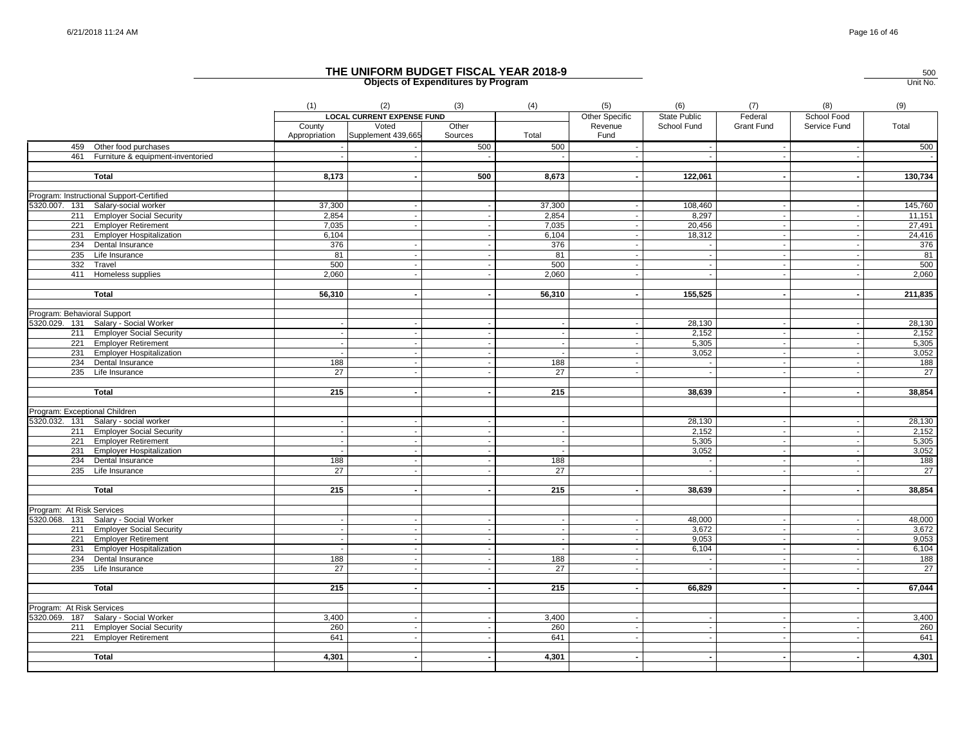|                               |                                          | (1)                     | (2)                               | (3)              | (4)             | (5)                      | (6)                      | (7)                      | (8)          | (9)             |
|-------------------------------|------------------------------------------|-------------------------|-----------------------------------|------------------|-----------------|--------------------------|--------------------------|--------------------------|--------------|-----------------|
|                               |                                          |                         | <b>LOCAL CURRENT EXPENSE FUND</b> |                  |                 | Other Specific           | State Public             | Federal                  | School Food  |                 |
|                               |                                          | County<br>Appropriation | Voted<br>Supplement 439,665       | Other<br>Sources | Total           | Revenue<br>Fund          | School Fund              | <b>Grant Fund</b>        | Service Fund | Total           |
|                               | 459 Other food purchases                 |                         |                                   | 500              | 500             |                          |                          |                          |              | 500             |
|                               | 461 Furniture & equipment-inventoried    |                         |                                   |                  |                 |                          |                          | $\sim$                   |              | $\sim$          |
|                               |                                          |                         |                                   |                  |                 |                          |                          |                          |              |                 |
|                               | <b>Total</b>                             | 8,173                   | $\sim$                            | 500              | 8,673           | $\sim$                   | 122,061                  | $\sim$                   |              | 130,734         |
|                               |                                          |                         |                                   |                  |                 |                          |                          |                          |              |                 |
|                               | Program: Instructional Support-Certified |                         |                                   |                  |                 |                          |                          |                          |              |                 |
|                               | 5320.007. 131 Salary-social worker       | 37,300                  |                                   |                  | 37,300          |                          | 108,460                  |                          |              | 145,760         |
|                               | 211 Employer Social Security             | 2,854                   |                                   |                  | 2,854           | $\overline{\phantom{a}}$ | 8,297                    | $\sim$                   |              | 11,151          |
|                               | 221 Employer Retirement                  | 7,035                   |                                   |                  | 7,035           | $\sim$                   | 20,456                   | $\sim$                   |              | 27,491          |
|                               | 231 Employer Hospitalization             | 6,104                   |                                   |                  | 6,104           |                          | 18,312                   | $\sim$                   |              | 24,416          |
|                               | 234 Dental Insurance                     | 376                     | $\sim$                            |                  | 376             | $\overline{\phantom{a}}$ | $\sim$                   | $\sim$                   |              | 376             |
|                               | 235 Life Insurance                       | 81                      | $\sim$                            |                  | 81              | $\sim$                   | $\sim$                   | $\sim$                   |              | 81              |
|                               | 332 Travel                               | 500                     | $\overline{\phantom{a}}$          |                  | 500             |                          | $\overline{\phantom{a}}$ | $\overline{\phantom{a}}$ |              | 500             |
|                               | 411 Homeless supplies                    | 2,060                   |                                   |                  | 2,060           |                          |                          |                          |              | 2,060           |
|                               | Total                                    | 56,310                  |                                   |                  | 56,310          |                          | 155,525                  |                          |              | 211,835         |
|                               |                                          |                         |                                   |                  |                 |                          |                          |                          |              |                 |
| Program: Behavioral Support   |                                          |                         |                                   |                  |                 |                          |                          |                          |              |                 |
|                               | 5320.029. 131 Salary - Social Worker     |                         |                                   |                  |                 |                          | 28,130                   |                          |              | 28,130          |
|                               | 211 Employer Social Security             |                         |                                   |                  | $\sim$          | $\overline{\phantom{a}}$ | 2,152                    | $\sim$                   |              | 2,152           |
|                               | 221 Employer Retirement                  |                         |                                   |                  |                 |                          | 5,305                    | $\overline{\phantom{a}}$ |              | 5,305           |
|                               | 231 Employer Hospitalization             |                         |                                   |                  |                 |                          | 3,052                    | $\sim$                   |              | 3,052           |
|                               | 234 Dental Insurance                     | 188                     | $\sim$                            |                  | 188             | $\overline{\phantom{a}}$ | $\sim$                   | $\sim$                   |              | 188             |
|                               | 235 Life Insurance                       | 27                      |                                   |                  | 27              |                          | $\sim$                   | $\sim$                   |              | $\overline{27}$ |
|                               |                                          |                         |                                   |                  |                 |                          |                          |                          |              |                 |
|                               | <b>Total</b>                             | 215                     |                                   |                  | 215             |                          | 38,639                   |                          |              | 38,854          |
|                               |                                          |                         |                                   |                  |                 |                          |                          |                          |              |                 |
| Program: Exceptional Children |                                          |                         |                                   |                  |                 |                          |                          |                          |              |                 |
|                               | 5320.032. 131 Salary - social worker     |                         |                                   |                  |                 |                          | 28.130                   | $\sim$                   |              | 28,130          |
|                               | 211 Employer Social Security             |                         |                                   |                  |                 |                          | 2,152                    |                          |              | 2,152           |
|                               | 221 Employer Retirement                  |                         |                                   |                  | $\blacksquare$  |                          | 5,305                    | $\sim$                   |              | 5,305           |
|                               | 231 Employer Hospitalization             |                         |                                   |                  |                 |                          | 3,052                    |                          |              | 3,052           |
|                               | 234 Dental Insurance                     | 188                     | $\sim$<br>$\sim$                  |                  | 188             |                          | $\sim$                   | $\sim$<br>$\sim$         |              | 188             |
|                               | 235 Life Insurance                       | 27                      |                                   |                  | $\overline{27}$ |                          | $\sim$                   |                          |              | $\overline{27}$ |
|                               | Total                                    | 215                     |                                   |                  | 215             |                          | 38,639                   |                          |              | 38,854          |
|                               |                                          |                         |                                   |                  |                 |                          |                          |                          |              |                 |
| Program: At Risk Services     |                                          |                         |                                   |                  |                 |                          |                          |                          |              |                 |
|                               | 5320.068. 131 Salary - Social Worker     |                         |                                   |                  |                 |                          | 48,000                   |                          |              | 48,000          |
|                               | 211 Employer Social Security             |                         |                                   |                  |                 |                          | 3,672                    |                          |              | 3,672           |
|                               | 221 Employer Retirement                  |                         |                                   |                  |                 | $\overline{\phantom{a}}$ | 9,053                    | $\sim$                   |              | 9,053           |
|                               | 231 Employer Hospitalization             |                         |                                   |                  |                 | $\overline{\phantom{a}}$ | 6,104                    | $\sim$                   |              | 6,104           |
|                               | 234 Dental Insurance                     | 188                     |                                   |                  | 188             |                          |                          |                          |              | 188             |
|                               | 235 Life Insurance                       | 27                      | $\sim$                            |                  | 27              | $\sim$                   | $\sim$                   | $\sim$                   |              | 27              |
|                               | Total                                    | 215                     | $\sim$                            |                  | 215             | $\sim$                   | 66,829                   | $\sim$                   |              | 67,044          |
|                               |                                          |                         |                                   |                  |                 |                          |                          |                          |              |                 |
| Program: At Risk Services     |                                          |                         |                                   |                  |                 |                          |                          |                          |              |                 |
|                               | 5320.069. 187 Salary - Social Worker     | 3,400                   |                                   |                  | 3,400           |                          |                          |                          |              | 3,400           |
|                               | 211 Employer Social Security             | 260                     |                                   |                  | 260             |                          |                          |                          |              | 260             |
|                               | 221 Employer Retirement                  | 641                     |                                   |                  | 641             |                          |                          |                          |              | 641             |
|                               |                                          |                         |                                   |                  |                 |                          |                          |                          |              |                 |
|                               | <b>Total</b>                             | 4,301                   | $\sim$                            |                  | 4,301           | $\blacksquare$           | $\sim$                   | $\sim$                   |              | 4,301           |
|                               |                                          |                         |                                   |                  |                 |                          |                          |                          |              |                 |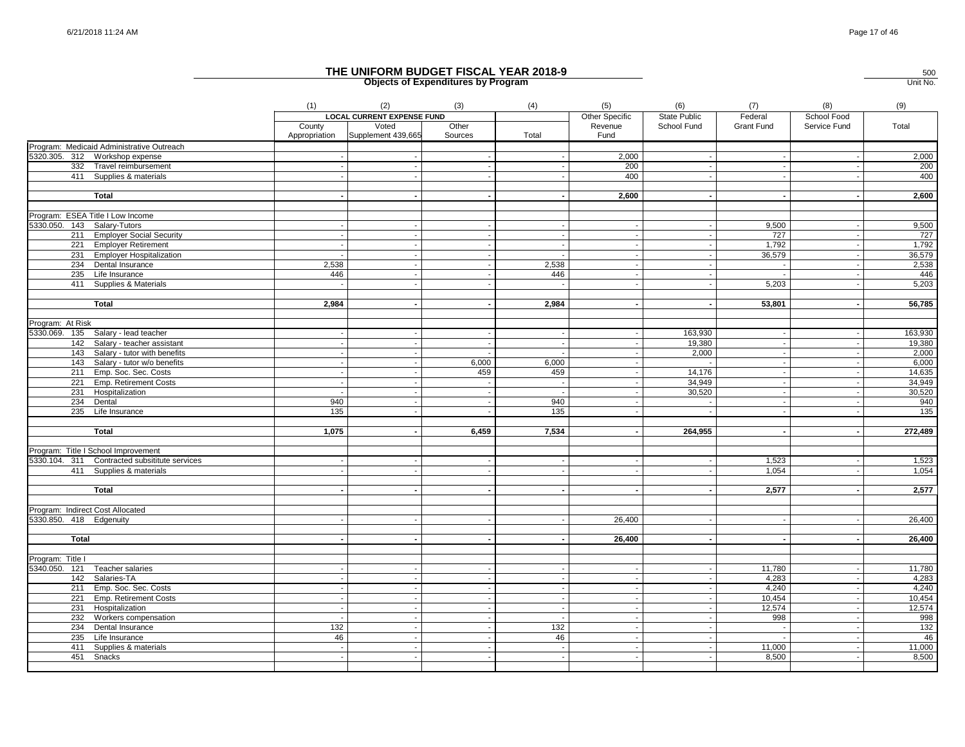|                             |                                               | (1)                      | (2)                               | (3)     | (4)                      | (5)                      | (6)          | (7)               | (8)                      | (9)     |
|-----------------------------|-----------------------------------------------|--------------------------|-----------------------------------|---------|--------------------------|--------------------------|--------------|-------------------|--------------------------|---------|
|                             |                                               |                          | <b>LOCAL CURRENT EXPENSE FUND</b> |         |                          | Other Specific           | State Public | Federal           | School Food              |         |
|                             |                                               | County                   | Voted                             | Other   |                          | Revenue                  | School Fund  | <b>Grant Fund</b> | Service Fund             | Total   |
|                             |                                               |                          | Appropriation Supplement 439,665  | Sources | Total                    | Fund                     |              |                   |                          |         |
|                             | Program: Medicaid Administrative Outreach     |                          |                                   |         |                          |                          |              |                   |                          |         |
|                             | 5320.305. 312 Workshop expense                |                          |                                   |         |                          | 2,000                    | $\sim$       |                   |                          | 2,000   |
|                             | 332 Travel reimbursement                      |                          |                                   |         |                          | 200                      |              |                   |                          | 200     |
|                             | 411 Supplies & materials                      |                          |                                   |         |                          | 400                      |              |                   |                          | 400     |
|                             |                                               |                          |                                   |         |                          |                          |              |                   |                          |         |
|                             | Total                                         |                          |                                   |         |                          | 2,600                    |              |                   |                          | 2,600   |
|                             | Program: ESEA Title I Low Income              |                          |                                   |         |                          |                          |              |                   |                          |         |
| 5330.050. 143 Salary-Tutors |                                               |                          |                                   |         |                          | $\sim$                   | $\sim$       | 9,500             | $\overline{\phantom{a}}$ | 9,500   |
|                             | 211 Employer Social Security                  |                          |                                   |         |                          | $\overline{\phantom{a}}$ | $\sim$       | 727               | $\blacksquare$           | 727     |
|                             | 221 Employer Retirement                       | $\sim$                   | $\sim$                            | $\sim$  | $\sim$                   | $\overline{\phantom{a}}$ | $\sim$       | 1,792             | $\sim$                   | 1,792   |
|                             | 231 Employer Hospitalization                  | $\overline{\phantom{a}}$ | $\sim$                            |         |                          |                          | $\sim$       | 36,579            | $\sim$                   | 36,579  |
|                             | 234 Dental Insurance                          | 2,538                    |                                   |         | 2,538                    |                          | $\sim$       |                   |                          | 2,538   |
|                             | 235 Life Insurance                            | 446                      |                                   |         | 446                      |                          |              |                   |                          | 446     |
|                             | 411 Supplies & Materials                      |                          |                                   |         |                          |                          |              | 5,203             |                          |         |
|                             |                                               |                          |                                   |         |                          |                          |              |                   |                          | 5,203   |
|                             | <b>Total</b>                                  | 2,984                    |                                   |         | 2,984                    |                          |              | 53,801            |                          | 56,785  |
|                             |                                               |                          |                                   |         |                          |                          |              |                   |                          |         |
| Program: At Risk            |                                               |                          |                                   |         |                          |                          |              |                   |                          |         |
|                             | 5330.069. 135 Salary - lead teacher           | - 11                     |                                   |         | $\sim$                   | $\overline{\phantom{a}}$ | 163,930      | $\sim$            | $\overline{\phantom{a}}$ | 163,930 |
|                             | 142 Salary - teacher assistant                |                          |                                   |         |                          |                          | 19,380       |                   |                          | 19,380  |
|                             | 143 Salary - tutor with benefits              |                          |                                   |         |                          |                          | 2,000        |                   |                          | 2,000   |
|                             | 143 Salary - tutor w/o benefits               |                          |                                   | 6,000   | 6,000                    |                          | $\sim$       |                   |                          | 6,000   |
|                             | 211 Emp. Soc. Sec. Costs                      |                          |                                   | 459     | 459                      |                          | 14,176       |                   |                          | 14,635  |
|                             | 221 Emp. Retirement Costs                     |                          |                                   |         | $\sim$                   |                          | 34,949       |                   |                          | 34,949  |
|                             | 231 Hospitalization                           | $\sim$                   |                                   |         | $\sim$                   |                          | 30,520       |                   |                          | 30,520  |
|                             | 234 Dental                                    | 940                      | $\sim$                            |         | 940                      | $\sim$                   | $\sim$       |                   |                          | 940     |
|                             | 235 Life Insurance                            | 135                      |                                   |         | 135                      |                          |              |                   |                          | 135     |
|                             |                                               |                          |                                   |         |                          |                          |              |                   |                          |         |
|                             | <b>Total</b>                                  | 1,075                    |                                   | 6,459   | 7,534                    |                          | 264,955      |                   |                          | 272,489 |
|                             |                                               |                          |                                   |         |                          |                          |              |                   |                          |         |
|                             | Program: Title I School Improvement           |                          |                                   |         |                          |                          |              |                   |                          |         |
|                             | 5330.104. 311 Contracted subsititute services |                          |                                   |         |                          |                          |              | 1,523             |                          | 1,523   |
|                             | 411 Supplies & materials                      |                          | $\overline{\phantom{a}}$          |         |                          | $\overline{\phantom{a}}$ | $\sim$       | 1,054             |                          | 1,054   |
|                             |                                               |                          |                                   |         |                          |                          |              |                   |                          |         |
|                             | <b>Total</b>                                  |                          |                                   |         |                          |                          |              | 2,577             |                          | 2,577   |
|                             |                                               |                          |                                   |         |                          |                          |              |                   |                          |         |
|                             | Program: Indirect Cost Allocated              |                          |                                   |         |                          |                          |              |                   |                          |         |
| 5330.850. 418 Edgenuity     |                                               |                          |                                   |         |                          | 26,400                   |              |                   |                          | 26,400  |
|                             |                                               |                          |                                   |         |                          |                          |              |                   |                          |         |
| Total                       |                                               |                          |                                   |         |                          | 26,400                   |              |                   |                          | 26,400  |
|                             |                                               |                          |                                   |         |                          |                          |              |                   |                          |         |
| Program: Title I            |                                               |                          |                                   |         |                          |                          |              |                   |                          |         |
|                             | 5340.050. 121 Teacher salaries                |                          |                                   |         |                          |                          |              | 11,780            |                          | 11,780  |
|                             | 142 Salaries-TA                               |                          | $\sim$                            |         | $\sim$                   | $\sim$                   | $\sim$       | 4,283             | $\overline{\phantom{a}}$ | 4,283   |
|                             | 211 Emp. Soc. Sec. Costs                      |                          |                                   |         | $\sim$                   | $\sim$                   | $\sim$       | 4.240             | $\overline{\phantom{a}}$ | 4,240   |
|                             | 221 Emp. Retirement Costs                     |                          | $\overline{\phantom{a}}$          |         | $\overline{\phantom{a}}$ | $\overline{\phantom{a}}$ | $\sim$       | 10,454            | $\overline{\phantom{a}}$ | 10,454  |
|                             | 231 Hospitalization                           | $\sim$                   | $\mathbf{r}$                      | $\sim$  | $\sim$                   | $\overline{\phantom{a}}$ | $\sim$       | 12,574            | $\sim$                   | 12,574  |
|                             | 232 Workers compensation                      | $\overline{\phantom{a}}$ | $\sim$                            | $\sim$  |                          | $\sim$                   | $\sim$       | 998               | $\sim$                   | 998     |
|                             | 234 Dental Insurance                          | 132                      |                                   |         | 132                      |                          |              | $\sim$            |                          | 132     |
| 235                         | Life Insurance                                | 46                       |                                   |         | 46                       |                          |              |                   |                          | 46      |
|                             | 411 Supplies & materials                      |                          |                                   |         |                          |                          |              | 11,000            |                          | 11,000  |
| 451                         | Snacks                                        |                          |                                   |         |                          |                          |              | 8,500             |                          | 8,500   |
|                             |                                               |                          |                                   |         |                          |                          |              |                   |                          |         |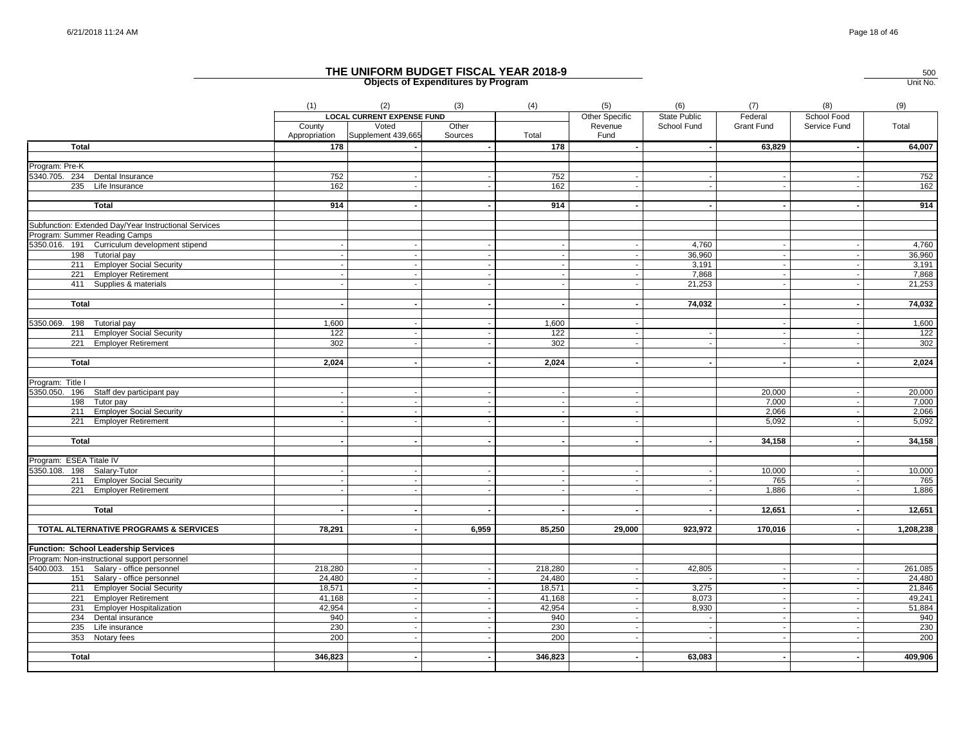|                                                         | (1)              | (2)                                       | (3)              | (4)                                   | (5)                                                  | (6)                 | (7)                      | (8)                                | (9)              |
|---------------------------------------------------------|------------------|-------------------------------------------|------------------|---------------------------------------|------------------------------------------------------|---------------------|--------------------------|------------------------------------|------------------|
|                                                         |                  | <b>LOCAL CURRENT EXPENSE FUND</b>         |                  |                                       | Other Specific                                       | <b>State Public</b> | Federal                  | School Food                        |                  |
|                                                         | County           | Voted<br>Appropriation Supplement 439,665 | Other<br>Sources | Total                                 | Revenue<br>Fund                                      | School Fund         | <b>Grant Fund</b>        | Service Fund                       | Total            |
| <b>Total</b>                                            | 178              |                                           |                  | 178                                   | $\sim$                                               | $\sim$              | 63,829                   | $\sim$                             | 64,007           |
|                                                         |                  |                                           |                  |                                       |                                                      |                     |                          |                                    |                  |
| Program: Pre-K                                          |                  |                                           |                  |                                       |                                                      |                     |                          |                                    |                  |
| 5340.705. 234 Dental Insurance                          | 752              |                                           |                  | 752                                   |                                                      |                     |                          |                                    | 752              |
| 235 Life Insurance                                      | 162              |                                           |                  | 162                                   |                                                      | $\sim$              |                          |                                    | 162              |
|                                                         |                  |                                           |                  |                                       |                                                      |                     |                          |                                    |                  |
| <b>Total</b>                                            | 914              |                                           |                  | 914                                   |                                                      | $\sim$              |                          |                                    | 914              |
| Subfunction: Extended Day/Year Instructional Services   |                  |                                           |                  |                                       |                                                      |                     |                          |                                    |                  |
| Program: Summer Reading Camps                           |                  |                                           |                  |                                       |                                                      |                     |                          |                                    |                  |
| 5350.016. 191 Curriculum development stipend            |                  |                                           |                  | $\sim$                                |                                                      | 4,760               | $\sim$                   | $\overline{\phantom{a}}$           | 4,760            |
| 198 Tutorial pay                                        |                  |                                           |                  | $\sim$                                | $\overline{\phantom{a}}$                             | 36,960              | $\sim$                   | $\sim$                             | 36,960           |
| 211 Employer Social Security                            |                  |                                           |                  |                                       |                                                      | 3,191               |                          | $\overline{\phantom{a}}$           | 3,191            |
| 221 Employer Retirement                                 |                  |                                           |                  | $\sim$                                | $\overline{\phantom{a}}$                             | 7,868               | $\mathbf{r}$             | $\overline{\phantom{a}}$           | 7,868            |
| 411 Supplies & materials                                |                  |                                           |                  | $\sim$                                |                                                      | 21,253              |                          |                                    | 21,253           |
|                                                         |                  |                                           |                  |                                       |                                                      |                     |                          |                                    |                  |
| Total                                                   |                  |                                           |                  |                                       |                                                      | 74,032              | $\blacksquare$           |                                    | 74,032           |
|                                                         |                  |                                           |                  |                                       |                                                      |                     |                          |                                    |                  |
| 5350.069. 198 Tutorial pay                              | 1,600            |                                           |                  | 1,600                                 | $\sim$                                               |                     | $\sim$                   | $\sim$                             | 1,600            |
| 211 Employer Social Security                            | 122              |                                           |                  | 122                                   |                                                      | $\sim$              | $\overline{\phantom{a}}$ |                                    | 122              |
| 221 Employer Retirement                                 | 302              |                                           |                  | 302                                   | $\overline{\phantom{a}}$                             | $\sim$              |                          |                                    | 302              |
|                                                         |                  |                                           |                  |                                       |                                                      |                     |                          |                                    |                  |
| <b>Total</b>                                            | 2,024            |                                           |                  | 2,024                                 | $\overline{\phantom{a}}$                             | $\sim$              |                          |                                    | 2,024            |
|                                                         |                  |                                           |                  |                                       |                                                      |                     |                          |                                    |                  |
| Program: Title I                                        |                  |                                           |                  |                                       |                                                      |                     |                          |                                    |                  |
| 5350.050. 196 Staff dev participant pay                 |                  |                                           |                  | $\sim$                                | $\overline{\phantom{a}}$                             |                     | 20,000                   | $\overline{\phantom{a}}$           | 20,000           |
| 198 Tutor pay                                           |                  |                                           |                  | $\overline{\phantom{a}}$              |                                                      |                     | 7,000                    | $\sim$                             | 7,000            |
| 211 Employer Social Security                            |                  |                                           |                  | $\sim$<br>$\mathcal{L}_{\mathcal{A}}$ | $\overline{\phantom{a}}$<br>$\overline{\phantom{a}}$ |                     | 2,066                    | $\overline{\phantom{a}}$           | 2,066            |
| 221 Employer Retirement                                 |                  |                                           |                  |                                       |                                                      |                     | 5,092                    |                                    | 5,092            |
| <b>Total</b>                                            |                  |                                           |                  |                                       |                                                      |                     | 34,158                   |                                    | 34,158           |
|                                                         |                  |                                           |                  |                                       |                                                      |                     |                          |                                    |                  |
| Program: ESEA Titale IV                                 |                  |                                           |                  |                                       |                                                      |                     |                          |                                    |                  |
| 5350.108.<br>198 Salary-Tutor                           |                  |                                           |                  |                                       |                                                      | $\sim$              | 10,000                   |                                    | 10,000           |
| 211 Employer Social Security                            |                  |                                           |                  |                                       |                                                      | $\sim$              | 765                      |                                    | 765              |
| 221 Employer Retirement                                 |                  |                                           |                  | $\sim$                                |                                                      | $\sim$              | 1,886                    | $\sim$                             | 1,886            |
|                                                         |                  |                                           |                  |                                       |                                                      |                     |                          |                                    |                  |
| <b>Total</b>                                            |                  |                                           |                  |                                       |                                                      |                     | 12,651                   |                                    | 12,651           |
|                                                         |                  |                                           |                  |                                       |                                                      |                     |                          |                                    |                  |
| TOTAL ALTERNATIVE PROGRAMS & SERVICES                   | 78,291           |                                           | 6,959            | 85,250                                | 29,000                                               | 923,972             | 170,016                  | $\overline{\phantom{a}}$           | 1,208,238        |
|                                                         |                  |                                           |                  |                                       |                                                      |                     |                          |                                    |                  |
| Function: School Leadership Services                    |                  |                                           |                  |                                       |                                                      |                     |                          |                                    |                  |
| Program: Non-instructional support personnel            |                  |                                           |                  |                                       |                                                      |                     |                          |                                    |                  |
| 5400.003. 151 Salary - office personnel                 | 218,280          |                                           |                  | 218,280                               | . .                                                  | 42,805<br>$\sim$    | $\sim$<br>$\sim$         | $\overline{\phantom{a}}$<br>$\sim$ | 261,085          |
| 151 Salary - office personnel                           | 24,480           |                                           |                  | 24,480                                |                                                      |                     |                          | $\overline{\phantom{a}}$           | 24,480           |
| 211 Employer Social Security<br>221 Employer Retirement | 18,571<br>41,168 |                                           |                  | 18,571<br>41,168                      |                                                      | 3,275<br>8,073      | $\sim$                   | $\sim$                             | 21,846<br>49,241 |
| 231 Employer Hospitalization                            | 42,954           |                                           |                  | 42,954                                |                                                      | 8,930               | $\overline{\phantom{a}}$ | $\sim$                             | 51,884           |
| 234 Dental insurance                                    | 940              |                                           |                  | 940                                   |                                                      |                     |                          |                                    | 940              |
| 235 Life insurance                                      | 230              |                                           |                  | 230                                   |                                                      |                     |                          |                                    | 230              |
| 353 Notary fees                                         | 200              |                                           |                  | 200                                   |                                                      |                     | $\blacksquare$           |                                    | 200              |
|                                                         |                  |                                           |                  |                                       |                                                      |                     |                          |                                    |                  |
| <b>Total</b>                                            | 346.823          |                                           |                  | 346,823                               |                                                      | 63,083              |                          |                                    | 409,906          |
|                                                         |                  |                                           |                  |                                       |                                                      |                     |                          |                                    |                  |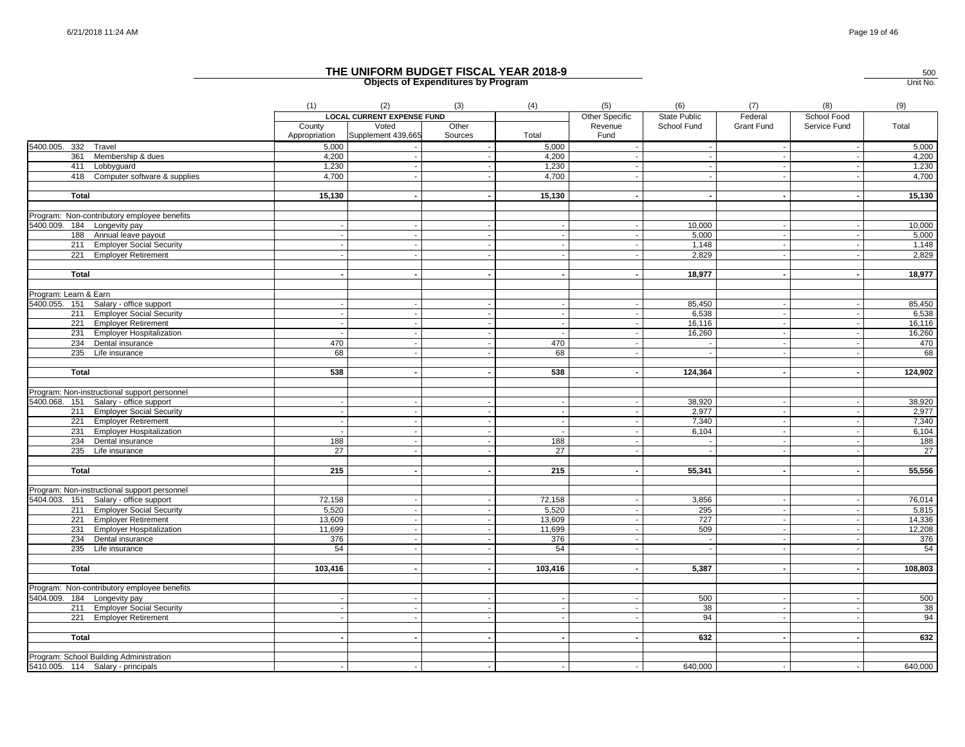|                                              | (1)           | (2)                               | (3)     | (4)     | (5)                      | (6)          | (7)               | (8)                      | (9)     |
|----------------------------------------------|---------------|-----------------------------------|---------|---------|--------------------------|--------------|-------------------|--------------------------|---------|
|                                              |               | <b>LOCAL CURRENT EXPENSE FUND</b> |         |         | Other Specific           | State Public | Federal           | School Food              |         |
|                                              | County        | Voted                             | Other   |         | Revenue                  | School Fund  | <b>Grant Fund</b> | Service Fund             | Total   |
|                                              | Appropriation | Supplement 439,665                | Sources | Total   | Fund                     |              |                   |                          |         |
| 5400.005. 332 Travel                         | 5,000         |                                   |         | 5,000   |                          | $\sim$       |                   |                          | 5,000   |
| Membership & dues<br>361                     | 4,200         |                                   |         | 4,200   |                          | $\sim$       |                   |                          | 4,200   |
| 411 Lobbyquard                               | 1,230         |                                   |         | 1,230   |                          |              |                   |                          | 1,230   |
| 418 Computer software & supplies             | 4,700         |                                   |         | 4,700   |                          |              |                   |                          | 4,700   |
|                                              |               |                                   |         |         |                          |              |                   |                          |         |
| Total                                        | 15,130        |                                   |         | 15,130  |                          |              |                   |                          | 15,130  |
|                                              |               |                                   |         |         |                          |              |                   |                          |         |
| Program: Non-contributory employee benefits  |               |                                   |         |         |                          |              |                   |                          |         |
| 5400.009. 184 Longevity pay                  |               |                                   |         | $\sim$  | $\overline{a}$           | 10,000       |                   | $\sim$                   | 10,000  |
| 188 Annual leave payout                      |               |                                   |         |         |                          | 5,000        |                   |                          | 5,000   |
| 211 Employer Social Security                 |               |                                   |         |         |                          | 1,148        |                   |                          | 1,148   |
| 221 Employer Retirement                      |               |                                   |         |         |                          | 2,829        |                   |                          | 2,829   |
|                                              |               |                                   |         |         |                          |              |                   |                          |         |
| Total                                        |               |                                   |         |         | $\overline{\phantom{a}}$ | 18,977       |                   |                          | 18,977  |
|                                              |               |                                   |         |         |                          |              |                   |                          |         |
| Program: Learn & Earn                        |               |                                   |         |         |                          |              |                   |                          |         |
| 5400.055. 151 Salary - office support        |               |                                   |         |         |                          | 85,450       |                   |                          | 85,450  |
| 211 Employer Social Security                 |               |                                   |         | $\sim$  | J.                       | 6,538        |                   |                          | 6,538   |
| 221 Employer Retirement                      |               |                                   |         |         |                          | 16,116       |                   |                          | 16,116  |
| 231 Employer Hospitalization                 | $\sim$        |                                   |         | $\sim$  | $\overline{\phantom{a}}$ | 16,260       |                   | $\sim$                   | 16,260  |
| 234 Dental insurance                         | 470           |                                   |         | 470     |                          | $\sim$       |                   |                          | 470     |
| 235 Life insurance                           | 68            |                                   |         | 68      |                          |              |                   |                          | 68      |
|                                              |               |                                   |         |         |                          |              |                   |                          |         |
| Total                                        | 538           |                                   |         | 538     |                          | 124,364      |                   |                          | 124,902 |
|                                              |               |                                   |         |         |                          |              |                   |                          |         |
| Program: Non-instructional support personnel |               |                                   |         |         |                          |              |                   |                          |         |
| 5400.068. 151 Salary - office support        |               |                                   |         | $\sim$  | $\overline{\phantom{a}}$ | 38,920       |                   |                          | 38,920  |
| 211 Employer Social Security                 |               |                                   |         |         |                          | 2,977        |                   |                          | 2,977   |
| 221 Employer Retirement                      |               |                                   |         | $\sim$  | $\overline{\phantom{a}}$ | 7,340        |                   |                          | 7,340   |
| 231 Employer Hospitalization                 |               |                                   |         |         |                          | 6,104        |                   |                          | 6,104   |
| 234 Dental insurance                         | 188           |                                   |         | 188     |                          |              |                   |                          | 188     |
| 235 Life insurance                           | 27            |                                   |         | 27      |                          |              |                   |                          | 27      |
|                                              |               |                                   |         |         |                          |              |                   |                          |         |
| Total                                        | 215           |                                   | $\sim$  | 215     | $\sim$                   | 55,341       |                   | $\blacksquare$           | 55,556  |
|                                              |               |                                   |         |         |                          |              |                   |                          |         |
| Program: Non-instructional support personnel |               |                                   |         |         |                          |              |                   |                          |         |
| 5404.003. 151 Salary - office support        | 72,158        |                                   |         | 72,158  | $\overline{\phantom{a}}$ | 3,856        |                   | $\overline{\phantom{a}}$ | 76,014  |
| 211 Employer Social Security                 | 5,520         |                                   |         | 5,520   | $\sim$                   | 295          |                   | $\sim$                   | 5,815   |
| 221 Employer Retirement                      | 13,609        |                                   |         | 13,609  |                          | 727          |                   | $\sim$                   | 14,336  |
| 231 Employer Hospitalization                 | 11,699        |                                   |         | 11,699  |                          | 509          |                   |                          | 12,208  |
| 234 Dental insurance                         | 376           |                                   |         | 376     |                          | $\sim$       |                   |                          | 376     |
| 235 Life insurance                           | 54            |                                   |         | 54      | $\overline{\phantom{a}}$ | $\sim$       |                   |                          | 54      |
|                                              |               |                                   |         |         |                          |              |                   |                          |         |
| <b>Total</b>                                 | 103,416       |                                   |         | 103,416 |                          | 5,387        |                   |                          | 108,803 |
|                                              |               |                                   |         |         |                          |              |                   |                          |         |
| Program: Non-contributory employee benefits  |               |                                   |         |         |                          |              |                   |                          |         |
| 5404.009. 184 Longevity pay                  |               |                                   |         |         |                          | 500          |                   |                          | 500     |
| 211 Employer Social Security                 |               |                                   |         | $\sim$  |                          | 38           |                   |                          | 38      |
| 221 Employer Retirement                      |               |                                   |         | $\sim$  | $\overline{\phantom{a}}$ | 94           |                   |                          | 94      |
|                                              |               |                                   |         |         |                          |              |                   |                          |         |
| Total                                        |               |                                   |         |         |                          | 632          |                   |                          | 632     |
|                                              |               |                                   |         |         |                          |              |                   |                          |         |
| Program: School Building Administration      |               |                                   |         |         |                          |              |                   |                          |         |
| 5410.005. 114 Salary - principals            | $\sim$        | $\sim$                            |         | $\sim$  | $\sim$                   | 640,000      |                   |                          | 640,000 |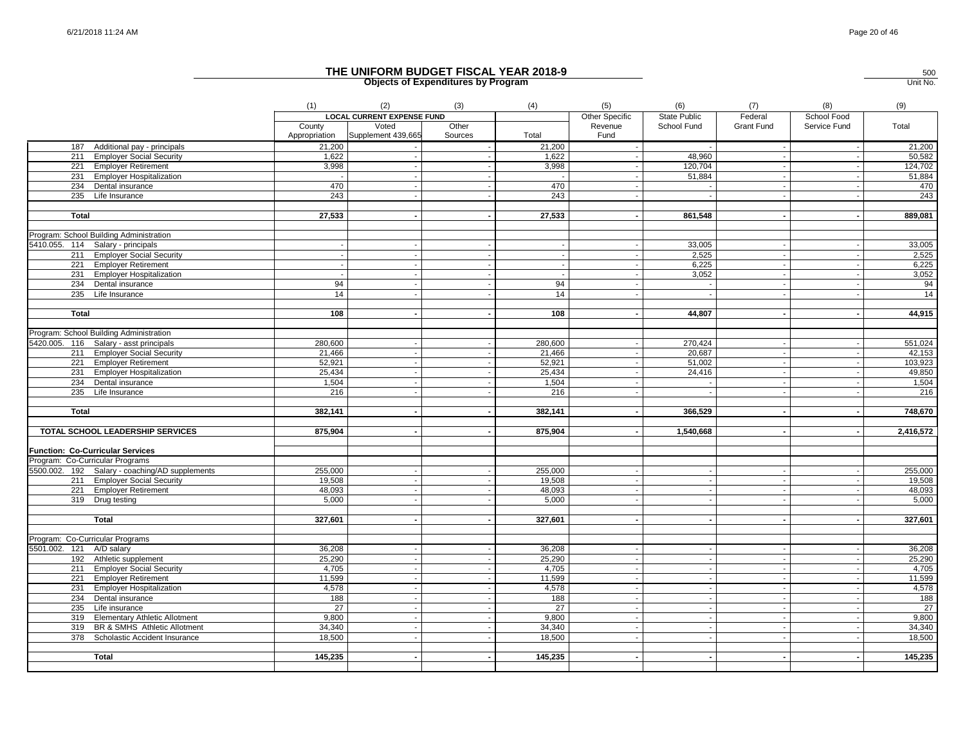|                          |                                                | (1)           | (2)                               | (3)     | (4)       | (5)                      | (6)                      | (7)                      | (8)                      | (9)       |
|--------------------------|------------------------------------------------|---------------|-----------------------------------|---------|-----------|--------------------------|--------------------------|--------------------------|--------------------------|-----------|
|                          |                                                |               | <b>LOCAL CURRENT EXPENSE FUND</b> |         |           | Other Specific           | <b>State Public</b>      | Federal                  | School Food              |           |
|                          |                                                | County        | Voted                             | Other   |           | Revenue                  | School Fund              | Grant Fund               | Service Fund             | Total     |
|                          |                                                | Appropriation | Supplement 439,665                | Sources | Total     | Fund                     |                          |                          |                          |           |
|                          | 187 Additional pay - principals                | 21,200        |                                   |         | 21,200    |                          |                          | $\sim$                   | $\overline{\phantom{a}}$ | 21,200    |
|                          | 211 Employer Social Security                   | 1,622         |                                   |         | 1,622     |                          | 48,960                   | $\sim$                   |                          | 50,582    |
|                          | 221 Employer Retirement                        | 3,998         |                                   |         | 3,998     |                          | 120,704                  |                          |                          | 124,702   |
|                          | 231 Employer Hospitalization                   |               |                                   |         |           |                          | 51,884                   |                          |                          | 51,884    |
|                          | 234 Dental insurance                           | 470           |                                   |         | 470       |                          | $\sim$                   | $\sim$                   |                          | 470       |
|                          | 235 Life Insurance                             | 243           |                                   |         | 243       |                          |                          |                          |                          | 243       |
|                          |                                                |               |                                   |         |           |                          |                          |                          |                          |           |
| Total                    |                                                | 27,533        |                                   |         | 27,533    |                          | 861,548                  |                          | $\blacksquare$           | 889,081   |
|                          |                                                |               |                                   |         |           |                          |                          |                          |                          |           |
|                          | Program: School Building Administration        |               |                                   |         |           |                          |                          |                          |                          |           |
|                          | 5410.055. 114 Salary - principals              |               |                                   |         |           |                          | 33,005                   |                          |                          | 33,005    |
|                          | 211 Employer Social Security                   |               |                                   |         |           |                          | 2,525                    |                          |                          | 2,525     |
|                          | 221 Employer Retirement                        |               |                                   |         | $\sim$    |                          | 6.225                    |                          |                          | 6,225     |
|                          | 231 Employer Hospitalization                   |               |                                   |         |           |                          | 3,052                    | $\sim$                   |                          | 3,052     |
|                          | 234 Dental insurance                           | 94            |                                   |         | 94        |                          | $\sim$                   |                          |                          | 94        |
|                          | 235 Life Insurance                             | 14            |                                   |         | 14        |                          | $\sim$                   |                          |                          | 14        |
|                          |                                                | 108           |                                   |         |           |                          |                          |                          |                          |           |
| <b>Total</b>             |                                                |               |                                   |         | 108       |                          | 44,807                   |                          |                          | 44,915    |
|                          | Program: School Building Administration        |               |                                   |         |           |                          |                          |                          |                          |           |
|                          | 5420.005. 116 Salary - asst principals         | 280,600       |                                   |         | 280,600   |                          | 270,424                  |                          |                          | 551,024   |
|                          | 211 Employer Social Security                   | 21,466        |                                   |         | 21,466    |                          | 20,687                   |                          | $\overline{\phantom{a}}$ | 42,153    |
|                          | 221 Employer Retirement                        | 52,921        |                                   |         | 52,921    |                          | 51,002                   | $\sim$                   | $\overline{\phantom{a}}$ | 103,923   |
|                          | 231 Employer Hospitalization                   | 25,434        |                                   |         | 25,434    |                          | 24,416                   |                          |                          | 49,850    |
|                          | 234 Dental insurance                           | 1,504         |                                   |         | 1,504     |                          | $\sim$                   |                          |                          | 1,504     |
|                          | 235 Life Insurance                             | 216           |                                   |         | 216       |                          | $\blacksquare$           | $\blacksquare$           | $\overline{\phantom{a}}$ | 216       |
|                          |                                                |               |                                   |         |           |                          |                          |                          |                          |           |
| <b>Total</b>             |                                                | 382,141       |                                   |         | 382,141   |                          | 366,529                  |                          |                          | 748,670   |
|                          |                                                |               |                                   |         |           |                          |                          |                          |                          |           |
|                          | TOTAL SCHOOL LEADERSHIP SERVICES               | 875,904       |                                   |         | 875,904   |                          | 1,540,668                |                          | $\blacksquare$           | 2,416,572 |
|                          |                                                |               |                                   |         |           |                          |                          |                          |                          |           |
|                          | <b>Function: Co-Curricular Services</b>        |               |                                   |         |           |                          |                          |                          |                          |           |
|                          | Program: Co-Curricular Programs                |               |                                   |         |           |                          |                          |                          |                          |           |
|                          | 5500.002. 192 Salary - coaching/AD supplements | 255,000       |                                   |         | 255,000   | $\overline{\phantom{a}}$ | $\sim$                   | $\blacksquare$           |                          | 255,000   |
|                          | 211 Employer Social Security                   | 19,508        |                                   |         | 19,508    |                          | $\sim$                   |                          | $\overline{\phantom{a}}$ | 19,508    |
|                          | 221 Employer Retirement                        | 48,093        |                                   |         | 48,093    | $\overline{\phantom{a}}$ | $\sim$                   | $\overline{\phantom{a}}$ | $\overline{\phantom{a}}$ | 48,093    |
|                          | 319 Drug testing                               | 5,000         |                                   |         | 5,000     |                          | $\blacksquare$           |                          |                          | 5,000     |
|                          |                                                |               |                                   |         |           |                          |                          |                          |                          |           |
|                          | <b>Total</b>                                   | 327,601       |                                   |         | 327,601   |                          |                          |                          |                          | 327,601   |
|                          |                                                |               |                                   |         |           |                          |                          |                          |                          |           |
|                          | Program: Co-Curricular Programs                |               |                                   |         |           |                          |                          |                          |                          |           |
| 5501.002. 121 A/D salary |                                                | 36,208        |                                   |         | 36,208    |                          |                          |                          |                          | 36,208    |
|                          | 192 Athletic supplement                        | 25,290        |                                   |         | 25,290    | $\overline{\phantom{a}}$ | $\sim$                   | $\blacksquare$           | $\overline{\phantom{a}}$ | 25,290    |
|                          | 211 Employer Social Security                   | 4,705         |                                   |         | 4,705     | $\overline{\phantom{a}}$ | $\sim$                   | $\sim$                   | $\overline{\phantom{a}}$ | 4,705     |
|                          | 221 Employer Retirement                        | 11,599        |                                   |         | 11,599    | $\overline{\phantom{a}}$ | $\sim$                   | $\sim$                   | $\overline{\phantom{a}}$ | 11,599    |
|                          | 231 Employer Hospitalization                   | 4,578         |                                   |         | 4,578     | $\overline{\phantom{a}}$ | $\sim$                   |                          | $\overline{\phantom{a}}$ | 4,578     |
|                          | 234 Dental insurance<br>235 Life insurance     | 188<br>27     |                                   |         | 188<br>27 |                          |                          |                          |                          | 188<br>27 |
|                          | 319 Elementary Athletic Allotment              | 9,800         |                                   |         | 9,800     | $\overline{a}$           | $\sim$<br>$\sim$         |                          | $\overline{\phantom{a}}$ | 9,800     |
|                          | 319 BR & SMHS Athletic Allotment               | 34,340        |                                   |         | 34,340    |                          |                          |                          |                          | 34,340    |
| $\overline{378}$         | Scholastic Accident Insurance                  | 18,500        |                                   |         | 18,500    |                          |                          |                          |                          | 18,500    |
|                          |                                                |               |                                   |         |           |                          |                          |                          |                          |           |
|                          | Total                                          | 145,235       |                                   |         | 145,235   |                          | $\overline{\phantom{a}}$ |                          |                          | 145,235   |
|                          |                                                |               |                                   |         |           |                          |                          |                          |                          |           |
|                          |                                                |               |                                   |         |           |                          |                          |                          |                          |           |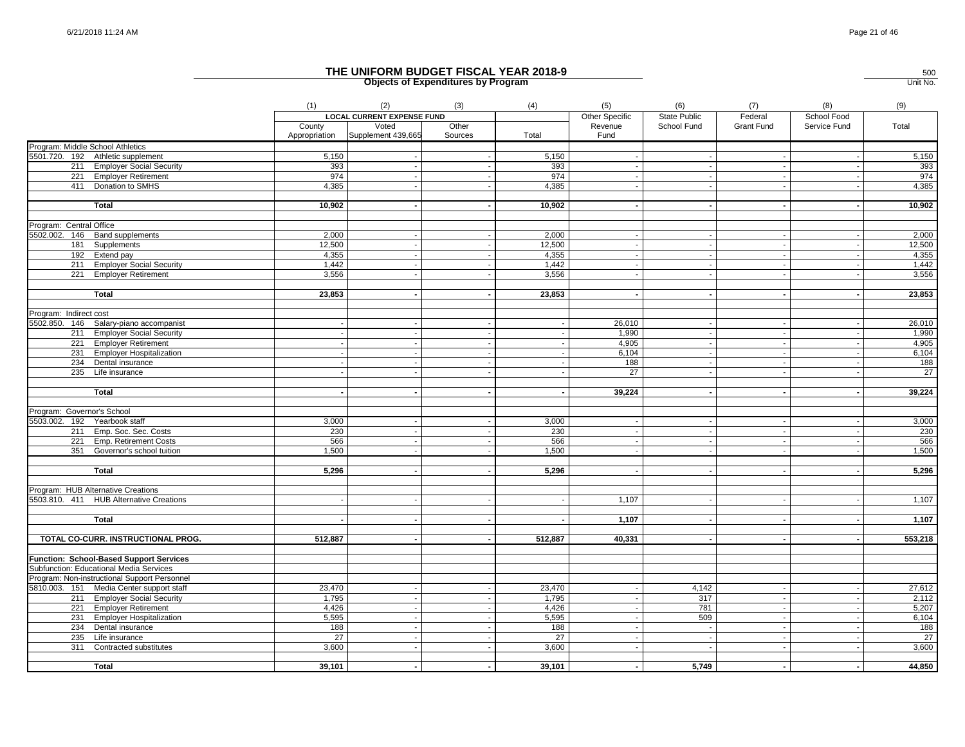|                                                            |                                                | (1)                     | (2)                               | (3)              | (4)             | (5)                      | (6)                 | (7)               | (8)                      | (9)             |
|------------------------------------------------------------|------------------------------------------------|-------------------------|-----------------------------------|------------------|-----------------|--------------------------|---------------------|-------------------|--------------------------|-----------------|
|                                                            |                                                |                         | <b>LOCAL CURRENT EXPENSE FUND</b> |                  |                 | Other Specific           | <b>State Public</b> | Federal           | School Food              |                 |
|                                                            |                                                | County<br>Appropriation | Voted<br>Supplement 439,665       | Other<br>Sources | Total           | Revenue<br>Fund          | School Fund         | <b>Grant Fund</b> | Service Fund             | Total           |
|                                                            | Program: Middle School Athletics               |                         |                                   |                  |                 |                          |                     |                   |                          |                 |
|                                                            | 5501.720. 192 Athletic supplement              | 5,150                   |                                   |                  | 5,150           |                          |                     |                   |                          | 5,150           |
|                                                            | 211 Employer Social Security                   | 393                     |                                   |                  | 393             |                          | $\sim$              |                   |                          | 393             |
|                                                            | 221 Employer Retirement                        | 974                     |                                   |                  | 974             |                          |                     |                   |                          | 974             |
|                                                            | 411 Donation to SMHS                           | 4.385                   |                                   |                  | 4,385           |                          | $\sim$              |                   |                          | 4,385           |
|                                                            | <b>Total</b>                                   | 10,902                  |                                   |                  | 10,902          |                          |                     |                   |                          | 10,902          |
| Program: Central Office                                    |                                                |                         |                                   |                  |                 |                          |                     |                   |                          |                 |
|                                                            | 5502.002. 146 Band supplements                 | 2,000                   |                                   |                  | 2,000           |                          |                     |                   |                          | 2,000           |
|                                                            | 181 Supplements                                | 12,500                  | $\blacksquare$                    |                  | 12,500          |                          | $\blacksquare$      |                   |                          | 12,500          |
|                                                            | 192 Extend pay                                 | 4,355                   | $\blacksquare$                    |                  | 4,355           | $\sim$                   | $\sim$              |                   | $\blacksquare$           | 4,355           |
|                                                            | 211 Employer Social Security                   | 1,442                   |                                   |                  | 1,442           |                          |                     |                   |                          | 1,442           |
| 221                                                        | <b>Employer Retirement</b>                     | 3,556                   | $\ddot{\phantom{a}}$              |                  | 3,556           | $\overline{\phantom{a}}$ | $\sim$              |                   |                          | 3,556           |
|                                                            | <b>Total</b>                                   | 23,853                  |                                   |                  | 23,853          |                          | $\blacksquare$      |                   |                          | 23,853          |
|                                                            |                                                |                         |                                   |                  |                 |                          |                     |                   |                          |                 |
| Program: Indirect cost                                     |                                                |                         |                                   |                  |                 |                          |                     |                   |                          |                 |
| 5502.850.                                                  | 146 Salary-piano accompanist                   |                         |                                   |                  |                 | 26,010                   |                     |                   |                          | 26,010          |
|                                                            | 211 Employer Social Security                   |                         |                                   |                  |                 | 1,990                    | $\sim$              |                   |                          | 1,990           |
|                                                            | 221 Employer Retirement                        |                         | $\blacksquare$                    |                  |                 | 4,905                    | $\sim$              |                   |                          | 4,905           |
|                                                            | 231 Employer Hospitalization                   |                         |                                   |                  |                 | 6,104                    | $\sim$              |                   |                          | 6,104           |
|                                                            | 234 Dental insurance                           |                         | $\overline{\phantom{a}}$          | $\sim$           |                 | 188                      | $\sim$              |                   | $\overline{\phantom{a}}$ | 188             |
|                                                            | 235 Life insurance                             |                         |                                   |                  |                 | $\overline{27}$          |                     |                   |                          | $\overline{27}$ |
|                                                            | <b>Total</b>                                   |                         |                                   |                  |                 | 39,224                   | $\blacksquare$      |                   | $\blacksquare$           | 39,224          |
|                                                            |                                                |                         |                                   |                  |                 |                          |                     |                   |                          |                 |
| Program: Governor's School<br>5503.002. 192 Yearbook staff |                                                |                         |                                   |                  |                 |                          |                     |                   |                          |                 |
|                                                            | 211 Emp. Soc. Sec. Costs                       | 3,000<br>230            | $\blacksquare$                    |                  | 3,000<br>230    |                          | $\sim$              |                   | $\overline{\phantom{a}}$ | 3,000<br>230    |
|                                                            |                                                |                         |                                   |                  | 566             |                          |                     |                   |                          |                 |
|                                                            | 221 Emp. Retirement Costs                      | 566                     |                                   |                  |                 |                          |                     |                   |                          | 566             |
| 351                                                        | Governor's school tuition                      | 1.500                   |                                   |                  | 1.500           |                          | $\sim$              |                   |                          | 1,500           |
|                                                            | <b>Total</b>                                   | 5,296                   |                                   |                  | 5,296           | $\overline{\phantom{a}}$ | $\sim$              |                   | $\blacksquare$           | 5,296           |
|                                                            | Program: HUB Alternative Creations             |                         |                                   |                  |                 |                          |                     |                   |                          |                 |
|                                                            | 5503.810. 411 HUB Alternative Creations        |                         |                                   |                  |                 | 1,107                    |                     |                   |                          | 1,107           |
|                                                            |                                                |                         |                                   |                  |                 |                          |                     |                   |                          |                 |
|                                                            | <b>Total</b>                                   |                         |                                   |                  |                 | 1,107                    |                     |                   |                          | 1,107           |
|                                                            | TOTAL CO-CURR. INSTRUCTIONAL PROG.             | 512,887                 |                                   |                  | 512,887         | 40,331                   | $\blacksquare$      |                   | $\blacksquare$           | 553,218         |
|                                                            | <b>Function: School-Based Support Services</b> |                         |                                   |                  |                 |                          |                     |                   |                          |                 |
|                                                            | Subfunction: Educational Media Services        |                         |                                   |                  |                 |                          |                     |                   |                          |                 |
|                                                            | Program: Non-instructional Support Personnel   |                         |                                   |                  |                 |                          |                     |                   |                          |                 |
|                                                            | 5810.003. 151 Media Center support staff       | 23,470                  |                                   |                  | 23,470          |                          | 4,142               |                   |                          | 27,612          |
|                                                            | 211 Employer Social Security                   | 1,795                   |                                   |                  | 1,795           |                          | 317                 |                   |                          | 2,112           |
|                                                            | 221 Employer Retirement                        | 4,426                   | $\sim$                            |                  | 4,426           |                          | 781                 | $\sim$            | $\blacksquare$           | 5,207           |
|                                                            | 231 Employer Hospitalization                   | 5,595                   |                                   |                  | 5,595           |                          | 509                 |                   |                          | 6,104           |
|                                                            | 234 Dental insurance                           | 188                     | $\overline{\phantom{a}}$          |                  | 188             |                          | $\sim$              |                   |                          | 188             |
|                                                            | 235 Life insurance                             | $\overline{27}$         |                                   |                  | $\overline{27}$ |                          | $\sim$              |                   |                          | $\overline{27}$ |
| 311                                                        | Contracted substitutes                         | 3,600                   | $\sim$                            |                  | 3,600           | $\overline{\phantom{a}}$ | $\sim$              |                   | $\overline{\phantom{a}}$ | 3,600           |
|                                                            |                                                |                         |                                   |                  |                 |                          |                     |                   |                          |                 |
|                                                            | <b>Total</b>                                   | 39,101                  |                                   | $\overline{a}$   | 39,101          | $\overline{a}$           | 5,749               |                   |                          | 44,850          |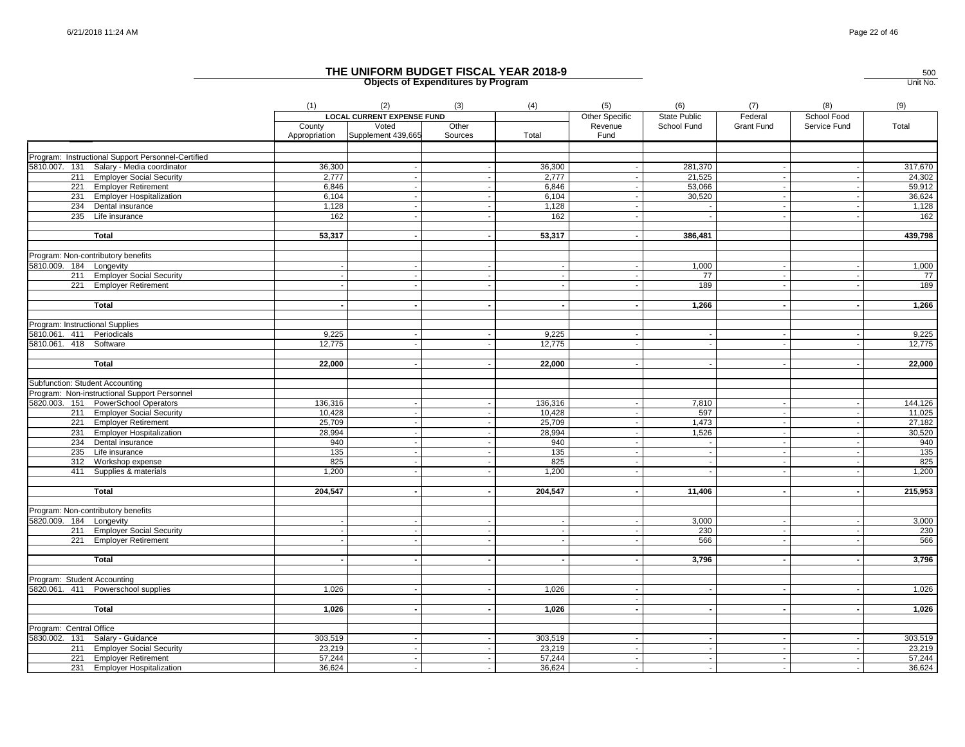|                                 |                                                    | (1)                     | (2)                               | (3)              | (4)     | (5)                      | (6)                      | (7)                      | (8)                      | (9)     |
|---------------------------------|----------------------------------------------------|-------------------------|-----------------------------------|------------------|---------|--------------------------|--------------------------|--------------------------|--------------------------|---------|
|                                 |                                                    |                         | <b>LOCAL CURRENT EXPENSE FUND</b> |                  |         | Other Specific           | State Public             | Federal                  | School Food              |         |
|                                 |                                                    | County<br>Appropriation | Voted<br>Supplement 439,665       | Other<br>Sources | Total   | Revenue<br>Fund          | School Fund              | <b>Grant Fund</b>        | Service Fund             | Total   |
|                                 |                                                    |                         |                                   |                  |         |                          |                          |                          |                          |         |
|                                 | Program: Instructional Support Personnel-Certified |                         |                                   |                  |         |                          |                          |                          |                          |         |
|                                 | 5810.007. 131 Salary - Media coordinator           | 36,300                  |                                   |                  | 36,300  |                          | 281,370                  |                          |                          | 317,670 |
|                                 | 211 Employer Social Security                       | 2.777                   |                                   |                  | 2,777   |                          | 21,525                   |                          |                          | 24,302  |
|                                 | 221 Employer Retirement                            | 6,846                   | $\sim$                            | $\sim$           | 6,846   | $\sim$                   | 53,066                   | $\sim$                   | $\overline{\phantom{a}}$ | 59,912  |
|                                 | 231 Employer Hospitalization                       | 6,104                   |                                   | $\sim$           | 6,104   |                          | 30,520                   | $\sim$                   |                          | 36,624  |
|                                 | 234 Dental insurance                               | 1,128                   |                                   |                  | 1,128   | $\sim$                   |                          |                          |                          | 1,128   |
|                                 | 235 Life insurance                                 | 162                     | $\mathbf{r}$                      |                  | 162     |                          |                          | $\blacksquare$           |                          | 162     |
|                                 | Total                                              | 53,317                  |                                   |                  | 53,317  |                          | 386,481                  |                          |                          | 439,798 |
|                                 | Program: Non-contributory benefits                 |                         |                                   |                  |         |                          |                          |                          |                          |         |
| 5810.009. 184 Longevity         |                                                    |                         |                                   |                  |         |                          | 1.000                    |                          |                          | 1,000   |
|                                 | 211 Employer Social Security                       |                         |                                   |                  |         | $\sim$                   | 77                       | $\sim$                   |                          | - 77    |
|                                 | 221 Employer Retirement                            |                         |                                   |                  |         |                          | 189                      |                          |                          | 189     |
|                                 |                                                    |                         |                                   |                  |         |                          |                          |                          |                          |         |
|                                 | Total                                              |                         |                                   |                  |         |                          | 1,266                    |                          |                          | 1,266   |
| Program: Instructional Supplies |                                                    |                         |                                   |                  |         |                          |                          |                          |                          |         |
| 5810.061. 411 Periodicals       |                                                    | 9,225                   |                                   |                  | 9,225   | $\sim$                   |                          |                          |                          | 9,225   |
| 5810.061. 418 Software          |                                                    | 12,775                  |                                   |                  | 12,775  |                          |                          |                          |                          | 12,775  |
|                                 | <b>Total</b>                                       | 22,000                  | $\blacksquare$                    | $\sim$           | 22,000  | $\sim$                   | $\overline{\phantom{a}}$ | $\blacksquare$           | $\overline{\phantom{a}}$ | 22,000  |
|                                 |                                                    |                         |                                   |                  |         |                          |                          |                          |                          |         |
|                                 | Subfunction: Student Accounting                    |                         |                                   |                  |         |                          |                          |                          |                          |         |
|                                 | Program: Non-instructional Support Personnel       |                         |                                   |                  |         |                          |                          |                          |                          |         |
|                                 | 5820.003. 151 PowerSchool Operators                | 136,316                 |                                   | $\sim$           | 136,316 | $\sim$                   | 7,810                    | $\sim$                   | $\overline{\phantom{a}}$ | 144,126 |
|                                 | 211 Employer Social Security                       | 10,428                  |                                   |                  | 10,428  |                          | 597                      |                          |                          | 11,025  |
|                                 | 221 Employer Retirement                            | 25,709                  | $\sim$                            | $\sim$           | 25,709  | $\sim$                   | 1,473                    | $\overline{\phantom{a}}$ | $\overline{\phantom{a}}$ | 27,182  |
|                                 | 231 Employer Hospitalization                       | 28,994                  |                                   | $\sim$           | 28,994  | $\sim$<br>$\sim$         | 1,526                    | $\sim$                   | $\overline{\phantom{a}}$ | 30,520  |
|                                 | 234 Dental insurance                               | 940                     |                                   |                  | 940     |                          |                          |                          |                          | 940     |
|                                 | 235 Life insurance                                 | 135                     |                                   |                  | 135     | $\overline{\phantom{a}}$ |                          |                          |                          | 135     |
|                                 | 312 Workshop expense                               | 825                     |                                   | $\sim$           | 825     | $\sim$                   |                          |                          |                          | 825     |
|                                 | 411 Supplies & materials                           | 1,200                   | $\overline{\phantom{a}}$          |                  | 1,200   |                          |                          | $\overline{\phantom{a}}$ |                          | 1,200   |
|                                 | Total                                              | 204,547                 |                                   |                  | 204,547 |                          | 11,406                   | $\sim$                   |                          | 215,953 |
|                                 | Program: Non-contributory benefits                 |                         |                                   |                  |         |                          |                          |                          |                          |         |
| 5820.009. 184 Longevity         |                                                    |                         |                                   |                  |         |                          | 3,000                    |                          |                          | 3,000   |
|                                 | 211 Employer Social Security                       |                         |                                   |                  |         |                          | 230                      |                          |                          | 230     |
|                                 | 221 Employer Retirement                            |                         |                                   |                  |         |                          | 566                      |                          |                          | 566     |
|                                 |                                                    |                         |                                   |                  |         |                          |                          |                          |                          |         |
|                                 | Total                                              |                         |                                   |                  |         | $\sim$                   | 3,796                    |                          |                          | 3,796   |
| Program: Student Accounting     |                                                    |                         |                                   |                  |         |                          |                          |                          |                          |         |
|                                 | 5820.061. 411 Powerschool supplies                 | 1,026                   |                                   |                  | 1,026   |                          |                          |                          |                          | 1,026   |
|                                 | Total                                              | 1,026                   |                                   |                  | 1,026   |                          |                          |                          |                          | 1,026   |
|                                 |                                                    |                         |                                   |                  |         |                          |                          |                          |                          |         |
| Program: Central Office         |                                                    |                         |                                   |                  |         |                          |                          |                          |                          |         |
|                                 | 5830.002. 131 Salary - Guidance                    | 303,519                 |                                   |                  | 303,519 | $\sim$                   |                          |                          |                          | 303,519 |
|                                 | 211 Employer Social Security                       | 23,219                  |                                   |                  | 23,219  | $\sim$                   |                          |                          |                          | 23,219  |
|                                 | 221 Employer Retirement                            | 57,244                  | $\sim$                            | $\sim$           | 57,244  | $\sim$                   | $\sim$                   | $\sim$                   |                          | 57,244  |
|                                 | 231 Employer Hospitalization                       | 36,624                  |                                   |                  | 36,624  | $\sim$                   |                          |                          |                          | 36,624  |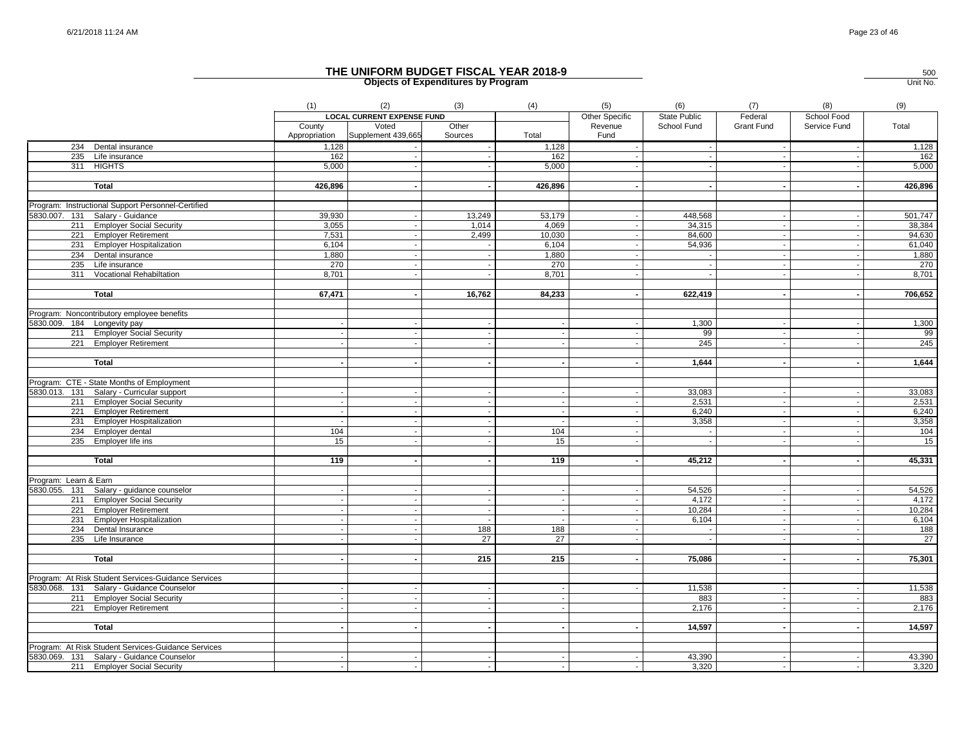|                                                     | (1)                     | (2)                               | (3)              | (4)     | (5)                      | (6)                      | (7)               | (8)            | (9)     |
|-----------------------------------------------------|-------------------------|-----------------------------------|------------------|---------|--------------------------|--------------------------|-------------------|----------------|---------|
|                                                     |                         | <b>LOCAL CURRENT EXPENSE FUND</b> |                  |         | <b>Other Specific</b>    | <b>State Public</b>      | Federal           | School Food    |         |
|                                                     | County<br>Appropriation | Voted<br>Supplement 439,665       | Other<br>Sources | Total   | Revenue<br>Fund          | School Fund              | <b>Grant Fund</b> | Service Fund   | Total   |
| 234 Dental insurance                                | 1,128                   |                                   |                  | 1,128   | $\sim$                   | $\sim$                   |                   | $\sim$         | 1,128   |
| 235 Life insurance                                  | 162                     |                                   |                  | 162     |                          |                          |                   |                | 162     |
| 311 HIGHTS                                          | 5,000                   |                                   |                  | 5,000   |                          |                          |                   |                | 5,000   |
| <b>Total</b>                                        | 426,896                 |                                   |                  | 426,896 |                          | $\overline{\phantom{a}}$ |                   |                | 426,896 |
| Program: Instructional Support Personnel-Certified  |                         |                                   |                  |         |                          |                          |                   |                |         |
| 5830.007. 131 Salary - Guidance                     | 39,930                  |                                   | 13,249           | 53,179  |                          | 448,568                  |                   |                | 501,747 |
| 211 Employer Social Security                        | 3,055                   |                                   | 1,014            | 4,069   |                          | 34,315                   |                   |                | 38,384  |
| 221 Employer Retirement                             | 7,531                   |                                   | 2,499            | 10,030  |                          | 84,600                   |                   |                | 94,630  |
| 231 Employer Hospitalization                        | 6,104                   |                                   |                  | 6,104   | $\sim$                   | 54,936                   |                   |                | 61,040  |
| 234 Dental insurance                                | 1,880                   |                                   |                  | 1,880   |                          |                          |                   |                | 1,880   |
| 235 Life insurance                                  | 270                     |                                   |                  | 270     |                          |                          |                   |                | 270     |
| 311 Vocational Rehabiltation                        | 8,701                   |                                   |                  | 8,701   |                          |                          |                   |                | 8,701   |
| <b>Total</b>                                        | 67,471                  |                                   | 16,762           | 84,233  | $\sim$                   | 622,419                  |                   |                | 706,652 |
| Program: Noncontributory employee benefits          |                         |                                   |                  |         |                          |                          |                   |                |         |
| 5830.009. 184 Longevity pay                         |                         |                                   |                  |         |                          | 1,300                    |                   |                | 1,300   |
| 211 Employer Social Security                        |                         |                                   |                  |         |                          | 99                       |                   |                | 99      |
| 221 Employer Retirement                             |                         |                                   |                  |         |                          | 245                      |                   |                | 245     |
| Total                                               |                         |                                   |                  |         |                          | 1,644                    |                   |                | 1,644   |
|                                                     |                         |                                   |                  |         |                          |                          |                   |                |         |
| Program: CTE - State Months of Employment           |                         |                                   |                  |         |                          |                          |                   |                |         |
| 5830.013. 131 Salary - Curricular support           |                         |                                   |                  |         |                          | 33,083                   |                   |                | 33,083  |
| 211 Employer Social Security                        |                         |                                   |                  | $\sim$  | $\sim$                   | 2,531                    |                   | $\blacksquare$ | 2,531   |
| 221 Employer Retirement                             |                         |                                   |                  | $\sim$  | $\sim$                   | 6,240                    | $\sim$            |                | 6,240   |
| 231 Employer Hospitalization                        |                         |                                   |                  |         | $\overline{\phantom{a}}$ | 3,358                    |                   |                | 3,358   |
| 234 Employer dental                                 | 104                     |                                   |                  | 104     |                          | $\sim$                   |                   |                | 104     |
| 235 Employer life ins                               | 15                      |                                   |                  | 15      | $\sim$                   | $\sim$                   |                   |                | 15      |
| Total                                               | 119                     |                                   |                  | 119     |                          | 45,212                   |                   |                | 45,331  |
| Program: Learn & Earn                               |                         |                                   |                  |         |                          |                          |                   |                |         |
| 5830.055. 131 Salary - guidance counselor           |                         |                                   |                  |         |                          | 54,526                   |                   |                | 54,526  |
| 211 Employer Social Security                        |                         |                                   |                  |         |                          | 4,172                    |                   |                | 4,172   |
| 221 Employer Retirement                             |                         |                                   | $\blacksquare$   |         |                          | 10,284                   |                   |                | 10,284  |
| 231 Employer Hospitalization                        |                         |                                   |                  |         |                          | 6,104                    |                   |                | 6,104   |
| 234 Dental Insurance                                |                         |                                   | 188              | 188     |                          |                          |                   |                | 188     |
| 235 Life Insurance                                  |                         |                                   | 27               | 27      |                          |                          |                   |                | 27      |
| Total                                               |                         |                                   | 215              | 215     |                          | 75,086                   |                   |                | 75,301  |
| Program: At Risk Student Services-Guidance Services |                         |                                   |                  |         |                          |                          |                   |                |         |
| 5830.068. 131 Salary - Guidance Counselor           |                         |                                   |                  |         |                          | 11,538                   |                   |                | 11,538  |
| 211 Employer Social Security                        |                         |                                   |                  |         |                          | 883                      |                   |                | 883     |
| 221 Employer Retirement                             |                         |                                   |                  |         |                          | 2,176                    |                   |                | 2,176   |
| <b>Total</b>                                        |                         |                                   |                  |         |                          | 14,597                   |                   |                | 14,597  |
|                                                     |                         |                                   |                  |         |                          |                          |                   |                |         |
| Program: At Risk Student Services-Guidance Services |                         |                                   |                  |         |                          |                          |                   |                |         |
| 5830.069. 131 Salary - Guidance Counselor           |                         |                                   |                  |         |                          | 43,390                   |                   |                | 43,390  |
| 211 Employer Social Security                        |                         |                                   |                  |         |                          | 3,320                    |                   |                | 3,320   |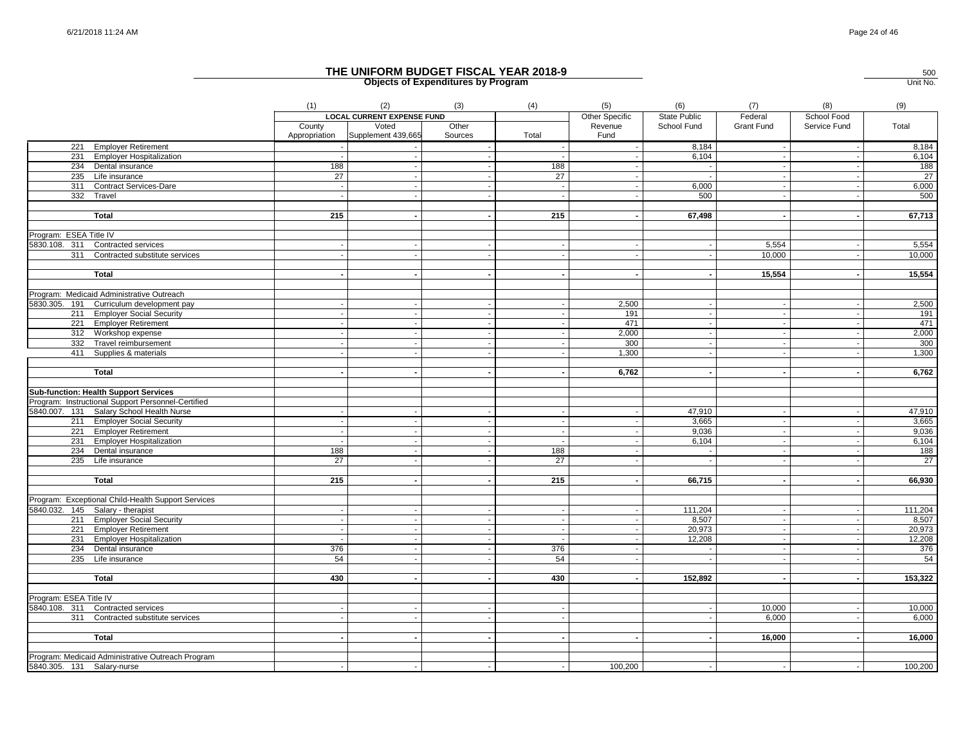|                                                    | (1)                     | (2)<br><b>LOCAL CURRENT EXPENSE FUND</b> | (3)                   | (4)                      | (5)<br>Other Specific    | (6)<br><b>State Public</b> | (7)<br>Federal           | (8)<br>School Food       | (9)             |
|----------------------------------------------------|-------------------------|------------------------------------------|-----------------------|--------------------------|--------------------------|----------------------------|--------------------------|--------------------------|-----------------|
|                                                    | County<br>Appropriation | Voted<br>Supplement 439,665              | Other<br>Sources      | Total                    | Revenue<br>Fund          | School Fund                | Grant Fund               | Service Fund             | Total           |
| 221 Employer Retirement                            | $\sim$                  |                                          |                       | $\sim$                   | $\sim$                   | 8,184                      | $\sim$                   | $\sim$                   | 8,184           |
| 231 Employer Hospitalization                       |                         |                                          |                       |                          |                          | 6,104                      |                          | $\sim$                   | 6,104           |
| 234 Dental insurance                               | 188                     |                                          |                       | 188                      |                          | $\sim$                     |                          | $\overline{\phantom{a}}$ | 188             |
| 235 Life insurance                                 | 27                      |                                          |                       | 27                       |                          | $\sim$                     |                          |                          | $\overline{27}$ |
| 311 Contract Services-Dare                         |                         |                                          |                       |                          |                          | 6,000                      |                          |                          | 6,000           |
| 332 Travel                                         |                         |                                          |                       |                          |                          | 500                        |                          |                          | 500             |
| Total                                              | 215                     |                                          | $\blacksquare$        | 215                      | $\blacksquare$           | 67,498                     |                          | $\blacksquare$           | 67,713          |
| Program: ESEA Title IV                             |                         |                                          |                       |                          |                          |                            |                          |                          |                 |
| 5830.108. 311 Contracted services                  |                         |                                          |                       |                          |                          |                            | 5,554                    | $\overline{\phantom{a}}$ | 5,554           |
| 311<br>Contracted substitute services              |                         |                                          |                       | $\sim$                   | $\overline{\phantom{a}}$ | $\sim$                     | 10,000                   | $\overline{\phantom{a}}$ | 10,000          |
| <b>Total</b>                                       |                         |                                          |                       | $\mathbf{r}$             |                          |                            | 15,554                   |                          | 15,554          |
| Program: Medicaid Administrative Outreach          |                         |                                          |                       |                          |                          |                            |                          |                          |                 |
| 5830.305. 191 Curriculum development pay           |                         |                                          |                       |                          | 2,500                    | $\sim$                     |                          |                          | 2,500           |
| 211 Employer Social Security                       |                         |                                          |                       |                          | 191                      |                            |                          |                          | 191             |
| 221 Employer Retirement                            |                         |                                          | $\sim$                | $\blacksquare$           | 471                      | $\sim$                     | $\sim$                   | $\sim$                   | 471             |
| 312 Workshop expense                               |                         |                                          |                       |                          | 2,000                    |                            |                          |                          | 2,000           |
| 332 Travel reimbursement                           |                         |                                          |                       |                          | 300                      | $\sim$                     |                          |                          | 300             |
| 411 Supplies & materials                           |                         |                                          |                       |                          | 1,300                    |                            |                          |                          | 1,300           |
| <b>Total</b>                                       |                         |                                          |                       |                          | 6,762                    |                            |                          |                          | 6,762           |
| <b>Sub-function: Health Support Services</b>       |                         |                                          |                       |                          |                          |                            |                          |                          |                 |
| Program: Instructional Support Personnel-Certified |                         |                                          |                       |                          |                          |                            |                          |                          |                 |
| 5840.007. 131 Salary School Health Nurse           |                         |                                          |                       |                          |                          | 47,910                     |                          | $\overline{\phantom{a}}$ | 47,910          |
| 211 Employer Social Security                       |                         |                                          |                       |                          |                          | 3,665                      |                          |                          | 3,665           |
| 221 Employer Retirement                            |                         |                                          | $\tilde{\phantom{a}}$ | $\overline{\phantom{a}}$ | $\sim$                   | 9,036                      | $\overline{\phantom{a}}$ | $\sim$                   | 9,036           |
| 231 Employer Hospitalization                       |                         |                                          |                       |                          |                          | 6,104                      |                          | $\overline{\phantom{a}}$ | 6,104           |
| 234 Dental insurance                               | 188                     |                                          |                       | 188                      |                          | $\sim$                     |                          |                          | 188             |
| 235 Life insurance                                 | 27                      |                                          |                       | $\overline{27}$          |                          | $\sim$                     |                          | $\sim$                   | $\overline{27}$ |
| Total                                              | 215                     |                                          |                       | 215                      |                          | 66,715                     |                          | $\blacksquare$           | 66,930          |
| Program: Exceptional Child-Health Support Services |                         |                                          |                       |                          |                          |                            |                          |                          |                 |
| 5840.032. 145 Salary - therapist                   |                         |                                          |                       |                          |                          | 111,204                    |                          |                          | 111,204         |
| 211 Employer Social Security                       |                         |                                          |                       |                          |                          | 8.507                      |                          | $\overline{\phantom{a}}$ | 8,507           |
| 221 Employer Retirement                            |                         |                                          |                       |                          |                          | 20,973                     |                          |                          | 20,973          |
| 231 Employer Hospitalization                       |                         |                                          |                       | $\overline{\phantom{a}}$ | $\overline{\phantom{a}}$ | 12,208                     |                          | $\sim$                   | 12,208          |
| 234 Dental insurance                               | 376                     |                                          |                       | 376                      |                          | $\sim$                     |                          | $\overline{\phantom{a}}$ | 376             |
| 235 Life insurance                                 | 54                      |                                          |                       | 54                       |                          |                            |                          | $\sim$                   | 54              |
| <b>Total</b>                                       | 430                     |                                          |                       | 430                      |                          | 152,892                    |                          |                          | 153,322         |
| Program: ESEA Title IV                             |                         |                                          |                       |                          |                          |                            |                          |                          |                 |
| 5840.108. 311 Contracted services                  |                         |                                          |                       |                          |                          | $\sim$                     | 10,000                   | $\blacksquare$           | 10,000          |
| 311 Contracted substitute services                 |                         |                                          |                       |                          |                          |                            | 6,000                    |                          | 6,000           |
| <b>Total</b>                                       |                         |                                          |                       |                          |                          |                            |                          |                          |                 |
|                                                    |                         |                                          |                       |                          |                          |                            | 16,000                   |                          | 16,000          |
| Program: Medicaid Administrative Outreach Program  |                         |                                          |                       |                          |                          |                            |                          |                          |                 |
| 5840.305. 131 Salary-nurse                         |                         |                                          |                       |                          | 100,200                  | $\sim$                     |                          |                          | 100,200         |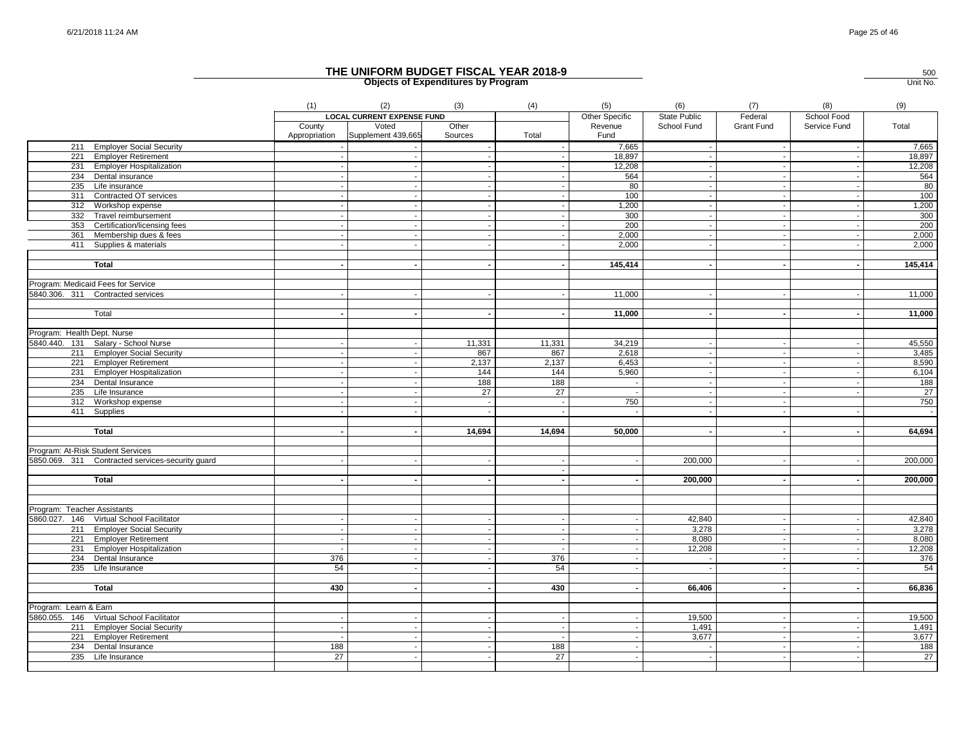|                                                                         | (1)                     | (2)                               | (3)              | (4)                      | (5)                      | (6)                 | (7)               | (8)          | (9)             |
|-------------------------------------------------------------------------|-------------------------|-----------------------------------|------------------|--------------------------|--------------------------|---------------------|-------------------|--------------|-----------------|
|                                                                         |                         | <b>LOCAL CURRENT EXPENSE FUND</b> |                  |                          | Other Specific           | <b>State Public</b> | Federal           | School Food  |                 |
|                                                                         | County<br>Appropriation | Voted<br>Supplement 439,665       | Other<br>Sources | Total                    | Revenue<br>Fund          | School Fund         | <b>Grant Fund</b> | Service Fund | Total           |
| 211 Employer Social Security                                            |                         |                                   |                  | $\sim$                   | 7,665                    | $\sim$              | $\sim$            | $\sim$       | 7,665           |
| 221 Employer Retirement                                                 |                         |                                   |                  |                          | 18,897                   | $\sim$              |                   |              | 18,897          |
| 231 Employer Hospitalization                                            |                         |                                   | $\mathbf{r}$     |                          | 12,208                   | $\sim$              |                   |              | 12,208          |
| 234 Dental insurance                                                    |                         |                                   |                  |                          | 564                      |                     |                   |              | 564             |
| 235 Life insurance                                                      |                         |                                   |                  |                          | 80                       |                     |                   |              | 80              |
| 311 Contracted OT services                                              |                         |                                   |                  |                          | 100                      |                     |                   |              | 100             |
| 312 Workshop expense                                                    |                         |                                   |                  |                          | 1,200                    |                     |                   |              | 1,200           |
| 332 Travel reimbursement                                                |                         |                                   | $\sim$           |                          | 300                      | $\sim$              |                   |              | 300             |
| 353 Certification/licensing fees                                        |                         |                                   |                  |                          | 200                      |                     |                   |              | 200             |
| 361 Membership dues & fees                                              |                         |                                   | $\blacksquare$   | $\sim$                   | 2,000                    | $\sim$              |                   |              | 2,000           |
| 411 Supplies & materials                                                |                         |                                   |                  |                          | 2,000                    |                     |                   |              | 2,000           |
| <b>Total</b>                                                            |                         |                                   |                  |                          | 145,414                  |                     |                   |              | 145,414         |
|                                                                         |                         |                                   |                  |                          |                          |                     |                   |              |                 |
| Program: Medicaid Fees for Service                                      |                         |                                   |                  |                          |                          |                     |                   |              |                 |
| 5840.306. 311 Contracted services                                       |                         |                                   |                  |                          | 11,000                   |                     |                   |              | 11,000          |
|                                                                         |                         |                                   |                  |                          |                          |                     |                   |              |                 |
| Total                                                                   |                         |                                   |                  |                          | 11,000                   |                     |                   |              | 11,000          |
| Program: Health Dept. Nurse                                             |                         |                                   |                  |                          |                          |                     |                   |              |                 |
| 5840.440. 131 Salary - School Nurse                                     |                         |                                   | 11,331           | 11,331                   | 34,219                   |                     |                   |              | 45,550          |
| 211 Employer Social Security                                            |                         |                                   | 867              | 867                      | 2,618                    | $\sim$              | $\sim$            |              | 3,485           |
| 221 Employer Retirement                                                 |                         |                                   | 2,137            | 2,137                    | 6,453                    | $\sim$              |                   |              | 8,590           |
| 231 Employer Hospitalization                                            |                         |                                   | 144              | 144                      | 5,960                    |                     |                   |              | 6,104           |
| 234 Dental Insurance                                                    |                         |                                   | 188              | 188                      | $\sim$                   |                     |                   |              | 188             |
| 235 Life Insurance                                                      |                         |                                   | 27               | 27                       | $\sim$                   | $\blacksquare$      |                   |              | $\overline{27}$ |
| 312 Workshop expense                                                    |                         |                                   |                  |                          | 750                      |                     |                   |              | 750             |
| 411 Supplies                                                            |                         |                                   |                  |                          |                          |                     |                   |              | $\sim$          |
|                                                                         |                         |                                   |                  |                          |                          |                     |                   |              |                 |
| <b>Total</b>                                                            |                         |                                   | 14,694           | 14,694                   | 50,000                   |                     |                   |              | 64,694          |
|                                                                         |                         |                                   |                  |                          |                          |                     |                   |              |                 |
| Program: At-Risk Student Services                                       |                         |                                   |                  |                          |                          |                     |                   |              |                 |
| 5850.069. 311 Contracted services-security guard                        |                         |                                   |                  |                          |                          | 200,000             |                   |              | 200,000         |
|                                                                         |                         |                                   |                  |                          |                          |                     |                   |              |                 |
| Total                                                                   |                         |                                   |                  |                          |                          | 200,000             |                   |              | 200,000         |
|                                                                         |                         |                                   |                  |                          |                          |                     |                   |              |                 |
|                                                                         |                         |                                   |                  |                          |                          |                     |                   |              |                 |
| Program: Teacher Assistants<br>5860.027. 146 Virtual School Facilitator |                         |                                   |                  |                          |                          | 42,840              |                   |              | 42,840          |
| 211 Employer Social Security                                            |                         |                                   |                  | $\sim$                   | $\sim$                   | 3,278               |                   |              | 3,278           |
| 221 Employer Retirement                                                 |                         | $\sim$                            | $\sim$           | $\overline{\phantom{a}}$ | $\sim$                   | 8,080               | $\sim$            | $\sim$       | 8,080           |
| 231 Employer Hospitalization                                            |                         |                                   |                  |                          |                          | 12,208              |                   |              | 12,208          |
| 234 Dental Insurance                                                    | 376                     |                                   | $\blacksquare$   | 376                      | $\overline{\phantom{a}}$ | $\sim$              |                   |              | 376             |
| 235 Life Insurance                                                      | 54                      | $\sim$                            |                  | 54                       |                          | $\sim$              |                   |              | 54              |
|                                                                         |                         |                                   |                  |                          |                          |                     |                   |              |                 |
| <b>Total</b>                                                            | 430                     |                                   |                  | 430                      |                          | 66,406              |                   |              | 66,836          |
|                                                                         |                         |                                   |                  |                          |                          |                     |                   |              |                 |
| Program: Learn & Earn                                                   |                         |                                   |                  |                          |                          |                     |                   |              |                 |
| 5860.055. 146 Virtual School Facilitator                                |                         |                                   |                  |                          |                          | 19,500              |                   |              | 19,500          |
| 211 Employer Social Security                                            |                         |                                   |                  |                          |                          | 1,491               |                   |              | 1,491           |
| 221 Employer Retirement                                                 |                         |                                   |                  |                          |                          | 3,677               |                   |              | 3,677           |
| 234 Dental Insurance                                                    | 188                     | $\sim$                            |                  | 188                      | $\sim$                   |                     | $\sim$            |              | 188             |
| 235 Life Insurance                                                      | $\overline{27}$         |                                   |                  | $\overline{27}$          |                          |                     |                   |              | $\overline{27}$ |
|                                                                         |                         |                                   |                  |                          |                          |                     |                   |              |                 |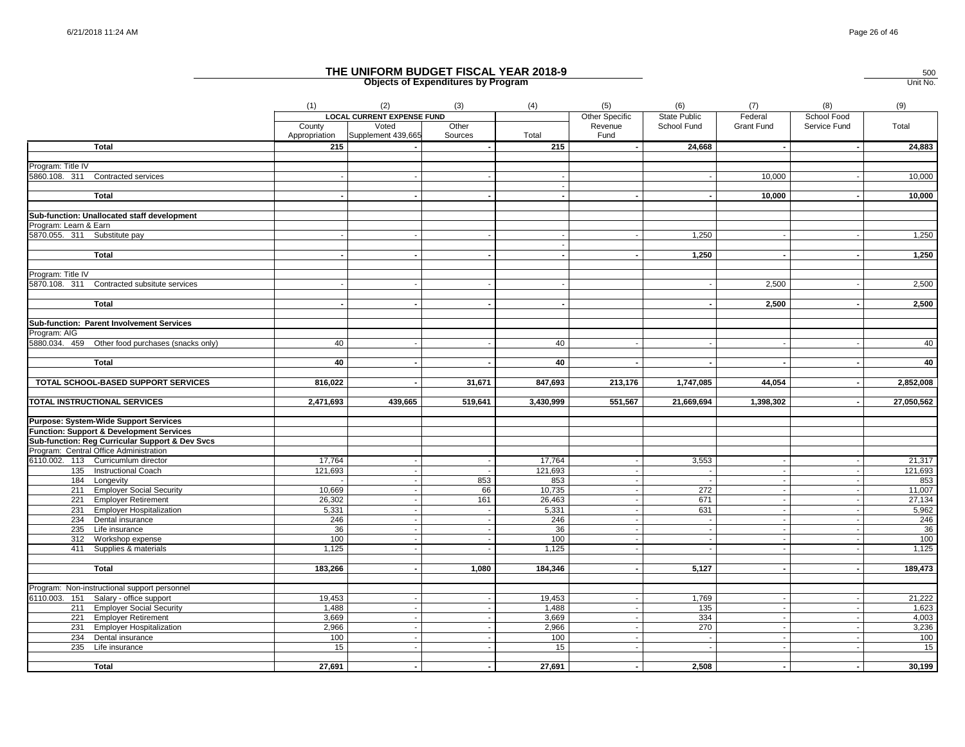|                                                                                                     | (1)           | (2)                               | (3)     | (4)                      | (5)                      | (6)                      | (7)        | (8)                      | (9)        |
|-----------------------------------------------------------------------------------------------------|---------------|-----------------------------------|---------|--------------------------|--------------------------|--------------------------|------------|--------------------------|------------|
|                                                                                                     |               | <b>LOCAL CURRENT EXPENSE FUND</b> |         |                          | Other Specific           | <b>State Public</b>      | Federal    | School Food              |            |
|                                                                                                     | County        | Voted                             | Other   |                          | Revenue                  | School Fund              | Grant Fund | Service Fund             | Total      |
|                                                                                                     | Appropriation | Supplement 439,665                | Sources | Total                    | Fund                     |                          |            |                          |            |
| <b>Total</b>                                                                                        | 215           |                                   |         | 215                      |                          | 24,668                   |            |                          | 24,883     |
|                                                                                                     |               |                                   |         |                          |                          |                          |            |                          |            |
| Program: Title IV                                                                                   |               |                                   |         |                          |                          |                          |            |                          |            |
| 5860.108. 311<br><b>Contracted services</b>                                                         |               |                                   |         |                          |                          |                          | 10,000     |                          | 10,000     |
|                                                                                                     |               |                                   |         | $\overline{\phantom{a}}$ |                          |                          |            |                          |            |
| <b>Total</b>                                                                                        |               |                                   |         |                          |                          |                          | 10,000     |                          | 10,000     |
| Sub-function: Unallocated staff development                                                         |               |                                   |         |                          |                          |                          |            |                          |            |
| Program: Learn & Earn                                                                               |               |                                   |         |                          |                          |                          |            |                          |            |
| 5870.055. 311 Substitute pay                                                                        |               |                                   |         |                          |                          | 1,250                    |            |                          | 1,250      |
|                                                                                                     |               |                                   |         | $\sim$                   |                          |                          |            |                          |            |
| <b>Total</b>                                                                                        |               |                                   |         | $\sim$                   |                          | 1,250                    |            |                          | 1,250      |
|                                                                                                     |               |                                   |         |                          |                          |                          |            |                          |            |
| Program: Title IV                                                                                   |               |                                   |         |                          |                          |                          |            |                          |            |
| 5870.108. 311 Contracted subsitute services                                                         |               |                                   |         |                          |                          |                          | 2,500      |                          | 2,500      |
|                                                                                                     |               |                                   |         |                          |                          |                          |            |                          |            |
| <b>Total</b>                                                                                        |               |                                   |         |                          |                          |                          | 2,500      |                          | 2,500      |
|                                                                                                     |               |                                   |         |                          |                          |                          |            |                          |            |
| Sub-function: Parent Involvement Services                                                           |               |                                   |         |                          |                          |                          |            |                          |            |
| Program: AIG                                                                                        |               |                                   |         |                          |                          |                          |            |                          |            |
| 5880.034. 459 Other food purchases (snacks only)                                                    | 40            |                                   |         | 40                       |                          |                          |            |                          | 40         |
|                                                                                                     |               |                                   |         |                          |                          |                          |            |                          |            |
| <b>Total</b>                                                                                        | 40            |                                   |         | 40                       |                          |                          |            |                          | 40         |
|                                                                                                     |               |                                   |         |                          |                          |                          |            |                          |            |
| TOTAL SCHOOL-BASED SUPPORT SERVICES                                                                 | 816,022       |                                   | 31,671  | 847,693                  | 213,176                  | 1,747,085                | 44,054     |                          | 2,852,008  |
|                                                                                                     |               |                                   |         |                          |                          |                          |            |                          |            |
| TOTAL INSTRUCTIONAL SERVICES                                                                        | 2,471,693     | 439,665                           | 519,641 | 3,430,999                | 551,567                  | 21,669,694               | 1,398,302  | $\sim$                   | 27,050,562 |
|                                                                                                     |               |                                   |         |                          |                          |                          |            |                          |            |
| <b>Purpose: System-Wide Support Services</b><br><b>Function: Support &amp; Development Services</b> |               |                                   |         |                          |                          |                          |            |                          |            |
| Sub-function: Reg Curricular Support & Dev Svcs                                                     |               |                                   |         |                          |                          |                          |            |                          |            |
| Program: Central Office Administration                                                              |               |                                   |         |                          |                          |                          |            |                          |            |
| 6110.002. 113 Curricumlum director                                                                  | 17,764        |                                   |         | 17,764                   |                          | 3,553                    |            |                          | 21,317     |
| 135 Instructional Coach                                                                             | 121,693       |                                   |         | 121,693                  |                          | $\overline{\phantom{a}}$ |            | $\overline{a}$           | 121,693    |
| 184 Longevity                                                                                       |               |                                   | 853     | 853                      |                          |                          |            |                          | 853        |
| 211 Employer Social Security                                                                        | 10,669        |                                   | 66      | 10,735                   | $\overline{\phantom{a}}$ | 272                      | $\sim$     | $\blacksquare$           | 11,007     |
| 221 Employer Retirement                                                                             | 26,302        |                                   | 161     | 26,463                   | $\overline{\phantom{a}}$ | 671                      |            |                          | 27,134     |
| 231 Employer Hospitalization                                                                        | 5,331         |                                   |         | 5,331                    | $\overline{\phantom{a}}$ | 631                      | $\sim$     | $\sim$                   | 5,962      |
| 234 Dental insurance                                                                                | 246           |                                   |         | 246                      |                          | $\sim$                   |            |                          | 246        |
| 235 Life insurance                                                                                  | 36            |                                   |         | 36                       | $\overline{\phantom{a}}$ | $\sim$                   |            |                          | 36         |
| 312 Workshop expense                                                                                | 100           |                                   |         | 100                      |                          | $\sim$                   |            | $\blacksquare$           | 100        |
| 411 Supplies & materials                                                                            | 1,125         |                                   |         | 1,125                    |                          |                          |            |                          | 1,125      |
|                                                                                                     |               |                                   |         |                          |                          |                          |            |                          |            |
| <b>Total</b>                                                                                        | 183,266       |                                   | 1,080   | 184,346                  |                          | 5,127                    |            |                          | 189,473    |
|                                                                                                     |               |                                   |         |                          |                          |                          |            |                          |            |
| Program: Non-instructional support personnel                                                        |               |                                   |         |                          |                          |                          |            |                          |            |
| 6110.003. 151 Salary - office support                                                               | 19,453        |                                   |         | 19,453                   |                          | 1,769                    |            |                          | 21,222     |
| 211 Employer Social Security                                                                        | 1,488         |                                   |         | 1,488                    |                          | 135                      | $\sim$     | $\overline{\phantom{a}}$ | 1,623      |
| 221 Employer Retirement                                                                             | 3,669         |                                   |         | 3,669                    | $\overline{\phantom{a}}$ | 334                      | $\sim$     | $\sim$                   | 4,003      |
| 231 Employer Hospitalization                                                                        | 2,966         |                                   |         | 2,966                    |                          | 270                      |            |                          | 3,236      |
| 234<br>Dental insurance                                                                             | 100           |                                   |         | 100                      |                          | $\sim$                   |            |                          | 100        |
| 235<br>Life insurance                                                                               | 15            |                                   |         | 15                       |                          |                          |            |                          | 15         |
|                                                                                                     |               |                                   |         |                          |                          |                          |            |                          |            |
| <b>Total</b>                                                                                        | 27,691        | $\sim$                            |         | 27,691                   | $\sim$                   | 2,508                    |            | $\blacksquare$           | 30,199     |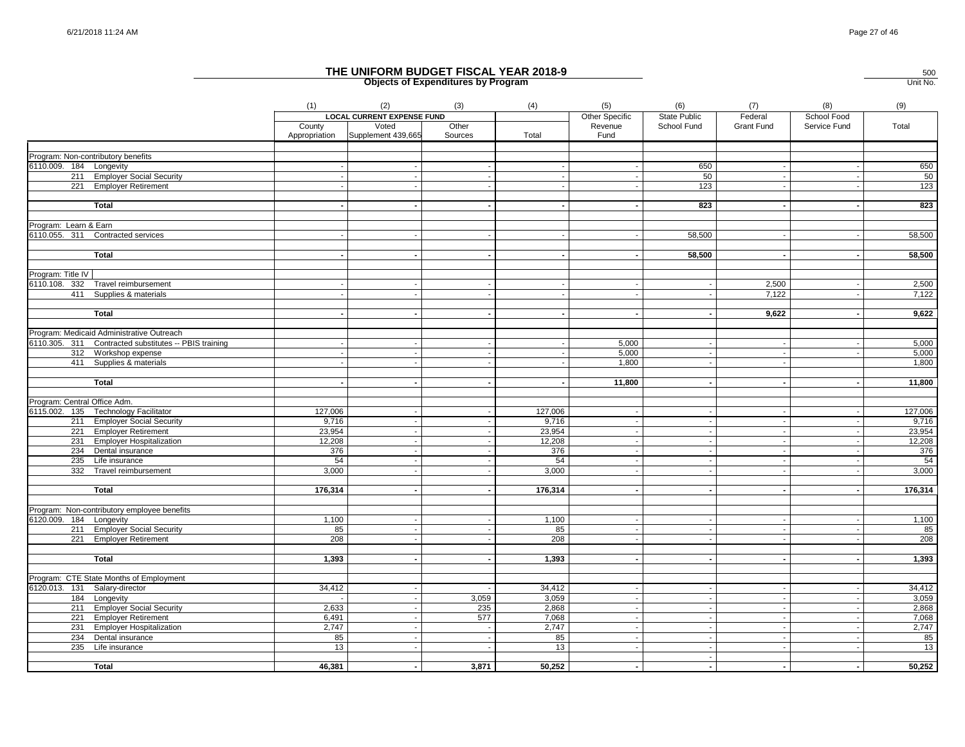|                                                         | (1)           | (2)                               | (3)     | (4)       | (5)                      | (6)                      | (7)               | (8)            | (9)       |
|---------------------------------------------------------|---------------|-----------------------------------|---------|-----------|--------------------------|--------------------------|-------------------|----------------|-----------|
|                                                         |               | <b>LOCAL CURRENT EXPENSE FUND</b> |         |           | Other Specific           | <b>State Public</b>      | Federal           | School Food    |           |
|                                                         | County        | Voted                             | Other   |           | Revenue                  | School Fund              | <b>Grant Fund</b> | Service Fund   | Total     |
|                                                         | Appropriation | Supplement 439,665                | Sources | Total     | Fund                     |                          |                   |                |           |
|                                                         |               |                                   |         |           |                          |                          |                   |                |           |
| Program: Non-contributory benefits                      |               |                                   |         |           |                          |                          |                   |                |           |
| 6110.009. 184 Longevity                                 |               |                                   |         |           |                          | 650                      |                   |                | 650       |
| 211 Employer Social Security                            |               |                                   |         |           |                          | 50                       | $\sim$            |                | 50        |
| 221 Employer Retirement                                 |               |                                   |         |           |                          | 123                      |                   |                | 123       |
| <b>Total</b>                                            |               |                                   |         |           |                          | 823                      |                   |                | 823       |
| Program: Learn & Earn                                   |               |                                   |         |           |                          |                          |                   |                |           |
| 6110.055. 311 Contracted services                       |               |                                   |         |           |                          | 58,500                   |                   |                | 58,500    |
|                                                         |               |                                   |         |           |                          |                          |                   |                |           |
| <b>Total</b>                                            |               |                                   |         |           |                          | 58,500                   |                   |                | 58,500    |
|                                                         |               |                                   |         |           |                          |                          |                   |                |           |
| Program: Title IV                                       |               |                                   |         |           |                          |                          |                   |                |           |
| 6110.108. 332 Travel reimbursement                      |               |                                   |         |           |                          |                          | 2,500             |                | 2,500     |
| 411 Supplies & materials                                |               |                                   |         |           |                          |                          | 7,122             |                | 7,122     |
| <b>Total</b>                                            |               |                                   |         |           |                          |                          | 9,622             |                | 9,622     |
|                                                         |               |                                   |         |           |                          |                          |                   |                |           |
| Program: Medicaid Administrative Outreach               |               |                                   |         |           |                          |                          |                   |                |           |
| 6110.305. 311 Contracted substitutes -- PBIS training   |               |                                   |         |           | 5,000                    |                          |                   |                | 5,000     |
| 312 Workshop expense                                    |               |                                   |         |           | 5,000                    |                          | $\sim$            |                | 5,000     |
| 411 Supplies & materials                                |               |                                   |         |           | 1,800                    |                          |                   |                | 1,800     |
|                                                         |               |                                   |         |           |                          |                          |                   |                |           |
| <b>Total</b>                                            |               |                                   |         |           | 11,800                   |                          |                   |                | 11,800    |
| Program: Central Office Adm.                            |               |                                   |         |           |                          |                          |                   |                |           |
| 6115.002. 135 Technology Facilitator                    | 127,006       |                                   |         | 127,006   |                          |                          |                   |                | 127,006   |
| 211 Employer Social Security                            | 9,716         |                                   |         | 9,716     | $\overline{\phantom{a}}$ |                          | $\sim$            |                | 9,716     |
| 221 Employer Retirement                                 | 23,954        |                                   |         | 23,954    | $\overline{\phantom{a}}$ |                          | $\sim$            | $\sim$         | 23,954    |
| 231 Employer Hospitalization                            | 12,208        |                                   |         | 12,208    | $\overline{\phantom{a}}$ |                          | $\sim$            |                | 12,208    |
| 234 Dental insurance                                    | 376           |                                   |         | 376       |                          |                          |                   |                | 376       |
| 235<br>Life insurance                                   | 54            |                                   |         | 54        |                          |                          |                   |                | 54        |
| 332<br>Travel reimbursement                             | 3,000         |                                   |         | 3,000     | ۰.                       |                          |                   |                | 3,000     |
|                                                         |               |                                   |         |           |                          |                          |                   |                |           |
| <b>Total</b>                                            | 176,314       |                                   |         | 176,314   |                          |                          |                   |                | 176,314   |
|                                                         |               |                                   |         |           |                          |                          |                   |                |           |
| Program: Non-contributory employee benefits             |               |                                   |         |           |                          |                          |                   |                |           |
| 6120.009. 184 Longevity                                 | 1,100         |                                   |         | 1,100     |                          |                          |                   |                | 1,100     |
| 211 Employer Social Security<br>221 Employer Retirement | 85<br>208     |                                   |         | 85<br>208 |                          |                          |                   |                | 85<br>208 |
|                                                         |               |                                   |         |           |                          |                          |                   |                |           |
| <b>Total</b>                                            | 1,393         |                                   |         | 1,393     |                          |                          |                   |                | 1,393     |
| Program: CTE State Months of Employment                 |               |                                   |         |           |                          |                          |                   |                |           |
| 6120.013. 131 Salary-director                           | 34,412        |                                   |         | 34,412    |                          |                          |                   |                | 34,412    |
| 184 Longevity                                           |               |                                   | 3,059   | 3,059     |                          |                          | $\sim$            |                | 3,059     |
| 211 Employer Social Security                            | 2,633         |                                   | 235     | 2,868     | $\sim$                   | - 11                     | $\sim$            | $\sim$         | 2,868     |
| 221 Employer Retirement                                 | 6,491         |                                   | 577     | 7,068     |                          | - 11                     | $\sim$            | $\blacksquare$ | 7,068     |
| 231 Employer Hospitalization                            | 2,747         |                                   |         | 2,747     |                          |                          |                   |                | 2,747     |
| 234 Dental insurance                                    | 85            |                                   |         | 85        |                          |                          |                   |                | 85        |
| 235 Life insurance                                      | 13            |                                   |         | 13        | $\overline{\phantom{a}}$ | $\sim$                   | $\sim$            | $\sim$         | 13        |
|                                                         |               |                                   |         |           |                          |                          |                   |                |           |
| <b>Total</b>                                            | 46,381        |                                   | 3,871   | 50,252    | $\sim$                   | $\overline{\phantom{a}}$ | $\sim$            | $\sim$         | 50,252    |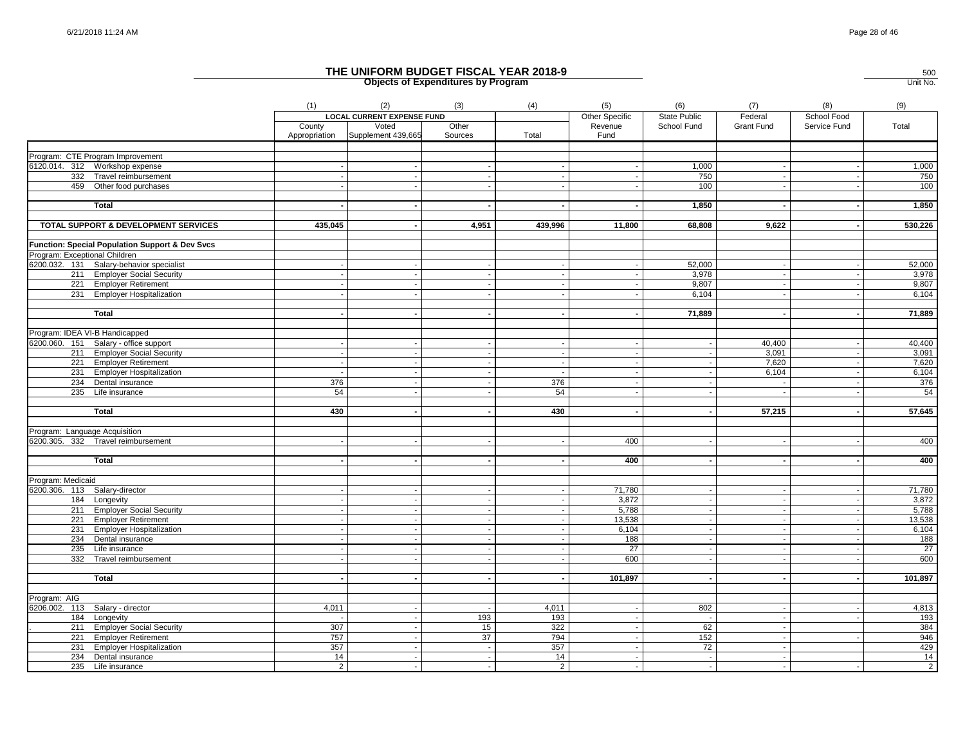|                                                 | (1)                      | (2)                               | (3)                      | (4)            | (5)                      | (6)                 | (7)               | (8)                      | (9)             |
|-------------------------------------------------|--------------------------|-----------------------------------|--------------------------|----------------|--------------------------|---------------------|-------------------|--------------------------|-----------------|
|                                                 |                          | <b>LOCAL CURRENT EXPENSE FUND</b> |                          |                | Other Specific           | <b>State Public</b> | Federal           | School Food              |                 |
|                                                 | County                   | Voted                             | Other                    |                | Revenue                  | School Fund         | <b>Grant Fund</b> | Service Fund             | Total           |
|                                                 | Appropriation            | Supplement 439,665                | Sources                  | Total          | Fund                     |                     |                   |                          |                 |
|                                                 |                          |                                   |                          |                |                          |                     |                   |                          |                 |
| Program: CTE Program Improvement                |                          |                                   |                          |                |                          |                     |                   |                          |                 |
| 6120.014. 312 Workshop expense                  |                          |                                   |                          |                |                          | 1,000               |                   |                          | 1,000           |
| 332 Travel reimbursement                        |                          |                                   |                          | $\sim$         | $\overline{\phantom{a}}$ | 750                 | $\sim$            |                          | 750             |
| 459 Other food purchases                        |                          |                                   |                          |                |                          | 100                 | $\sim$            |                          | 100             |
| <b>Total</b>                                    |                          |                                   |                          |                |                          | 1,850               |                   |                          | 1,850           |
| <b>TOTAL SUPPORT &amp; DEVELOPMENT SERVICES</b> | 435,045                  |                                   | 4,951                    | 439,996        | 11,800                   | 68,808              | 9,622             | $\blacksquare$           | 530,226         |
| Function: Special Population Support & Dev Svcs |                          |                                   |                          |                |                          |                     |                   |                          |                 |
| Program: Exceptional Children                   |                          |                                   |                          |                |                          |                     |                   |                          |                 |
| 6200.032. 131 Salary-behavior specialist        | $\overline{\phantom{a}}$ |                                   |                          | $\sim$         | $\overline{\phantom{a}}$ | 52,000              | $\sim$            | $\overline{\phantom{a}}$ | 52,000          |
| 211 Employer Social Security                    |                          |                                   |                          | $\sim$         |                          | 3,978               | $\sim$            | $\overline{\phantom{a}}$ | 3,978           |
|                                                 |                          |                                   |                          |                | $\overline{\phantom{a}}$ |                     |                   | $\overline{\phantom{a}}$ |                 |
| 221 Employer Retirement                         |                          |                                   |                          | $\sim$         |                          | 9,807               | $\overline{a}$    |                          | 9,807           |
| 231 Employer Hospitalization                    |                          |                                   |                          | $\sim$         |                          | 6,104               | $\sim$            | $\sim$                   | 6,104           |
| Total                                           |                          |                                   |                          |                |                          | 71,889              |                   |                          | 71,889          |
| Program: IDEA VI-B Handicapped                  |                          |                                   |                          |                |                          |                     |                   |                          |                 |
| 6200.060. 151 Salary - office support           |                          |                                   |                          |                |                          |                     | 40.400            |                          | 40,400          |
|                                                 |                          |                                   |                          | $\sim$         | $\sim$                   |                     | 3,091             | $\overline{\phantom{a}}$ | 3,091           |
| 211 Employer Social Security                    |                          |                                   |                          | $\sim$         |                          |                     |                   | $\sim$                   | 7,620           |
| 221 Employer Retirement                         |                          |                                   |                          |                |                          |                     | 7,620             |                          |                 |
| 231 Employer Hospitalization                    | - 1                      |                                   | $\sim$                   | $\sim$         | $\sim$                   | $\sim$              | 6,104             | $\sim$                   | 6,104           |
| 234 Dental insurance                            | 376                      |                                   |                          | 376            | $\sim$                   |                     | $\sim$            | $\sim$                   | 376             |
| 235 Life insurance                              | 54                       |                                   |                          | 54             | $\overline{\phantom{a}}$ |                     |                   |                          | 54              |
| <b>Total</b>                                    | 430                      |                                   |                          | 430            | $\sim$                   |                     | 57,215            |                          | 57,645          |
|                                                 |                          |                                   |                          |                |                          |                     |                   |                          |                 |
| Program: Language Acquisition                   |                          |                                   |                          |                |                          |                     |                   |                          |                 |
| 6200.305. 332 Travel reimbursement              |                          |                                   |                          |                | 400                      |                     | $\sim$            |                          | 400             |
| <b>Total</b>                                    |                          |                                   | $\sim$                   | $\sim$         | 400                      |                     | $\sim$            |                          | 400             |
|                                                 |                          |                                   |                          |                |                          |                     |                   |                          |                 |
| Program: Medicaid                               |                          |                                   |                          |                |                          |                     |                   |                          |                 |
| 6200.306. 113 Salary-director                   |                          |                                   |                          |                | 71,780                   |                     |                   |                          | 71,780          |
| 184 Longevity                                   |                          |                                   |                          | $\sim$         | 3,872                    |                     | $\sim$            | $\sim$                   | 3,872           |
| 211 Employer Social Security                    |                          | $\sim$                            | $\overline{\phantom{a}}$ | $\sim$         | 5,788                    |                     | $\sim$            | $\overline{\phantom{a}}$ | 5,788           |
| 221 Employer Retirement                         |                          |                                   |                          | $\sim$         | 13,538                   |                     | $\sim$            | $\overline{\phantom{a}}$ | 13,538          |
| 231 Employer Hospitalization                    |                          |                                   |                          |                | 6,104                    |                     | $\sim$            | $\overline{\phantom{a}}$ | 6,104           |
| 234 Dental insurance                            |                          |                                   |                          |                | 188                      |                     |                   |                          | 188             |
| $235$ Life insurance                            | $\overline{\phantom{a}}$ | $\sim$                            | ÷.                       | $\sim$         | 27                       |                     | $\sim$            | $\sim$                   | $\overline{27}$ |
| 332<br>Travel reimbursement                     |                          |                                   |                          |                | 600                      |                     |                   |                          | 600             |
|                                                 |                          |                                   |                          |                |                          |                     |                   |                          |                 |
| <b>Total</b>                                    |                          | $\overline{\phantom{a}}$          |                          | $\sim$         | 101,897                  |                     | $\sim$            | $\blacksquare$           | 101,897         |
|                                                 |                          |                                   |                          |                |                          |                     |                   |                          |                 |
| Program: AIG<br>6206.002. 113 Salary - director | 4,011                    |                                   |                          | 4,011          |                          | 802                 |                   |                          | 4,813           |
| 184 Longevity                                   |                          |                                   | 193                      | 193            | $\sim$                   |                     | $\sim$            | $\sim$                   | 193             |
| 211 Employer Social Security                    | 307                      |                                   | 15                       | 322            |                          | 62                  | $\sim$            |                          | 384             |
|                                                 |                          |                                   | 37                       | 794            | $\sim$                   | 152                 |                   |                          | 946             |
| <b>Employer Retirement</b><br>221               | 757<br>357               | $\sim$                            | $\sim$                   | 357            | $\sim$                   | $\overline{72}$     | $\sim$            |                          | 429             |
| 231 Employer Hospitalization                    | 14                       | $\overline{\phantom{a}}$          |                          | 14             | $\sim$                   | $\sim$              | $\sim$<br>$\sim$  |                          | 14              |
| 234 Dental insurance                            |                          |                                   |                          |                |                          |                     |                   |                          |                 |
| 235 Life insurance                              | $\overline{2}$           | $\sim$                            |                          | $\overline{2}$ | $\sim$                   | $\blacksquare$      | $\sim$            |                          | $\overline{2}$  |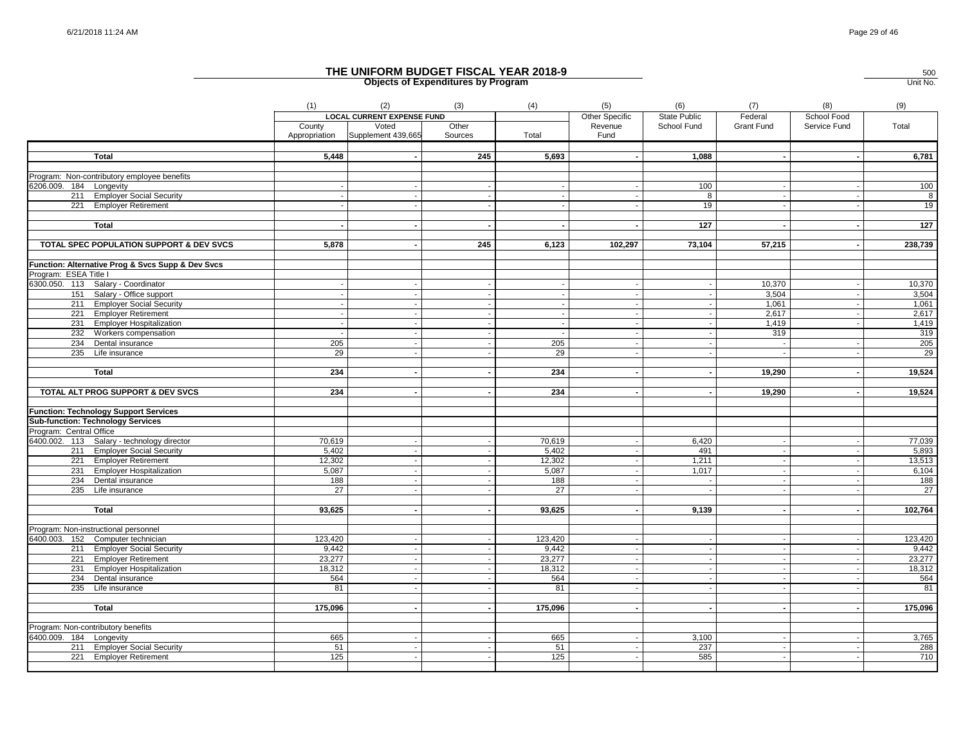|                                                                                          | (1)           | (2)                               | (3)     | (4)             | (5)                      | (6)                 | (7)               | (8)                      | (9)     |
|------------------------------------------------------------------------------------------|---------------|-----------------------------------|---------|-----------------|--------------------------|---------------------|-------------------|--------------------------|---------|
|                                                                                          |               | <b>LOCAL CURRENT EXPENSE FUND</b> |         |                 | <b>Other Specific</b>    | <b>State Public</b> | Federal           | School Food              |         |
|                                                                                          | County        | Voted                             | Other   |                 | Revenue                  | School Fund         | <b>Grant Fund</b> | Service Fund             | Total   |
|                                                                                          | Appropriation | Supplement 439,665                | Sources | Total           | Fund                     |                     |                   |                          |         |
|                                                                                          |               |                                   |         |                 |                          |                     |                   |                          |         |
| <b>Total</b>                                                                             | 5,448         |                                   | 245     | 5,693           |                          | 1,088               |                   |                          | 6,781   |
|                                                                                          |               |                                   |         |                 |                          |                     |                   |                          |         |
| Program: Non-contributory employee benefits                                              |               |                                   |         |                 |                          |                     |                   |                          | 100     |
| 6206.009. 184 Longevity                                                                  |               |                                   |         |                 |                          | 100<br>8            |                   |                          | 8       |
| 211 Employer Social Security<br>221 Employer Retirement                                  |               |                                   |         |                 |                          | 19                  |                   |                          | 19      |
|                                                                                          |               |                                   |         |                 |                          |                     |                   |                          |         |
| <b>Total</b>                                                                             |               |                                   |         |                 |                          | 127                 |                   |                          | 127     |
|                                                                                          |               |                                   |         |                 |                          |                     |                   |                          |         |
| TOTAL SPEC POPULATION SUPPORT & DEV SVCS                                                 | 5,878         |                                   | 245     | 6,123           | 102,297                  | 73,104              | 57,215            |                          | 238,739 |
|                                                                                          |               |                                   |         |                 |                          |                     |                   |                          |         |
| Function: Alternative Prog & Svcs Supp & Dev Svcs                                        |               |                                   |         |                 |                          |                     |                   |                          |         |
| Program: ESEA Title I                                                                    |               |                                   |         |                 |                          |                     |                   |                          |         |
| 6300.050. 113 Salary - Coordinator                                                       |               |                                   |         |                 |                          |                     | 10,370            |                          | 10,370  |
| 151 Salary - Office support                                                              |               |                                   |         |                 |                          |                     | 3,504             |                          | 3,504   |
| 211 Employer Social Security                                                             |               |                                   |         |                 |                          |                     | 1,061             |                          | 1,061   |
| 221 Employer Retirement                                                                  |               |                                   |         |                 |                          |                     | 2,617             |                          | 2,617   |
| 231 Employer Hospitalization                                                             |               |                                   |         | $\sim$          | $\overline{\phantom{a}}$ |                     | 1,419             |                          | 1,419   |
| 232 Workers compensation                                                                 |               |                                   |         | $\sim$          | $\overline{\phantom{a}}$ |                     | 319               |                          | 319     |
| 234 Dental insurance                                                                     | 205           |                                   |         | 205             | $\sim$                   |                     | $\sim$            |                          | 205     |
| 235<br>Life insurance                                                                    | 29            |                                   |         | 29              |                          |                     |                   |                          | 29      |
|                                                                                          |               |                                   |         |                 |                          |                     |                   |                          |         |
| Total                                                                                    | 234           | $\sim$                            |         | 234             | $\overline{\phantom{a}}$ |                     | 19,290            | $\overline{\phantom{a}}$ | 19,524  |
|                                                                                          |               |                                   |         |                 |                          |                     |                   |                          |         |
| TOTAL ALT PROG SUPPORT & DEV SVCS                                                        | 234           |                                   |         | 234             |                          |                     | 19,290            |                          | 19,524  |
|                                                                                          |               |                                   |         |                 |                          |                     |                   |                          |         |
| <b>Function: Technology Support Services</b><br><b>Sub-function: Technology Services</b> |               |                                   |         |                 |                          |                     |                   |                          |         |
| Program: Central Office                                                                  |               |                                   |         |                 |                          |                     |                   |                          |         |
| 6400.002. 113 Salary - technology director                                               | 70,619        |                                   |         | 70,619          |                          | 6,420               | $\sim$            | $\overline{\phantom{a}}$ | 77,039  |
| 211 Employer Social Security                                                             | 5,402         |                                   |         | 5,402           |                          | 491                 |                   |                          | 5,893   |
| 221 Employer Retirement                                                                  | 12,302        |                                   |         | 12,302          |                          | 1,211               |                   |                          | 13,513  |
| 231 Employer Hospitalization                                                             | 5,087         |                                   |         | 5,087           |                          | 1,017               |                   |                          | 6,104   |
| 234 Dental insurance                                                                     | 188           | $\overline{\phantom{a}}$          |         | 188             | $\sim$                   |                     | $\sim$            |                          | 188     |
| 235<br>Life insurance                                                                    | 27            |                                   |         | $\overline{27}$ |                          |                     |                   |                          | 27      |
|                                                                                          |               |                                   |         |                 |                          |                     |                   |                          |         |
| <b>Total</b>                                                                             | 93,625        |                                   |         | 93,625          |                          | 9,139               |                   |                          | 102,764 |
|                                                                                          |               |                                   |         |                 |                          |                     |                   |                          |         |
| Program: Non-instructional personnel                                                     |               |                                   |         |                 |                          |                     |                   |                          |         |
| 6400.003. 152 Computer technician                                                        | 123,420       |                                   |         | 123,420         |                          |                     |                   |                          | 123,420 |
| 211 Employer Social Security                                                             | 9,442         | $\sim$                            |         | 9,442           | $\sim$                   |                     | $\sim$            | $\sim$                   | 9,442   |
| 221 Employer Retirement                                                                  | 23,277        |                                   |         | 23,277          |                          |                     |                   |                          | 23,277  |
| 231 Employer Hospitalization                                                             | 18,312        | $\sim$                            |         | 18,312          | $\sim$                   |                     | $\sim$            | $\sim$                   | 18,312  |
| 234 Dental insurance                                                                     | 564           |                                   |         | 564             |                          |                     |                   |                          | 564     |
| 235<br>Life insurance                                                                    | 81            |                                   |         | 81              |                          |                     |                   |                          | 81      |
|                                                                                          |               |                                   |         |                 |                          |                     |                   |                          |         |
| <b>Total</b>                                                                             | 175,096       |                                   |         | 175,096         |                          |                     |                   |                          | 175,096 |
|                                                                                          |               |                                   |         |                 |                          |                     |                   |                          |         |
| Program: Non-contributory benefits                                                       |               |                                   |         |                 |                          |                     |                   |                          |         |
| 6400.009. 184 Longevity                                                                  | 665           |                                   |         | 665             | $\sim$                   | 3,100               |                   |                          | 3,765   |
| 211 Employer Social Security                                                             | 51            |                                   |         | 51              |                          | 237                 |                   |                          | 288     |
| 221 Employer Retirement                                                                  | 125           |                                   |         | 125             | $\sim$                   | 585                 | $\sim$            |                          | 710     |
|                                                                                          |               |                                   |         |                 |                          |                     |                   |                          |         |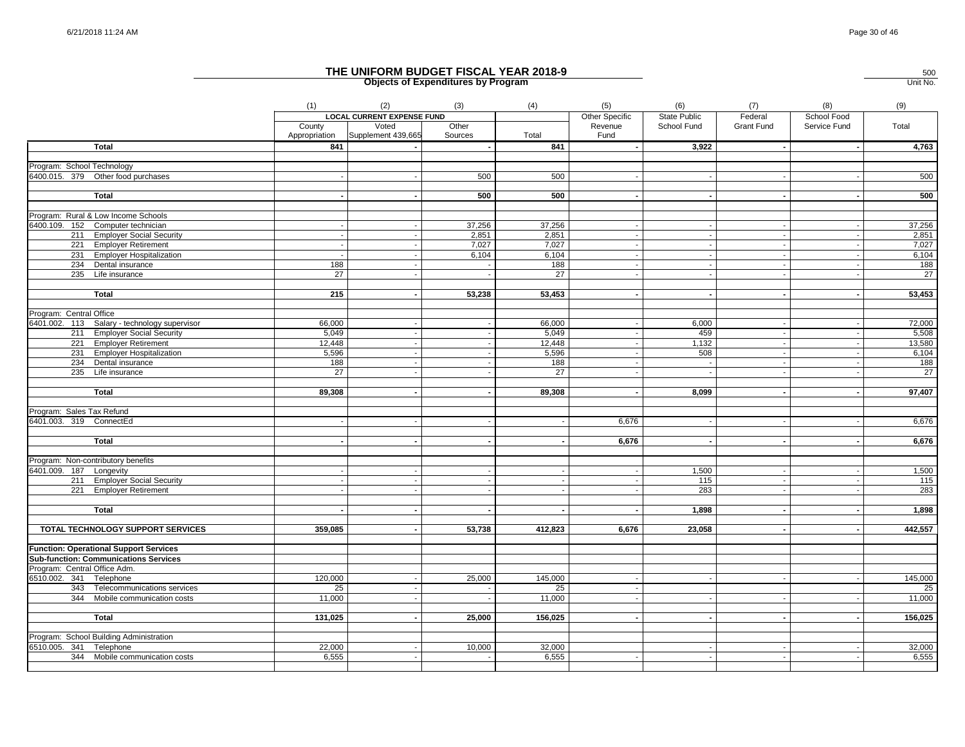|                                               | (1)                     | (2)                               | (3)              | (4)     | (5)                         | (6)                      | (7)        | (8)                      | (9)             |
|-----------------------------------------------|-------------------------|-----------------------------------|------------------|---------|-----------------------------|--------------------------|------------|--------------------------|-----------------|
|                                               |                         | <b>LOCAL CURRENT EXPENSE FUND</b> |                  |         | Other Specific              | State Public             | Federal    | School Food              |                 |
|                                               | County<br>Appropriation | Voted<br>Supplement 439,665       | Other<br>Sources | Total   | Revenue<br>Fund             | School Fund              | Grant Fund | Service Fund             | Total           |
| <b>Total</b>                                  | 841                     |                                   |                  | 841     |                             | 3,922                    |            |                          | 4,763           |
| Program: School Technology                    |                         |                                   |                  |         |                             |                          |            |                          |                 |
| 6400.015. 379 Other food purchases            |                         |                                   | 500              | 500     |                             |                          |            |                          | 500             |
|                                               |                         |                                   |                  |         |                             |                          |            |                          |                 |
| <b>Total</b>                                  |                         |                                   | 500              | 500     |                             |                          |            |                          | 500             |
| Program: Rural & Low Income Schools           |                         |                                   |                  |         |                             |                          |            |                          |                 |
| 6400.109. 152 Computer technician             |                         |                                   | 37,256           | 37,256  | $\sim$                      | $\sim$                   |            | $\overline{\phantom{a}}$ | 37,256          |
| 211 Employer Social Security                  |                         |                                   | 2,851            | 2,851   | $\blacksquare$              |                          |            |                          | 2,851           |
| 221 Employer Retirement                       |                         |                                   | 7,027            | 7,027   | $\sim$                      | $\sim$                   |            |                          | 7,027           |
| 231 Employer Hospitalization                  |                         |                                   | 6,104            | 6,104   | $\mathcal{L}_{\mathcal{A}}$ |                          |            |                          | 6,104           |
| 234 Dental insurance                          | 188                     |                                   |                  | 188     | $\sim$                      |                          |            |                          | 188             |
| 235 Life insurance                            | 27                      |                                   |                  | 27      |                             |                          |            |                          | $\overline{27}$ |
| Total                                         | 215                     |                                   | 53,238           | 53,453  |                             |                          |            |                          | 53,453          |
|                                               |                         |                                   |                  |         |                             |                          |            |                          |                 |
| Program: Central Office                       |                         |                                   |                  |         |                             |                          |            |                          |                 |
| 6401.002. 113 Salary - technology supervisor  | 66,000                  |                                   |                  | 66,000  |                             | 6,000                    |            |                          | 72,000          |
| 211 Employer Social Security                  | 5,049                   |                                   |                  | 5,049   | $\sim$                      | 459                      |            | $\overline{\phantom{a}}$ | 5,508           |
| 221 Employer Retirement                       | 12,448                  |                                   |                  | 12,448  | $\mathbf{L}$                | 1,132                    |            |                          | 13,580          |
| 231 Employer Hospitalization                  | 5,596                   |                                   |                  | 5,596   | $\sim$                      | 508                      |            |                          | 6,104           |
| 234 Dental insurance                          | 188                     |                                   |                  | 188     | $\sim$                      |                          |            |                          | 188             |
| 235 Life insurance                            | 27                      |                                   |                  | 27      |                             |                          |            |                          | 27              |
| <b>Total</b>                                  | 89,308                  |                                   |                  | 89,308  | $\sim$                      | 8,099                    |            |                          | 97,407          |
|                                               |                         |                                   |                  |         |                             |                          |            |                          |                 |
| Program: Sales Tax Refund                     |                         |                                   |                  |         |                             |                          |            |                          |                 |
| 6401.003. 319 ConnectEd                       |                         |                                   |                  |         | 6,676                       |                          |            |                          | 6,676           |
|                                               |                         |                                   |                  |         |                             |                          |            |                          |                 |
| <b>Total</b>                                  |                         |                                   |                  |         | 6,676                       | $\overline{\phantom{a}}$ |            |                          | 6,676           |
| Program: Non-contributory benefits            |                         |                                   |                  |         |                             |                          |            |                          |                 |
| 6401.009. 187 Longevity                       |                         |                                   |                  |         | $\sim$                      | 1,500                    |            |                          | 1,500           |
| 211 Employer Social Security                  |                         |                                   |                  |         |                             | 115                      |            |                          | 115             |
| 221 Employer Retirement                       |                         |                                   |                  |         |                             | 283                      |            |                          | 283             |
|                                               |                         |                                   |                  |         |                             |                          |            |                          |                 |
| Total                                         |                         |                                   |                  |         |                             | 1,898                    |            |                          | 1,898           |
| TOTAL TECHNOLOGY SUPPORT SERVICES             | 359,085                 |                                   | 53,738           | 412,823 | 6,676                       | 23,058                   |            |                          | 442,557         |
|                                               |                         |                                   |                  |         |                             |                          |            |                          |                 |
| <b>Function: Operational Support Services</b> |                         |                                   |                  |         |                             |                          |            |                          |                 |
| <b>Sub-function: Communications Services</b>  |                         |                                   |                  |         |                             |                          |            |                          |                 |
| Program: Central Office Adm.                  |                         |                                   |                  |         |                             |                          |            |                          |                 |
| 6510.002. 341 Telephone                       | 120,000                 |                                   | 25,000           | 145,000 | $\overline{\phantom{a}}$    |                          |            |                          | 145,000         |
| 343 Telecommunications services               | 25                      |                                   |                  | 25      | $\sim$                      |                          |            |                          | 25              |
| 344 Mobile communication costs                | 11,000                  |                                   |                  | 11,000  |                             |                          |            |                          | 11,000          |
| Total                                         | 131,025                 |                                   | 25,000           | 156,025 | $\sim$                      |                          |            |                          | 156,025         |
|                                               |                         |                                   |                  |         |                             |                          |            |                          |                 |
| Program: School Building Administration       |                         |                                   |                  |         |                             |                          |            |                          |                 |
| 6510.005. 341 Telephone                       | 22,000                  |                                   | 10,000           | 32,000  |                             |                          |            |                          | 32,000          |
| 344 Mobile communication costs                | 6,555                   |                                   |                  | 6,555   | $\sim$                      | $\overline{\phantom{a}}$ |            |                          | 6,555           |
|                                               |                         |                                   |                  |         |                             |                          |            |                          |                 |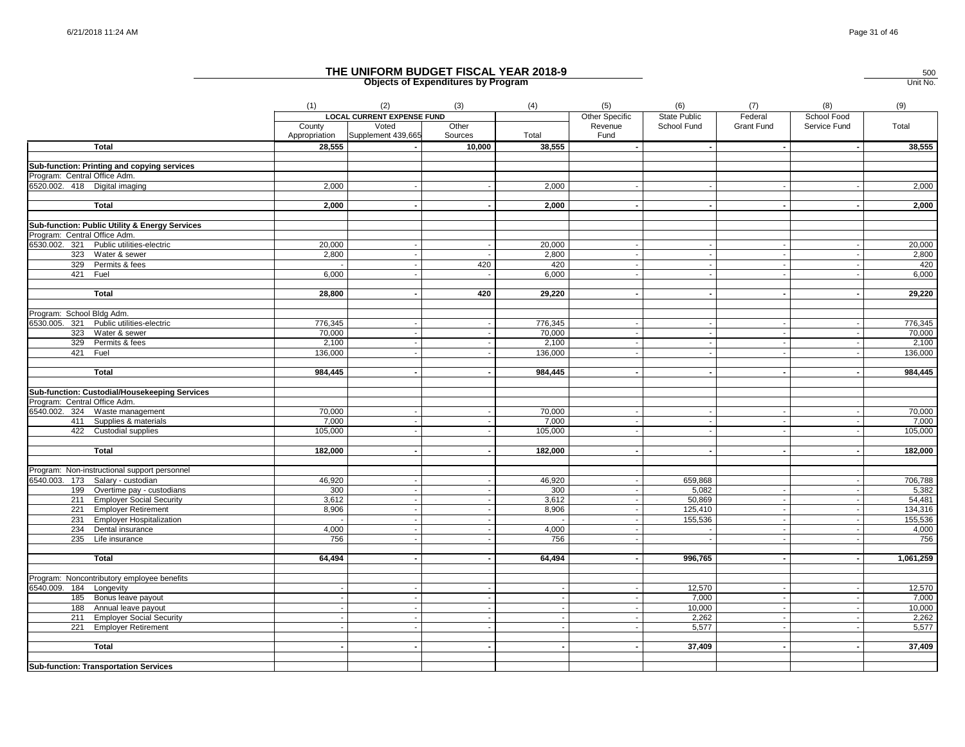|                                                | (1)     | (2)                                       | (3)              | (4)                | (5)                      | (6)                      | (7)               | (8)          | (9)       |
|------------------------------------------------|---------|-------------------------------------------|------------------|--------------------|--------------------------|--------------------------|-------------------|--------------|-----------|
|                                                |         | <b>LOCAL CURRENT EXPENSE FUND</b>         |                  |                    | Other Specific           | State Public             | Federal           | School Food  |           |
|                                                | County  | Voted<br>Appropriation Supplement 439,665 | Other<br>Sources | Total              | Revenue<br>Fund          | School Fund              | <b>Grant Fund</b> | Service Fund | Total     |
| <b>Total</b>                                   | 28,555  |                                           | 10,000           | 38,555             |                          |                          |                   |              | 38,555    |
| Sub-function: Printing and copying services    |         |                                           |                  |                    |                          |                          |                   |              |           |
| Program: Central Office Adm.                   |         |                                           |                  |                    |                          |                          |                   |              |           |
| 6520.002. 418 Digital imaging                  | 2,000   |                                           |                  | 2,000              |                          |                          |                   |              | 2,000     |
|                                                |         |                                           |                  |                    |                          |                          |                   |              |           |
| <b>Total</b>                                   | 2,000   |                                           |                  | 2,000              |                          |                          |                   |              | 2,000     |
| Sub-function: Public Utility & Energy Services |         |                                           |                  |                    |                          |                          |                   |              |           |
| Program: Central Office Adm.                   |         |                                           |                  |                    |                          |                          |                   |              |           |
| 6530.002. 321 Public utilities-electric        | 20,000  |                                           |                  | 20,000             |                          |                          |                   |              | 20,000    |
| 323 Water & sewer                              | 2,800   |                                           |                  | 2,800              |                          |                          |                   |              | 2,800     |
| 329 Permits & fees                             |         |                                           | 420              | 420                |                          |                          |                   |              | 420       |
| 421 Fuel                                       | 6,000   |                                           |                  | 6,000              |                          |                          |                   |              | 6,000     |
|                                                |         |                                           |                  |                    |                          |                          |                   |              |           |
| <b>Total</b>                                   | 28,800  |                                           | 420              | 29,220             | $\overline{\phantom{a}}$ | $\overline{\phantom{a}}$ |                   |              | 29,220    |
| Program: School Bldg Adm.                      |         |                                           |                  |                    |                          |                          |                   |              |           |
| 6530.005. 321 Public utilities-electric        | 776,345 |                                           |                  | 776,345            |                          |                          |                   |              | 776,345   |
| 323 Water & sewer                              | 70,000  | $\sim$                                    |                  | 70,000             | $\sim$                   | $\sim$                   |                   |              | 70,000    |
| 329 Permits & fees                             | 2,100   |                                           |                  | $\overline{2,100}$ |                          |                          |                   |              | 2,100     |
| 421 Fuel                                       | 136,000 |                                           |                  | 136,000            | $\overline{\phantom{a}}$ | $\sim$                   |                   |              | 136,000   |
| <b>Total</b>                                   | 984,445 |                                           |                  | 984,445            |                          | $\overline{\phantom{a}}$ |                   |              | 984,445   |
|                                                |         |                                           |                  |                    |                          |                          |                   |              |           |
| Sub-function: Custodial/Housekeeping Services  |         |                                           |                  |                    |                          |                          |                   |              |           |
| Program: Central Office Adm.                   |         |                                           |                  |                    |                          |                          |                   |              |           |
| 6540.002. 324 Waste management                 | 70,000  |                                           |                  | 70,000             |                          |                          |                   |              | 70,000    |
| 411 Supplies & materials                       | 7,000   |                                           |                  | 7,000              |                          |                          |                   |              | 7,000     |
| 422 Custodial supplies                         | 105,000 |                                           |                  | 105,000            |                          |                          |                   |              | 105,000   |
| <b>Total</b>                                   | 182,000 |                                           |                  | 182,000            |                          |                          |                   |              | 182,000   |
|                                                |         |                                           |                  |                    |                          |                          |                   |              |           |
| Program: Non-instructional support personnel   |         |                                           |                  |                    |                          |                          |                   |              |           |
| 6540.003. 173 Salary - custodian               | 46,920  |                                           |                  | 46,920             |                          | 659,868                  |                   |              | 706,788   |
| 199 Overtime pay - custodians                  | 300     |                                           |                  | 300                |                          | 5,082                    |                   |              | 5,382     |
| 211 Employer Social Security                   | 3,612   |                                           |                  | 3,612              |                          | 50,869                   |                   |              | 54,481    |
| 221 Employer Retirement                        | 8,906   |                                           |                  | 8,906              |                          | 125,410                  |                   |              | 134,316   |
| 231 Employer Hospitalization                   |         |                                           |                  |                    |                          | 155,536                  |                   |              | 155,536   |
| 234 Dental insurance                           | 4,000   |                                           |                  | 4,000              |                          | $\overline{\phantom{a}}$ |                   |              | 4,000     |
| 235 Life insurance                             | 756     |                                           |                  | 756                |                          |                          |                   |              | 756       |
| <b>Total</b>                                   | 64,494  |                                           |                  | 64,494             |                          | 996,765                  |                   |              | 1,061,259 |
|                                                |         |                                           |                  |                    |                          |                          |                   |              |           |
| Program: Noncontributory employee benefits     |         |                                           |                  |                    |                          |                          |                   |              |           |
| 6540.009. 184 Longevity                        |         |                                           |                  |                    |                          | 12,570                   |                   |              | 12,570    |
| 185 Bonus leave payout                         |         |                                           |                  |                    |                          | 7,000                    |                   |              | 7,000     |
| 188 Annual leave payout                        |         |                                           |                  |                    |                          | 10,000                   |                   |              | 10,000    |
| 211 Employer Social Security                   |         |                                           |                  | $\sim$             |                          | 2,262                    |                   |              | 2,262     |
| 221 Employer Retirement                        |         |                                           |                  |                    |                          | 5,577                    |                   |              | 5,577     |
| <b>Total</b>                                   |         |                                           |                  |                    |                          | 37,409                   |                   |              | 37,409    |
|                                                |         |                                           |                  |                    |                          |                          |                   |              |           |
| <b>Sub-function: Transportation Services</b>   |         |                                           |                  |                    |                          |                          |                   |              |           |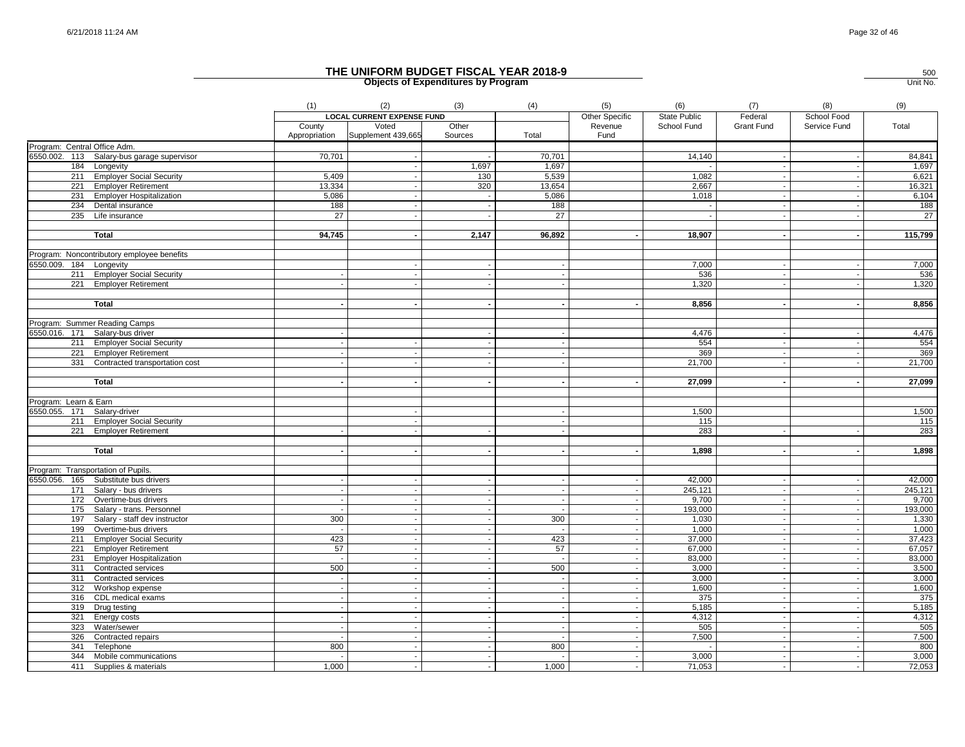|                              |                                                         | (1)                      | (2)                               | (3)                      | (4)                      | (5)                      | (6)              | (7)                      | (8)                      | (9)              |
|------------------------------|---------------------------------------------------------|--------------------------|-----------------------------------|--------------------------|--------------------------|--------------------------|------------------|--------------------------|--------------------------|------------------|
|                              |                                                         |                          | <b>LOCAL CURRENT EXPENSE FUND</b> |                          |                          | Other Specific           | State Public     | Federal                  | School Food              |                  |
|                              |                                                         | County                   | Voted                             | Other                    |                          | Revenue                  | School Fund      | Grant Fund               | Service Fund             | Total            |
|                              |                                                         | Appropriation            | Supplement 439,665                | Sources                  | Total                    | Fund                     |                  |                          |                          |                  |
| Program: Central Office Adm. |                                                         |                          |                                   |                          |                          |                          |                  |                          |                          |                  |
|                              | 6550.002. 113 Salary-bus garage supervisor              | 70,701                   |                                   |                          | 70,701                   |                          | 14,140           |                          |                          | 84,841           |
|                              | 184 Longevity                                           |                          |                                   | 1,697                    | 1,697                    |                          | 1.082            |                          |                          | 1,697            |
|                              | 211 Employer Social Security<br>221 Employer Retirement | 5,409<br>13,334          |                                   | 130<br>320               | 5,539<br>13,654          |                          | 2,667            |                          |                          | 6,621<br>16,321  |
|                              | 231 Employer Hospitalization                            | 5,086                    |                                   |                          | 5,086                    |                          | 1,018            |                          |                          | 6,104            |
|                              | 234 Dental insurance                                    | 188                      |                                   |                          | 188                      |                          |                  |                          |                          | 188              |
|                              | 235 Life insurance                                      | 27                       |                                   |                          | 27                       |                          |                  |                          |                          | 27               |
|                              |                                                         |                          |                                   |                          |                          |                          |                  |                          |                          |                  |
|                              | Total                                                   | 94,745                   |                                   | 2,147                    | 96,892                   |                          | 18,907           |                          |                          | 115,799          |
|                              | Program: Noncontributory employee benefits              |                          |                                   |                          |                          |                          |                  |                          |                          |                  |
| 6550.009. 184 Longevity      |                                                         |                          |                                   |                          |                          |                          | 7,000            |                          |                          | 7,000            |
|                              | 211 Employer Social Security                            |                          |                                   |                          |                          |                          | 536              |                          |                          | 536              |
|                              | 221 Employer Retirement                                 |                          |                                   |                          |                          |                          | 1,320            |                          |                          | 1,320            |
|                              | <b>Total</b>                                            |                          |                                   |                          |                          |                          | 8,856            |                          |                          | 8,856            |
|                              |                                                         |                          |                                   |                          |                          |                          |                  |                          |                          |                  |
|                              | Program: Summer Reading Camps                           |                          |                                   |                          |                          |                          |                  |                          |                          |                  |
|                              | 6550.016. 171 Salary-bus driver                         |                          |                                   |                          |                          |                          | 4,476            |                          |                          | 4,476            |
|                              | 211 Employer Social Security                            |                          |                                   |                          |                          |                          | 554              |                          |                          | 554              |
|                              | 221 Employer Retirement                                 |                          |                                   |                          |                          |                          | 369              |                          |                          | 369              |
|                              | 331 Contracted transportation cost                      |                          |                                   |                          |                          |                          | 21,700           |                          |                          | 21,700           |
|                              |                                                         |                          |                                   |                          |                          |                          |                  |                          |                          |                  |
|                              | <b>Total</b>                                            |                          |                                   |                          |                          |                          | 27,099           |                          |                          | 27,099           |
| Program: Learn & Earn        |                                                         |                          |                                   |                          |                          |                          |                  |                          |                          |                  |
| 6550.055. 171 Salary-driver  |                                                         |                          |                                   |                          |                          |                          | 1,500            |                          |                          | 1,500            |
|                              | 211 Employer Social Security                            |                          |                                   |                          |                          |                          | 115              |                          |                          | 115              |
|                              | 221 Employer Retirement                                 |                          |                                   |                          |                          |                          | 283              |                          |                          | 283              |
|                              |                                                         |                          |                                   |                          |                          |                          |                  |                          |                          |                  |
|                              | <b>Total</b>                                            |                          |                                   |                          |                          |                          | 1,898            |                          |                          | 1,898            |
|                              |                                                         |                          |                                   |                          |                          |                          |                  |                          |                          |                  |
|                              | Program: Transportation of Pupils.                      |                          |                                   |                          |                          |                          |                  |                          |                          |                  |
|                              | 6550.056. 165 Substitute bus drivers                    |                          |                                   |                          |                          |                          | 42.000           |                          |                          | 42,000           |
|                              | 171 Salary - bus drivers                                |                          |                                   |                          | $\overline{\phantom{a}}$ | $\sim$                   | 245,121          | $\overline{\phantom{a}}$ |                          | 245,121          |
|                              | 172 Overtime-bus drivers                                |                          |                                   |                          |                          |                          | 9,700            | $\blacksquare$           |                          | 9,700            |
|                              | 175 Salary - trans. Personnel                           |                          |                                   | $\sim$                   | $\sim$                   | $\sim$                   | 193,000          | $\sim$                   | $\overline{\phantom{a}}$ | 193,000          |
|                              | 197 Salary - staff dev instructor                       | 300                      |                                   |                          | 300                      | $\sim$                   | 1,030            | $\sim$                   |                          | 1,330            |
|                              | 199 Overtime-bus drivers                                |                          |                                   | $\sim$                   |                          | $\sim$                   | 1,000            |                          | $\sim$                   | 1,000            |
|                              | 211 Employer Social Security                            | 423                      |                                   |                          | 423                      | $\sim$<br>$\sim$         | 37,000           | $\overline{\phantom{a}}$ |                          | 37,423           |
|                              | 221 Employer Retirement<br>231 Employer Hospitalization | 57                       |                                   |                          | 57                       | $\sim$                   | 67,000<br>83,000 |                          |                          | 67,057<br>83,000 |
|                              | 311 Contracted services                                 | 500                      |                                   | $\overline{a}$           | 500                      | $\sim$                   | 3,000            |                          |                          | 3,500            |
|                              | 311 Contracted services                                 | $\overline{\phantom{a}}$ |                                   | $\overline{\phantom{a}}$ | $\sim$                   | $\sim$                   | 3,000            | $\overline{\phantom{a}}$ | $\overline{\phantom{a}}$ | 3,000            |
|                              | 312 Workshop expense                                    |                          |                                   | $\sim$                   | $\overline{\phantom{a}}$ |                          | 1,600            |                          |                          | 1,600            |
|                              | 316 CDL medical exams                                   |                          |                                   | $\sim$                   | $\sim$                   | $\sim$                   | 375              | $\blacksquare$           |                          | 375              |
|                              | 319 Drug testing                                        |                          |                                   | $\sim$                   | $\sim$                   | $\sim$                   | 5,185            | $\overline{\phantom{a}}$ |                          | 5,185            |
|                              | 321 Energy costs                                        | $\sim$                   | $\sim$                            | $\sim$                   | $\sim$                   | $\sim$                   | 4,312            | $\sim$                   | $\overline{\phantom{a}}$ | 4,312            |
|                              | 323 Water/sewer                                         |                          |                                   |                          |                          | $\sim$                   | 505              |                          |                          | 505              |
|                              | 326 Contracted repairs                                  |                          |                                   | $\sim$                   |                          | $\sim$                   | 7,500            |                          |                          | 7,500            |
| 341                          | Telephone                                               | 800                      |                                   |                          | 800                      | $\overline{\phantom{a}}$ |                  | $\overline{\phantom{a}}$ |                          | 800              |
| 344                          | Mobile communications                                   |                          |                                   |                          |                          | $\sim$                   | 3,000            |                          |                          | 3,000            |
|                              | 411 Supplies & materials                                | 1,000                    |                                   |                          | 1,000                    | $\sim$                   | 71,053           |                          |                          | 72,053           |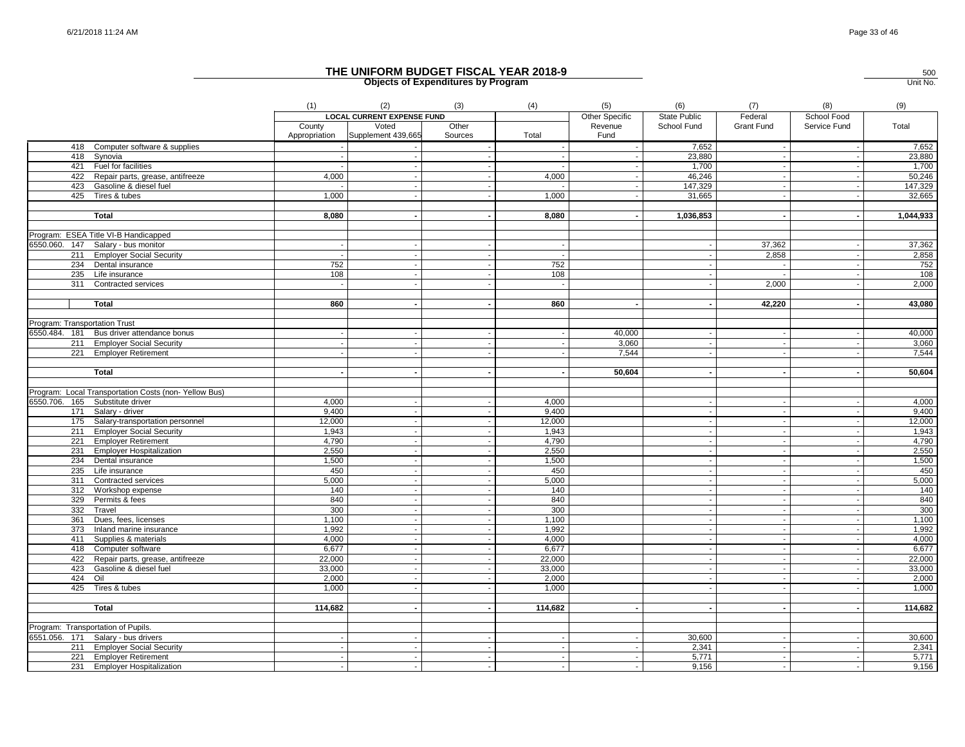|                                                      | (1)           | (2)                               | (3)                      | (4)                      | (5)            | (6)                      | (7)                      | (8)                      | (9)       |
|------------------------------------------------------|---------------|-----------------------------------|--------------------------|--------------------------|----------------|--------------------------|--------------------------|--------------------------|-----------|
|                                                      |               | <b>LOCAL CURRENT EXPENSE FUND</b> |                          |                          | Other Specific | State Public             | Federal                  | School Food              |           |
|                                                      | County        | Voted                             | Other                    |                          | Revenue        | School Fund              | Grant Fund               | Service Fund             | Total     |
|                                                      | Appropriation | Supplement 439,665                | Sources                  | Total                    | Fund           |                          |                          |                          |           |
| 418 Computer software & supplies                     |               |                                   |                          |                          |                | 7,652                    | $\overline{\phantom{a}}$ | $\overline{\phantom{a}}$ | 7,652     |
| 418 Synovia                                          |               |                                   |                          |                          |                | 23,880                   | $\sim$                   | $\sim$                   | 23,880    |
| 421 Fuel for facilities                              |               |                                   |                          |                          |                | 1,700                    |                          |                          | 1,700     |
| 422 Repair parts, grease, antifreeze                 | 4,000         |                                   |                          | 4,000                    |                | 46,246                   |                          |                          | 50,246    |
| 423 Gasoline & diesel fuel                           |               |                                   |                          |                          |                | 147,329                  | $\blacksquare$           | $\overline{\phantom{a}}$ | 147,329   |
| 425 Tires & tubes                                    | 1,000         |                                   |                          | 1,000                    |                | 31,665                   |                          |                          | 32,665    |
|                                                      |               |                                   |                          |                          |                |                          |                          |                          |           |
| Total                                                | 8,080         |                                   |                          | 8,080                    |                | 1,036,853                | $\blacksquare$           | $\sim$                   | 1,044,933 |
|                                                      |               |                                   |                          |                          |                |                          |                          |                          |           |
| Program: ESEA Title VI-B Handicapped                 |               |                                   |                          |                          |                |                          |                          |                          |           |
| 6550.060. 147 Salary - bus monitor                   |               |                                   |                          |                          |                | $\sim$                   | 37,362                   |                          | 37,362    |
| 211 Employer Social Security                         |               |                                   |                          | $\overline{\phantom{a}}$ |                | $\sim$                   | 2,858                    | $\overline{\phantom{a}}$ | 2,858     |
| 234 Dental insurance                                 | 752           |                                   |                          | 752                      |                | $\sim$                   |                          |                          | 752       |
| 235 Life insurance                                   | 108           |                                   |                          | 108                      |                |                          |                          |                          | 108       |
| 311 Contracted services                              |               |                                   |                          | $\overline{\phantom{a}}$ |                | $\sim$                   | 2,000                    | $\sim$                   | 2,000     |
|                                                      |               |                                   |                          |                          |                |                          |                          |                          |           |
| <b>Total</b>                                         | 860           |                                   |                          | 860                      |                |                          | 42,220                   |                          | 43,080    |
| Program: Transportation Trust                        |               |                                   |                          |                          |                |                          |                          |                          |           |
| 6550.484. 181 Bus driver attendance bonus            |               |                                   |                          | $\sim$                   | 40,000         | $\sim$                   | $\sim$                   | $\overline{\phantom{a}}$ | 40,000    |
| 211 Employer Social Security                         |               |                                   |                          | $\sim$                   | 3,060          |                          |                          |                          | 3,060     |
| 221 Employer Retirement                              |               |                                   |                          | $\overline{\phantom{a}}$ | 7,544          | $\overline{\phantom{a}}$ |                          |                          | 7,544     |
|                                                      |               |                                   |                          |                          |                |                          |                          |                          |           |
| <b>Total</b>                                         |               |                                   |                          |                          | 50,604         | $\sim$                   |                          |                          | 50,604    |
|                                                      |               |                                   |                          |                          |                |                          |                          |                          |           |
| Program: Local Transportation Costs (non-Yellow Bus) |               |                                   |                          |                          |                |                          |                          |                          |           |
| 6550.706. 165 Substitute driver                      | 4,000         |                                   |                          | 4,000                    |                | $\sim$                   | $\overline{\phantom{a}}$ | $\overline{\phantom{a}}$ | 4,000     |
| 171<br>Salary - driver                               | 9,400         |                                   |                          | 9,400                    |                | $\sim$                   | $\blacksquare$           | $\overline{\phantom{a}}$ | 9,400     |
| 175 Salary-transportation personnel                  | 12,000        |                                   |                          | 12,000                   |                | $\sim$                   | $\blacksquare$           | $\overline{\phantom{a}}$ | 12,000    |
| 211 Employer Social Security                         | 1,943         |                                   |                          | 1,943                    |                | $\blacksquare$           |                          | $\sim$                   | 1,943     |
| 221 Employer Retirement                              | 4,790         |                                   | $\overline{\phantom{a}}$ | 4,790                    |                | $\sim$                   | $\sim$                   | $\overline{\phantom{a}}$ | 4,790     |
| 231 Employer Hospitalization                         | 2,550         |                                   |                          | 2,550                    |                | $\sim$                   |                          | $\sim$                   | 2,550     |
| 234 Dental insurance                                 | 1,500         |                                   |                          | 1,500                    |                | $\overline{\phantom{a}}$ | $\overline{a}$           | $\overline{\phantom{a}}$ | 1,500     |
| 235 Life insurance                                   | 450           |                                   |                          | 450                      |                | $\blacksquare$           | ÷.                       | $\overline{\phantom{a}}$ | 450       |
| 311 Contracted services                              | 5,000         |                                   |                          | 5,000                    |                | $\sim$                   |                          |                          | 5,000     |
| 312 Workshop expense                                 | 140           |                                   |                          | 140                      |                |                          |                          |                          | 140       |
| 329<br>Permits & fees                                | 840           |                                   |                          | 840                      |                | $\sim$                   | $\sim$                   |                          | 840       |
| 332<br>Travel                                        | 300           |                                   |                          | 300                      |                | $\overline{\phantom{a}}$ | $\blacksquare$           | $\overline{\phantom{a}}$ | 300       |
| 361<br>Dues, fees, licenses                          | 1,100         |                                   |                          | 1,100                    |                | $\sim$                   | $\blacksquare$           | $\sim$                   | 1,100     |
| 373 Inland marine insurance                          | 1,992         |                                   |                          | 1,992                    |                | $\sim$                   | $\blacksquare$           |                          | 1,992     |
| 411 Supplies & materials                             | 4,000         |                                   |                          | 4,000                    |                | $\blacksquare$           |                          | $\sim$                   | 4,000     |
| 418 Computer software                                | 6,677         |                                   | $\sim$                   | 6,677                    |                | $\sim$                   | $\sim$                   | $\sim$                   | 6,677     |
| 422 Repair parts, grease, antifreeze                 | 22,000        |                                   |                          | 22,000                   |                | $\sim$                   | $\overline{a}$           | $\sim$                   | 22,000    |
| 423 Gasoline & diesel fuel                           | 33,000        |                                   |                          | 33,000                   |                | $\sim$                   | $\sim$                   | $\overline{\phantom{a}}$ | 33,000    |
| 424 Oil                                              | 2,000         |                                   |                          | 2,000                    |                | $\sim$                   |                          | $\overline{\phantom{a}}$ | 2,000     |
| 425 Tires & tubes                                    | 1.000         |                                   |                          | 1,000                    |                | $\sim$                   |                          |                          | 1,000     |
|                                                      |               |                                   |                          |                          |                |                          |                          |                          |           |
| <b>Total</b>                                         | 114,682       |                                   |                          | 114,682                  |                |                          |                          |                          | 114,682   |
| Program: Transportation of Pupils.                   |               |                                   |                          |                          |                |                          |                          |                          |           |
| 6551.056. 171 Salary - bus drivers                   |               |                                   |                          |                          |                | 30,600                   |                          |                          | 30,600    |
| 211 Employer Social Security                         |               |                                   |                          | $\sim$                   |                | 2,341                    |                          |                          | 2,341     |
| 221 Employer Retirement                              |               |                                   |                          | $\sim$                   |                | 5,771                    | $\mathbf{r}$             |                          | 5,771     |
| 231 Employer Hospitalization                         |               |                                   | $\blacksquare$           | $\sim$                   |                | 9,156                    |                          |                          | 9,156     |
|                                                      |               |                                   |                          |                          |                |                          |                          |                          |           |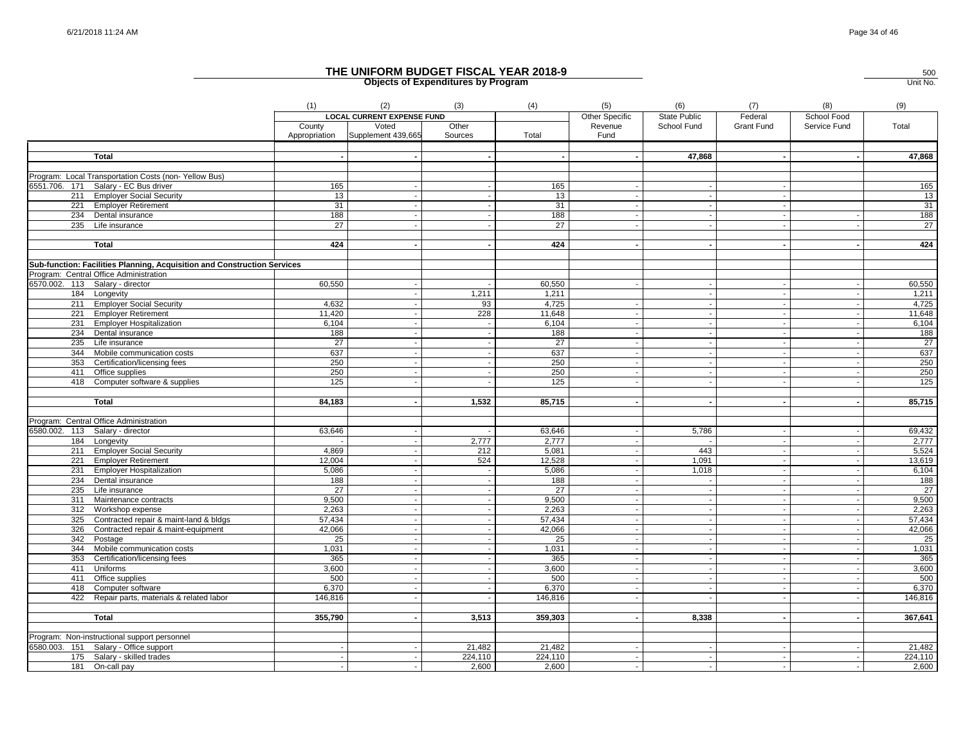|     |                                                                                              | (1)           | (2)                               | (3)     | (4)     | (5)                      | (6)                      | (7)               | (8)          | (9)             |
|-----|----------------------------------------------------------------------------------------------|---------------|-----------------------------------|---------|---------|--------------------------|--------------------------|-------------------|--------------|-----------------|
|     |                                                                                              |               | <b>LOCAL CURRENT EXPENSE FUND</b> |         |         | Other Specific           | <b>State Public</b>      | Federal           | School Food  |                 |
|     |                                                                                              | County        | Voted                             | Other   |         | Revenue                  | School Fund              | <b>Grant Fund</b> | Service Fund | Total           |
|     |                                                                                              | Appropriation | Supplement 439,665                | Sources | Total   | Fund                     |                          |                   |              |                 |
|     |                                                                                              |               |                                   |         |         |                          |                          |                   |              |                 |
|     | <b>Total</b>                                                                                 |               | $\overline{\phantom{a}}$          |         |         |                          | 47,868                   |                   |              | 47,868          |
|     |                                                                                              |               |                                   |         |         |                          |                          |                   |              |                 |
|     | Program: Local Transportation Costs (non-Yellow Bus)<br>6551.706. 171 Salary - EC Bus driver | 165           |                                   |         | 165     |                          |                          |                   |              | 165             |
|     | 211 Employer Social Security                                                                 | 13            |                                   |         | 13      |                          |                          |                   |              | 13              |
|     | 221 Employer Retirement                                                                      | 31            |                                   |         | 31      |                          |                          |                   |              | 31              |
| 234 | Dental insurance                                                                             | 188           |                                   |         | 188     |                          | $\overline{\phantom{a}}$ |                   |              | 188             |
| 235 | Life insurance                                                                               | 27            |                                   |         | 27      |                          | $\overline{\phantom{a}}$ |                   |              | $\overline{27}$ |
|     |                                                                                              |               |                                   |         |         |                          |                          |                   |              |                 |
|     | <b>Total</b>                                                                                 | 424           |                                   |         | 424     |                          |                          |                   |              | 424             |
|     |                                                                                              |               |                                   |         |         |                          |                          |                   |              |                 |
|     | Sub-function: Facilities Planning, Acquisition and Construction Services                     |               |                                   |         |         |                          |                          |                   |              |                 |
|     | Program: Central Office Administration                                                       |               |                                   |         |         |                          |                          |                   |              |                 |
|     | 6570.002. 113 Salary - director                                                              | 60,550        |                                   |         | 60,550  |                          |                          |                   |              | 60,550          |
|     | 184 Longevity                                                                                |               |                                   | 1,211   | 1,211   |                          | $\overline{a}$           |                   |              | 1,211           |
|     | 211 Employer Social Security                                                                 | 4,632         |                                   | 93      | 4,725   |                          | $\sim$                   |                   |              | 4,725           |
| 221 | <b>Employer Retirement</b>                                                                   | 11,420        |                                   | 228     | 11,648  |                          |                          |                   |              | 11,648          |
|     | 231 Employer Hospitalization                                                                 | 6,104         |                                   |         | 6,104   | $\overline{\phantom{a}}$ | $\overline{\phantom{a}}$ |                   |              | 6,104           |
| 234 | Dental insurance                                                                             | 188           |                                   |         | 188     |                          |                          |                   |              | 188             |
| 235 | Life insurance                                                                               | 27            |                                   |         | 27      |                          |                          |                   |              | $\overline{27}$ |
| 344 | Mobile communication costs                                                                   | 637           |                                   |         | 637     |                          |                          |                   |              | 637             |
| 353 | Certification/licensing fees                                                                 | 250           |                                   |         | 250     |                          |                          |                   |              | 250             |
|     | 411 Office supplies                                                                          | 250           |                                   |         | 250     |                          |                          |                   |              | 250             |
|     | 418 Computer software & supplies                                                             | 125           |                                   |         | 125     |                          |                          |                   |              | 125             |
|     |                                                                                              | 84,183        |                                   | 1,532   | 85,715  |                          |                          |                   |              | 85,715          |
|     | <b>Total</b>                                                                                 |               |                                   |         |         |                          |                          |                   |              |                 |
|     | Program: Central Office Administration                                                       |               |                                   |         |         |                          |                          |                   |              |                 |
|     | 6580.002. 113 Salary - director                                                              | 63,646        |                                   |         | 63,646  |                          | 5,786                    |                   |              | 69,432          |
|     | 184 Longevity                                                                                |               |                                   | 2,777   | 2,777   |                          |                          |                   |              | 2,777           |
|     | 211 Employer Social Security                                                                 | 4,869         |                                   | 212     | 5,081   |                          | 443                      |                   |              | 5,524           |
|     | 221 Employer Retirement                                                                      | 12,004        |                                   | 524     | 12,528  |                          | 1,091                    |                   |              | 13,619          |
| 231 | <b>Employer Hospitalization</b>                                                              | 5.086         |                                   |         | 5,086   |                          | 1,018                    |                   |              | 6,104           |
|     | 234 Dental insurance                                                                         | 188           | $\sim$                            |         | 188     |                          | $\sim$                   |                   |              | 188             |
|     | $235$ Life insurance                                                                         | 27            |                                   |         | 27      |                          | $\overline{\phantom{a}}$ |                   |              | $\overline{27}$ |
| 311 | Maintenance contracts                                                                        | 9,500         |                                   |         | 9,500   |                          | $\sim$                   |                   |              | 9,500           |
|     | 312 Workshop expense                                                                         | 2,263         |                                   |         | 2,263   |                          |                          |                   |              | 2,263           |
|     | 325 Contracted repair & maint-land & bldgs                                                   | 57,434        |                                   |         | 57,434  | $\overline{\phantom{a}}$ | $\sim$                   |                   |              | 57,434          |
| 326 | Contracted repair & maint-equipment                                                          | 42,066        |                                   |         | 42,066  |                          |                          |                   |              | 42,066          |
|     | 342 Postage                                                                                  | 25            |                                   |         | 25      | $\overline{\phantom{a}}$ | $\sim$                   |                   |              | 25              |
|     | 344 Mobile communication costs                                                               | 1,031         |                                   |         | 1,031   |                          |                          |                   |              | 1,031           |
| 353 | Certification/licensing fees                                                                 | 365           |                                   |         | 365     | $\sim$                   | $\sim$                   |                   |              | 365             |
| 411 | Uniforms                                                                                     | 3,600         |                                   |         | 3,600   |                          |                          |                   |              | 3,600           |
| 411 | Office supplies                                                                              | 500           |                                   |         | 500     |                          |                          |                   |              | 500             |
| 418 | Computer software                                                                            | 6,370         |                                   |         | 6,370   |                          |                          |                   |              | 6,370           |
|     | 422 Repair parts, materials & related labor                                                  | 146,816       |                                   |         | 146,816 |                          |                          |                   |              | 146,816         |
|     |                                                                                              |               |                                   |         |         |                          |                          |                   |              | 367,641         |
|     | <b>Total</b>                                                                                 | 355,790       |                                   | 3,513   | 359,303 |                          | 8,338                    |                   |              |                 |
|     | Program: Non-instructional support personnel                                                 |               |                                   |         |         |                          |                          |                   |              |                 |
|     | 6580.003. 151 Salary - Office support                                                        |               |                                   | 21,482  | 21,482  |                          |                          |                   |              | 21,482          |
|     | 175 Salary - skilled trades                                                                  |               |                                   | 224,110 | 224,110 |                          |                          |                   |              | 224,110         |
| 181 | On-call pay                                                                                  |               |                                   | 2,600   | 2,600   |                          |                          |                   |              | 2,600           |
|     |                                                                                              |               |                                   |         |         |                          |                          |                   |              |                 |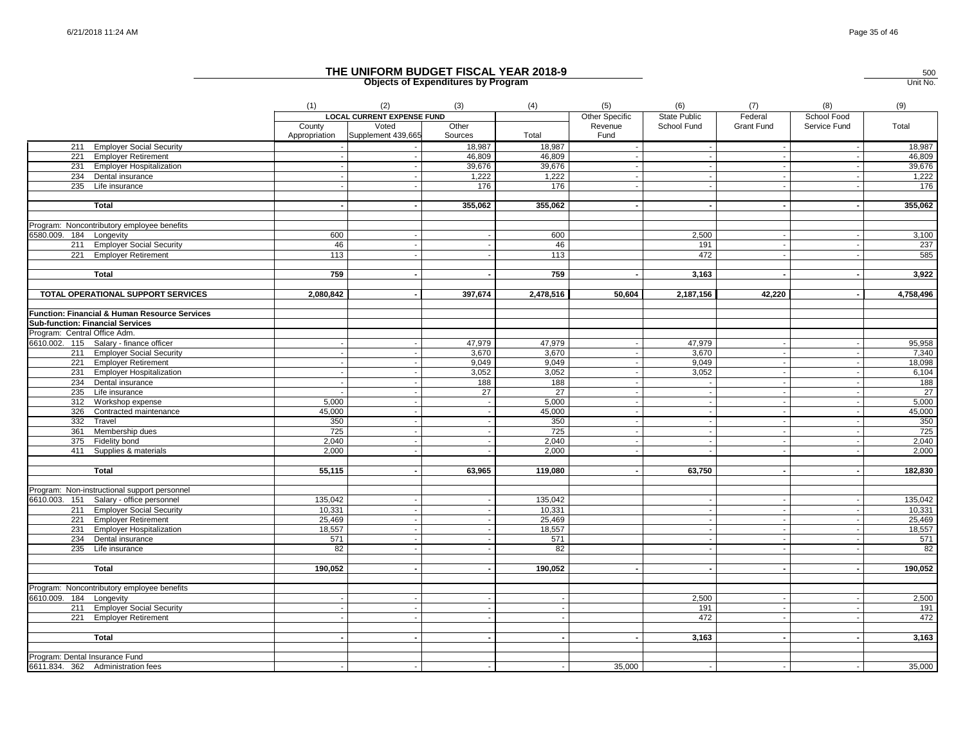|                                               | (1)                     | (2)                               | (3)              | (4)       | (5)                      | (6)          | (7)               | (8)                      | (9)       |
|-----------------------------------------------|-------------------------|-----------------------------------|------------------|-----------|--------------------------|--------------|-------------------|--------------------------|-----------|
|                                               |                         | <b>LOCAL CURRENT EXPENSE FUND</b> |                  |           | Other Specific           | State Public | Federal           | School Food              |           |
|                                               | County<br>Appropriation | Voted<br>Supplement 439,665       | Other<br>Sources | Total     | Revenue<br>Fund          | School Fund  | <b>Grant Fund</b> | Service Fund             | Total     |
| 211 Employer Social Security                  |                         |                                   | 18,987           | 18,987    |                          | $\sim$       |                   | $\sim$                   | 18,987    |
| 221 Employer Retirement                       |                         |                                   | 46,809           | 46,809    |                          | $\sim$       |                   |                          | 46,809    |
| 231 Employer Hospitalization                  |                         |                                   | 39,676           | 39,676    |                          |              |                   |                          | 39,676    |
| 234 Dental insurance                          |                         |                                   | 1,222            | 1,222     |                          |              |                   |                          | 1,222     |
| 235 Life insurance                            |                         |                                   | 176              | 176       |                          |              |                   |                          | 176       |
|                                               |                         |                                   |                  |           |                          |              |                   |                          |           |
| <b>Total</b>                                  |                         |                                   | 355,062          | 355,062   |                          |              |                   |                          | 355,062   |
|                                               |                         |                                   |                  |           |                          |              |                   |                          |           |
| Program: Noncontributory employee benefits    |                         |                                   |                  |           |                          |              |                   |                          |           |
| 6580.009. 184 Longevity                       | 600                     |                                   |                  | 600       |                          | 2,500        |                   |                          | 3,100     |
| 211 Employer Social Security                  | 46                      |                                   |                  | 46        |                          | 191          |                   |                          | 237       |
| 221 Employer Retirement                       | 113                     |                                   |                  | 113       |                          | 472          |                   |                          | 585       |
|                                               |                         |                                   |                  |           |                          |              |                   |                          |           |
| Total                                         | 759                     |                                   |                  | 759       |                          | 3,163        |                   |                          | 3,922     |
| TOTAL OPERATIONAL SUPPORT SERVICES            | 2,080,842               |                                   | 397,674          | 2,478,516 | 50,604                   | 2,187,156    | 42,220            |                          | 4,758,496 |
|                                               |                         |                                   |                  |           |                          |              |                   |                          |           |
| Function: Financial & Human Resource Services |                         |                                   |                  |           |                          |              |                   |                          |           |
| <b>Sub-function: Financial Services</b>       |                         |                                   |                  |           |                          |              |                   |                          |           |
| Program: Central Office Adm.                  |                         |                                   |                  |           |                          |              |                   |                          |           |
| 6610.002. 115 Salary - finance officer        |                         |                                   | 47,979           | 47,979    |                          | 47,979       |                   |                          | 95,958    |
| 211 Employer Social Security                  |                         |                                   | 3,670            | 3,670     |                          | 3,670        |                   |                          | 7,340     |
| 221 Employer Retirement                       |                         |                                   | 9,049            | 9,049     | $\blacksquare$           | 9,049        |                   | $\overline{\phantom{a}}$ | 18,098    |
| 231 Employer Hospitalization                  |                         |                                   | 3,052            | 3,052     |                          | 3,052        |                   |                          | 6,104     |
| 234 Dental insurance                          |                         |                                   | 188              | 188       | $\overline{\phantom{a}}$ | $\sim$       |                   | $\blacksquare$           | 188       |
| 235 Life insurance                            |                         |                                   | 27               | 27        | $\overline{\phantom{a}}$ | $\sim$       | $\sim$            | $\overline{\phantom{a}}$ | - 27      |
| 312 Workshop expense                          | 5,000                   |                                   |                  | 5,000     | $\sim$                   | $\sim$       |                   | $\sim$                   | 5,000     |
| 326 Contracted maintenance                    | 45,000                  |                                   |                  | 45,000    |                          |              |                   |                          | 45,000    |
| 332 Travel                                    | 350                     |                                   |                  | 350       |                          | $\sim$       |                   |                          | 350       |
| 361 Membership dues                           | 725                     |                                   |                  | 725       |                          |              |                   | $\overline{\phantom{a}}$ | 725       |
| 375 Fidelity bond                             | 2,040                   |                                   |                  | 2,040     | $\overline{\phantom{a}}$ | $\sim$       |                   |                          | 2,040     |
| 411 Supplies & materials                      | 2,000                   |                                   |                  | 2,000     |                          |              |                   |                          | 2,000     |
|                                               |                         |                                   |                  |           | $\blacksquare$           |              |                   | $\blacksquare$           |           |
| Total                                         | 55,115                  |                                   | 63,965           | 119,080   |                          | 63,750       |                   |                          | 182,830   |
| Program: Non-instructional support personnel  |                         |                                   |                  |           |                          |              |                   |                          |           |
| 6610.003. 151 Salary - office personnel       | 135,042                 |                                   |                  | 135,042   |                          |              |                   | $\overline{\phantom{a}}$ | 135,042   |
| 211 Employer Social Security                  | 10,331                  |                                   |                  | 10,331    |                          | $\sim$       |                   | $\sim$                   | 10,331    |
| 221 Employer Retirement                       | 25,469                  |                                   |                  | 25,469    |                          |              |                   | $\overline{\phantom{a}}$ | 25,469    |
| 231 Employer Hospitalization                  | 18,557                  |                                   |                  | 18,557    |                          | $\mathbf{L}$ |                   |                          | 18,557    |
| 234 Dental insurance                          | 571                     |                                   |                  | 571       |                          | $\sim$       |                   | $\overline{\phantom{a}}$ | 571       |
| 235 Life insurance                            | 82                      |                                   |                  | 82        |                          |              |                   |                          | 82        |
|                                               |                         |                                   |                  |           |                          |              |                   |                          |           |
| Total                                         | 190,052                 |                                   |                  | 190,052   |                          | $\sim$       |                   | $\blacksquare$           | 190,052   |
| Program: Noncontributory employee benefits    |                         |                                   |                  |           |                          |              |                   |                          |           |
| 6610.009. 184 Longevity                       |                         |                                   |                  |           |                          | 2,500        |                   |                          | 2,500     |
| 211 Employer Social Security                  |                         |                                   |                  |           |                          | 191          |                   |                          | 191       |
| 221 Employer Retirement                       |                         |                                   |                  |           |                          | 472          |                   |                          | 472       |
|                                               |                         |                                   |                  |           |                          |              |                   |                          |           |
| <b>Total</b>                                  |                         |                                   |                  |           |                          | 3,163        |                   |                          | 3,163     |
|                                               |                         |                                   |                  |           |                          |              |                   |                          |           |
| Program: Dental Insurance Fund                |                         |                                   |                  |           |                          |              |                   |                          |           |
| 6611.834. 362 Administration fees             |                         |                                   |                  |           | 35,000                   | $\sim$       |                   |                          | 35,000    |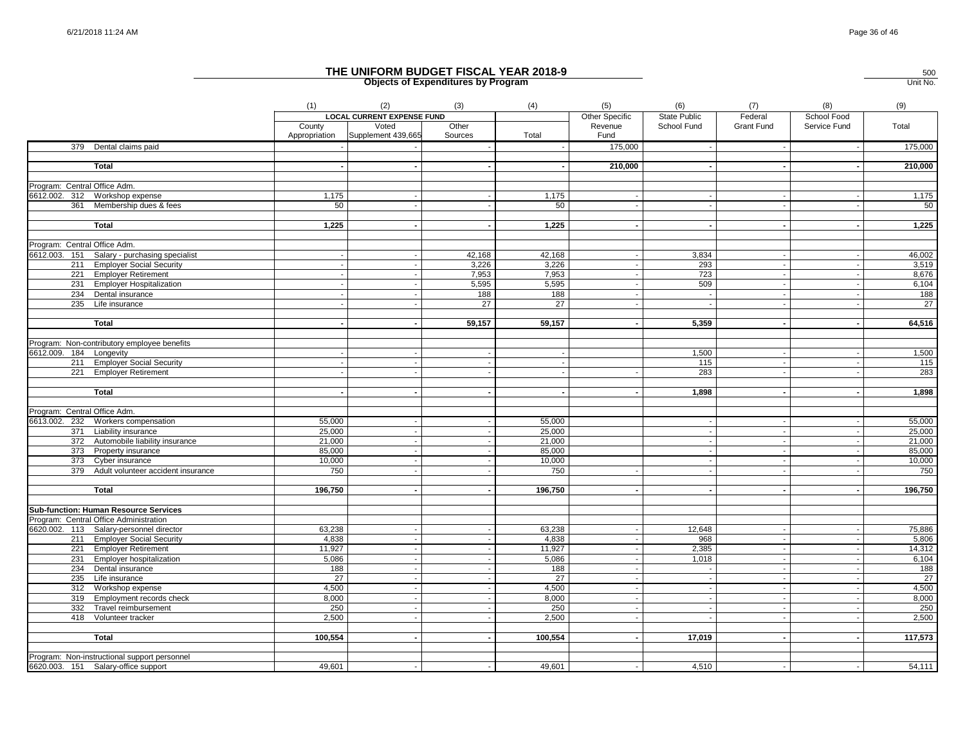|                                              | (1)                     | (2)                               | (3)              | (4)              | (5)                      | (6)                      | (7)               | (8)                      | (9)             |
|----------------------------------------------|-------------------------|-----------------------------------|------------------|------------------|--------------------------|--------------------------|-------------------|--------------------------|-----------------|
|                                              |                         | <b>LOCAL CURRENT EXPENSE FUND</b> |                  |                  | <b>Other Specific</b>    | <b>State Public</b>      | Federal           | School Food              |                 |
|                                              | County<br>Appropriation | Voted<br>Supplement 439,665       | Other<br>Sources | Total            | Revenue<br>Fund          | School Fund              | <b>Grant Fund</b> | Service Fund             | Total           |
| 379 Dental claims paid                       |                         |                                   |                  |                  | 175,000                  |                          |                   |                          | 175,000         |
|                                              |                         |                                   |                  |                  |                          |                          |                   |                          |                 |
| <b>Total</b>                                 |                         |                                   |                  |                  | 210,000                  |                          |                   |                          | 210,000         |
| Program: Central Office Adm.                 |                         |                                   |                  |                  |                          |                          |                   |                          |                 |
| 6612.002. 312 Workshop expense               | 1,175                   |                                   |                  | 1.175            |                          |                          |                   |                          | 1,175           |
| 361 Membership dues & fees                   | 50                      |                                   |                  | 50               | $\overline{\phantom{a}}$ |                          | $\sim$            |                          | 50              |
|                                              |                         |                                   |                  |                  |                          |                          |                   |                          |                 |
| <b>Total</b>                                 | 1,225                   |                                   |                  | 1,225            | $\sim$                   |                          | $\sim$            |                          | 1,225           |
| Program: Central Office Adm.                 |                         |                                   |                  |                  |                          |                          |                   |                          |                 |
| 6612.003. 151 Salary - purchasing specialist |                         |                                   | 42,168           | 42,168           |                          | 3,834                    |                   |                          | 46,002          |
| 211 Employer Social Security                 |                         |                                   | 3,226            | 3,226            |                          | 293                      |                   |                          | 3,519           |
| 221 Employer Retirement                      |                         |                                   | 7,953            | 7,953            |                          | 723                      | $\sim$            | $\overline{\phantom{a}}$ | 8,676           |
| 231 Employer Hospitalization                 |                         |                                   | 5,595            | 5,595            |                          | 509                      |                   |                          | 6,104           |
| 234 Dental insurance                         |                         |                                   | 188              | 188              | $\overline{\phantom{a}}$ | $\sim$                   | $\sim$            | $\sim$                   | 188             |
| 235 Life insurance                           |                         |                                   | 27               | $\overline{27}$  |                          |                          |                   |                          | $\overline{27}$ |
|                                              |                         |                                   |                  |                  |                          |                          |                   |                          |                 |
| <b>Total</b>                                 |                         |                                   | 59,157           | 59,157           |                          | 5,359                    |                   |                          | 64,516          |
|                                              |                         |                                   |                  |                  |                          |                          |                   |                          |                 |
| Program: Non-contributory employee benefits  |                         |                                   |                  |                  |                          |                          |                   |                          |                 |
| 6612.009. 184 Longevity                      |                         |                                   |                  |                  |                          | 1,500                    |                   |                          | 1,500           |
| 211 Employer Social Security                 |                         |                                   |                  |                  |                          | 115                      |                   |                          | 115             |
| 221 Employer Retirement                      |                         |                                   |                  |                  |                          | 283                      |                   |                          | 283             |
|                                              |                         |                                   |                  |                  |                          |                          |                   |                          |                 |
| <b>Total</b>                                 |                         |                                   |                  |                  |                          | 1,898                    |                   |                          | 1,898           |
| Program: Central Office Adm.                 |                         |                                   |                  |                  |                          |                          |                   |                          |                 |
| 6613.002. 232 Workers compensation           |                         |                                   |                  |                  |                          |                          |                   |                          | 55,000          |
| 371 Liability insurance                      | 55,000<br>25,000        |                                   |                  | 55,000<br>25,000 |                          |                          |                   | $\overline{\phantom{a}}$ | 25,000          |
| 372 Automobile liability insurance           | 21,000                  | $\sim$                            |                  | 21,000           |                          | $\overline{\phantom{a}}$ | $\sim$            | $\sim$                   | 21,000          |
| 373 Property insurance                       | 85,000                  |                                   |                  | 85,000           |                          |                          |                   | $\overline{\phantom{a}}$ | 85,000          |
| 373 Cyber insurance                          | 10,000                  |                                   |                  | 10,000           |                          |                          |                   |                          | 10,000          |
| 379 Adult volunteer accident insurance       | 750                     |                                   |                  | 750              |                          |                          |                   |                          | 750             |
|                                              |                         |                                   |                  |                  |                          |                          |                   |                          |                 |
| <b>Total</b>                                 | 196,750                 |                                   |                  | 196,750          |                          |                          |                   |                          | 196,750         |
| <b>Sub-function: Human Resource Services</b> |                         |                                   |                  |                  |                          |                          |                   |                          |                 |
| Program: Central Office Administration       |                         |                                   |                  |                  |                          |                          |                   |                          |                 |
| 6620.002. 113 Salary-personnel director      | 63,238                  |                                   |                  | 63,238           |                          | 12,648                   |                   |                          | 75,886          |
| 211 Employer Social Security                 | 4,838                   |                                   |                  | 4,838            |                          | 968                      | $\sim$            |                          | 5,806           |
| 221 Employer Retirement                      | 11,927                  | $\sim$                            |                  | 11,927           | $\sim$                   | 2,385                    | $\sim$            | $\sim$                   | 14,312          |
| 231 Employer hospitalization                 | 5,086                   |                                   |                  | 5,086            |                          | 1,018                    |                   | $\overline{\phantom{a}}$ | 6,104           |
| 234 Dental insurance                         | 188                     |                                   |                  | 188              | $\overline{\phantom{a}}$ |                          | $\sim$            |                          | 188             |
| 235 Life insurance                           | $\overline{27}$         |                                   |                  | $\overline{27}$  |                          |                          | $\sim$            | $\overline{\phantom{a}}$ | 27              |
| 312 Workshop expense                         | 4,500                   |                                   |                  | 4,500            |                          |                          |                   |                          | 4,500           |
| 319 Employment records check                 | 8,000                   |                                   |                  | 8,000            |                          |                          |                   |                          | 8,000           |
| 332<br>Travel reimbursement                  | 250                     |                                   |                  | 250              |                          |                          |                   |                          | 250             |
| 418<br>Volunteer tracker                     | 2,500                   |                                   |                  | 2,500            | $\overline{\phantom{a}}$ |                          |                   |                          | 2,500           |
|                                              |                         |                                   |                  |                  |                          |                          |                   |                          |                 |
| <b>Total</b>                                 | 100,554                 |                                   |                  | 100,554          |                          | 17,019                   |                   |                          | 117,573         |
| Program: Non-instructional support personnel |                         |                                   |                  |                  |                          |                          |                   |                          |                 |
| 6620.003. 151 Salary-office support          | 49,601                  |                                   |                  | 49,601           |                          | 4,510                    |                   |                          | 54,111          |
|                                              |                         |                                   |                  |                  |                          |                          |                   |                          |                 |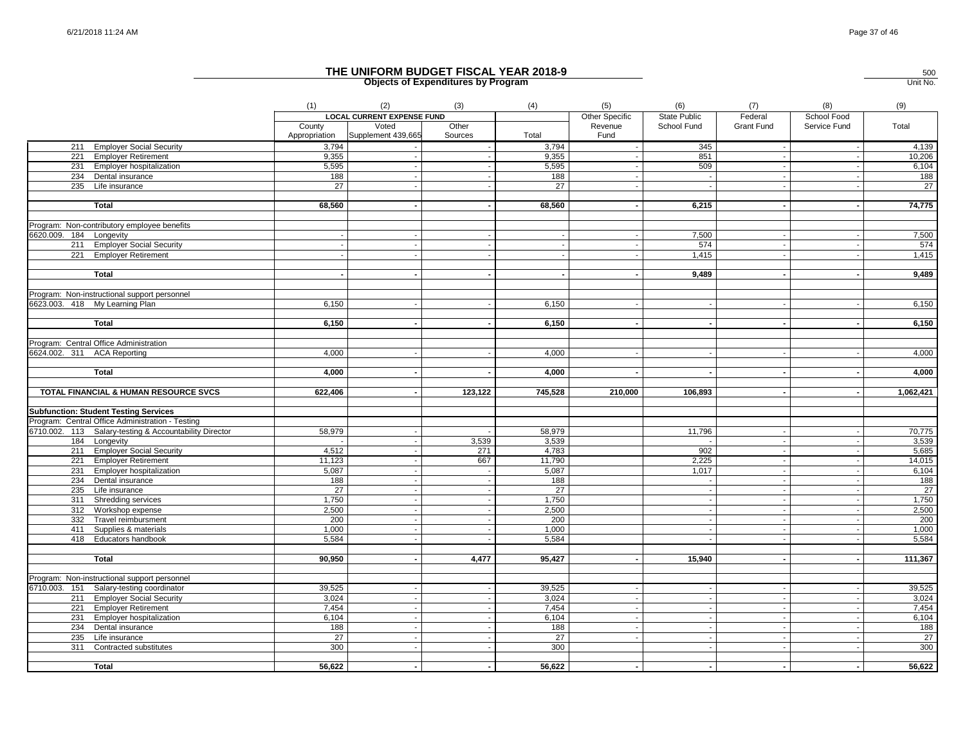|                                                                          | (1)                     | (2)                               | (3)              | (4)                    | (5)                      | (6)              | (7)               | (8)                      | (9)             |
|--------------------------------------------------------------------------|-------------------------|-----------------------------------|------------------|------------------------|--------------------------|------------------|-------------------|--------------------------|-----------------|
|                                                                          |                         | <b>LOCAL CURRENT EXPENSE FUND</b> |                  |                        | Other Specific           | State Public     | Federal           | School Food              |                 |
|                                                                          | County<br>Appropriation | Voted<br>Supplement 439,665       | Other<br>Sources | Total                  | Revenue<br>Fund          | School Fund      | <b>Grant Fund</b> | Service Fund             | Total           |
| 211 Employer Social Security                                             | 3,794                   |                                   |                  | 3,794                  |                          | 345              |                   | $\overline{\phantom{a}}$ | 4,139           |
| 221 Employer Retirement                                                  | 9,355                   |                                   |                  | 9,355                  |                          | 851              |                   |                          | 10,206          |
| 231 Employer hospitalization                                             | 5,595                   |                                   |                  | 5,595                  |                          | 509              |                   |                          | 6,104           |
| 234 Dental insurance                                                     | 188                     |                                   |                  | 188                    |                          | $\sim$           |                   |                          | 188             |
| 235 Life insurance                                                       | 27                      |                                   |                  | 27                     |                          | $\sim$           |                   |                          | $\overline{27}$ |
| <b>Total</b>                                                             | 68,560                  |                                   |                  | 68,560                 |                          | 6,215            |                   | $\blacksquare$           | 74,775          |
| Program: Non-contributory employee benefits                              |                         |                                   |                  |                        |                          |                  |                   |                          |                 |
| 6620.009. 184 Longevity                                                  |                         |                                   |                  |                        |                          | 7,500            |                   |                          | 7,500           |
| 211 Employer Social Security                                             |                         |                                   |                  | $\sim$                 |                          | 574              |                   |                          | 574             |
| 221 Employer Retirement                                                  |                         |                                   |                  |                        |                          | 1,415            |                   |                          | 1,415           |
|                                                                          |                         |                                   |                  |                        |                          |                  |                   |                          |                 |
| <b>Total</b>                                                             |                         |                                   |                  |                        |                          | 9,489            |                   |                          | 9,489           |
| Program: Non-instructional support personnel                             |                         |                                   |                  |                        |                          |                  |                   |                          |                 |
| 6623.003. 418 My Learning Plan                                           | 6,150                   |                                   |                  | 6,150                  |                          |                  |                   |                          | 6,150           |
|                                                                          |                         |                                   |                  |                        |                          |                  |                   |                          |                 |
| <b>Total</b>                                                             | 6,150                   |                                   |                  | 6,150                  | $\overline{\phantom{a}}$ | $\sim$           | $\blacksquare$    | $\blacksquare$           | 6,150           |
| Program: Central Office Administration                                   |                         |                                   |                  |                        |                          |                  |                   |                          |                 |
| 6624.002. 311 ACA Reporting                                              | 4,000                   |                                   |                  | 4,000                  |                          |                  |                   |                          | 4,000           |
| <b>Total</b>                                                             | 4,000                   |                                   |                  | 4,000                  |                          |                  |                   |                          | 4,000           |
|                                                                          |                         |                                   |                  |                        |                          |                  |                   |                          |                 |
| TOTAL FINANCIAL & HUMAN RESOURCE SVCS                                    | 622,406                 |                                   | 123,122          | 745,528                | 210,000                  | 106,893          |                   |                          | 1,062,421       |
| <b>Subfunction: Student Testing Services</b>                             |                         |                                   |                  |                        |                          |                  |                   |                          |                 |
| Program: Central Office Administration - Testing                         |                         |                                   |                  |                        |                          |                  |                   |                          |                 |
| 6710.002. 113 Salary-testing & Accountability Director                   | 58,979                  |                                   |                  | 58,979                 |                          | 11,796           |                   | $\sim$                   | 70,775          |
| 184 Longevity                                                            |                         |                                   | 3,539            | 3,539                  |                          |                  |                   |                          | 3,539           |
| 211 Employer Social Security                                             | 4,512                   |                                   | 271              | 4,783                  |                          | 902              |                   | $\sim$                   | 5,685           |
| 221 Employer Retirement                                                  | 11,123                  |                                   | 667              | 11,790                 |                          | 2,225            |                   | $\sim$                   | 14,015          |
| 231 Employer hospitalization                                             | 5,087                   |                                   |                  | 5,087                  |                          | 1,017            |                   | $\sim$                   | 6,104           |
| 234 Dental insurance                                                     | 188                     |                                   |                  | 188                    |                          |                  |                   |                          | 188             |
| 235<br>Life insurance                                                    | 27                      |                                   |                  | 27                     |                          | $\sim$           |                   |                          | 27              |
| 311 Shredding services                                                   | 1,750                   |                                   |                  | 1,750                  |                          | $\sim$           |                   | $\overline{\phantom{a}}$ | 1,750           |
| 312<br>Workshop expense                                                  | 2,500                   |                                   |                  | 2,500                  |                          |                  |                   |                          | 2,500           |
| 332<br>Travel reimbursment                                               | 200                     |                                   |                  | 200                    |                          | $\sim$           |                   | $\sim$                   | 200             |
| 411 Supplies & materials                                                 | 1,000                   |                                   |                  | 1,000                  |                          |                  |                   |                          | 1,000           |
| 418 Educators handbook                                                   | 5,584                   |                                   |                  | 5,584                  |                          | $\sim$           |                   |                          | 5,584           |
| <b>Total</b>                                                             | 90,950                  |                                   | 4,477            | 95,427                 |                          | 15,940           |                   | $\sim$                   | 111,367         |
| Program: Non-instructional support personnel                             |                         |                                   |                  |                        |                          |                  |                   |                          |                 |
|                                                                          | 39,525                  |                                   |                  | 39,525                 |                          |                  |                   |                          |                 |
| 6710.003. 151 Salary-testing coordinator<br>211 Employer Social Security | 3,024                   |                                   |                  | 3,024                  | $\sim$                   | $\sim$           |                   |                          | 39,525<br>3,024 |
|                                                                          | 7,454                   | $\overline{\phantom{a}}$          |                  |                        | $\sim$                   | $\sim$           | $\sim$            | $\sim$                   | 7,454           |
| 221 Employer Retirement                                                  |                         |                                   |                  | 7,454                  | $\overline{\phantom{a}}$ |                  |                   |                          |                 |
| 231 Employer hospitalization                                             | 6,104                   |                                   |                  | 6,104                  | $\overline{\phantom{a}}$ | $\sim$<br>$\sim$ |                   |                          | 6,104           |
| 234 Dental insurance                                                     | 188                     |                                   |                  | 188                    |                          |                  |                   |                          | 188             |
| 235 Life insurance<br>311<br>Contracted substitutes                      | 27<br>300               |                                   |                  | $\overline{27}$<br>300 |                          | $\sim$<br>$\sim$ |                   |                          | 27<br>300       |
|                                                                          |                         |                                   |                  |                        |                          |                  |                   |                          |                 |
| <b>Total</b>                                                             | 56,622                  |                                   |                  | 56,622                 |                          |                  |                   |                          | 56,622          |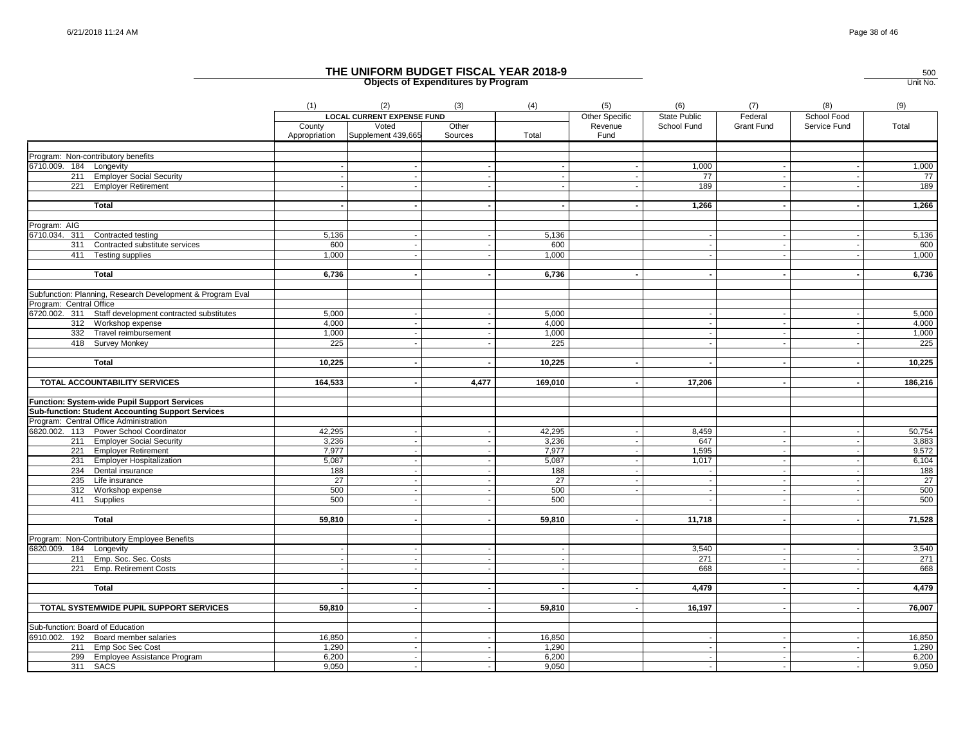|                                                               | (1)           | (2)                               | (3)                      | (4)             | (5)            | (6)                 | (7)               | (8)                      | (9)             |
|---------------------------------------------------------------|---------------|-----------------------------------|--------------------------|-----------------|----------------|---------------------|-------------------|--------------------------|-----------------|
|                                                               |               | <b>LOCAL CURRENT EXPENSE FUND</b> |                          |                 | Other Specific | <b>State Public</b> | Federal           | School Food              |                 |
|                                                               | County        | Voted                             | Other                    |                 | Revenue        | School Fund         | <b>Grant Fund</b> | Service Fund             | Total           |
|                                                               | Appropriation | Supplement 439,665                | Sources                  | Total           | Fund           |                     |                   |                          |                 |
|                                                               |               |                                   |                          |                 |                |                     |                   |                          |                 |
| Program: Non-contributory benefits<br>6710.009. 184 Longevity |               |                                   |                          |                 |                | 1,000               |                   |                          | 1,000           |
| 211 Employer Social Security                                  |               |                                   |                          |                 |                | 77                  |                   |                          | 77              |
| 221 Employer Retirement                                       |               |                                   |                          |                 |                | 189                 |                   |                          | 189             |
|                                                               |               |                                   |                          |                 |                |                     |                   |                          |                 |
| Total                                                         |               |                                   |                          |                 |                | 1,266               |                   |                          | 1,266           |
|                                                               |               |                                   |                          |                 |                |                     |                   |                          |                 |
| Program: AIG                                                  |               |                                   |                          |                 |                |                     |                   |                          |                 |
| 6710.034. 311 Contracted testing                              | 5,136         |                                   |                          | 5,136           |                |                     |                   |                          | 5,136           |
| Contracted substitute services<br>311                         | 600           |                                   |                          | 600             |                |                     |                   |                          | 600             |
| 411 Testing supplies                                          | 1,000         |                                   |                          | 1.000           |                |                     |                   |                          | 1,000           |
|                                                               |               |                                   |                          |                 |                |                     |                   |                          |                 |
| <b>Total</b>                                                  | 6,736         |                                   |                          | 6,736           |                |                     |                   |                          | 6,736           |
|                                                               |               |                                   |                          |                 |                |                     |                   |                          |                 |
| Subfunction: Planning, Research Development & Program Eval    |               |                                   |                          |                 |                |                     |                   |                          |                 |
| Program: Central Office                                       |               |                                   |                          |                 |                |                     |                   |                          |                 |
| 6720.002. 311 Staff development contracted substitutes        | 5,000         |                                   |                          | 5,000           |                |                     |                   |                          | 5,000           |
| 312 Workshop expense                                          | 4,000         |                                   |                          | 4,000           |                | $\sim$              |                   |                          | 4,000           |
| 332 Travel reimbursement                                      | 1,000         |                                   |                          | 1,000           |                |                     |                   |                          | 1,000           |
| 418 Survey Monkey                                             | 225           |                                   |                          | 225             |                |                     |                   |                          | 225             |
|                                                               |               |                                   |                          |                 |                |                     |                   |                          |                 |
| <b>Total</b>                                                  | 10,225        |                                   |                          | 10,225          |                |                     |                   |                          | 10,225          |
|                                                               |               |                                   |                          |                 |                |                     |                   |                          |                 |
| TOTAL ACCOUNTABILITY SERVICES                                 | 164,533       |                                   | 4,477                    | 169,010         |                | 17,206              |                   |                          | 186,216         |
| <b>Function: System-wide Pupil Support Services</b>           |               |                                   |                          |                 |                |                     |                   |                          |                 |
| <b>Sub-function: Student Accounting Support Services</b>      |               |                                   |                          |                 |                |                     |                   |                          |                 |
| Program: Central Office Administration                        |               |                                   |                          |                 |                |                     |                   |                          |                 |
| 6820.002. 113 Power School Coordinator                        | 42,295        |                                   |                          | 42,295          |                | 8,459               |                   |                          | 50,754          |
| 211 Employer Social Security                                  | 3,236         |                                   |                          | 3,236           |                | 647                 |                   |                          | 3,883           |
| 221 Employer Retirement                                       | 7,977         |                                   |                          | 7,977           |                | 1,595               |                   |                          | 9,572           |
| 231 Employer Hospitalization                                  | 5,087         |                                   |                          | 5,087           |                | 1,017               |                   |                          | 6,104           |
| 234 Dental insurance                                          | 188           |                                   |                          | 188             |                | $\sim$              |                   |                          | 188             |
| 235 Life insurance                                            | 27            | $\sim$                            |                          | $\overline{27}$ |                | $\sim$              |                   | $\overline{\phantom{a}}$ | $\overline{27}$ |
| 312 Workshop expense                                          | 500           |                                   |                          | 500             |                | $\sim$              |                   |                          | 500             |
| 411<br>Supplies                                               | 500           | $\blacksquare$                    |                          | 500             |                |                     |                   |                          | 500             |
|                                                               |               |                                   |                          |                 |                |                     |                   |                          |                 |
| Total                                                         | 59,810        | $\blacksquare$                    |                          | 59,810          |                | 11,718              |                   | $\blacksquare$           | 71,528          |
|                                                               |               |                                   |                          |                 |                |                     |                   |                          |                 |
| Program: Non-Contributory Employee Benefits                   |               |                                   |                          |                 |                |                     |                   |                          |                 |
| 6820.009. 184 Longevity                                       |               |                                   |                          |                 |                | 3,540               |                   |                          | 3,540           |
| 211 Emp. Soc. Sec. Costs                                      |               |                                   |                          |                 |                | 271                 |                   | $\sim$                   | 271             |
| 221<br>Emp. Retirement Costs                                  |               |                                   |                          |                 |                | 668                 |                   |                          | 668             |
|                                                               |               |                                   |                          |                 |                |                     |                   |                          |                 |
| <b>Total</b>                                                  |               |                                   |                          |                 |                | 4,479               |                   | $\blacksquare$           | 4,479           |
|                                                               |               |                                   |                          |                 |                |                     |                   |                          |                 |
| TOTAL SYSTEMWIDE PUPIL SUPPORT SERVICES                       | 59,810        |                                   |                          | 59,810          |                | 16,197              |                   |                          | 76,007          |
|                                                               |               |                                   |                          |                 |                |                     |                   |                          |                 |
| Sub-function: Board of Education                              |               |                                   |                          |                 |                |                     |                   |                          |                 |
| 6910.002. 192 Board member salaries                           | 16,850        |                                   |                          | 16,850          |                |                     |                   |                          | 16,850          |
| 211 Emp Soc Sec Cost                                          | 1,290         | $\sim$                            |                          | 1,290           |                | $\sim$              |                   |                          | 1,290           |
| 299 Employee Assistance Program                               | 6,200         | $\sim$                            |                          | 6,200           |                | $\sim$              |                   |                          | 6,200           |
| 311 SACS                                                      | 9,050         | $\mathbf{r}$                      | $\overline{\phantom{a}}$ | 9,050           |                | $\sim$              |                   |                          | 9,050           |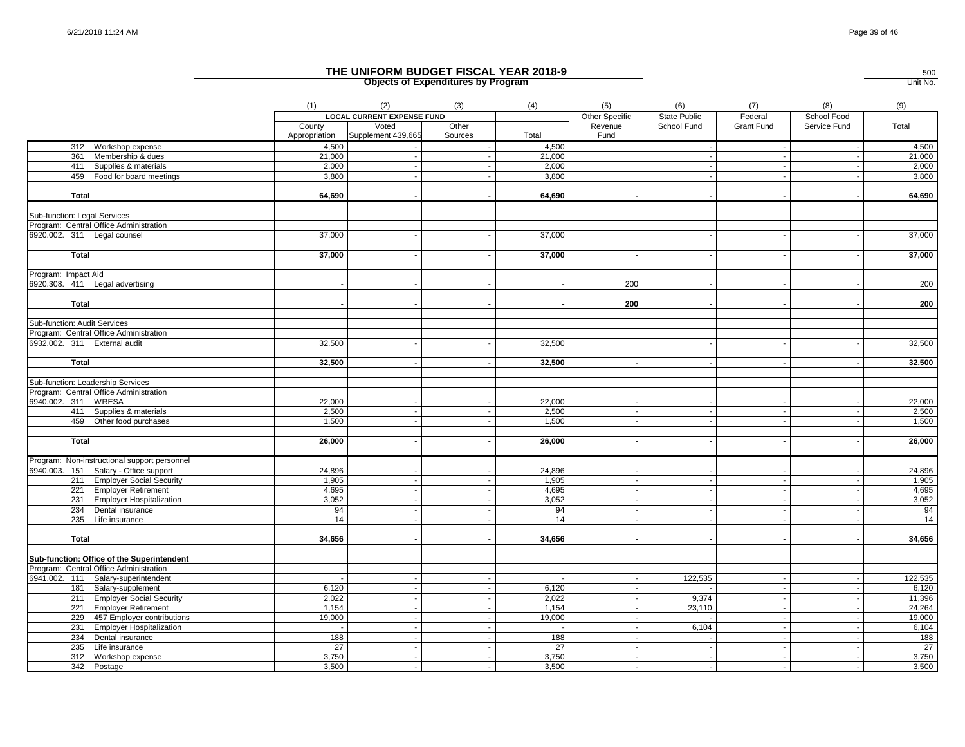|                                              | (1)           | (2)                               | (3)            | (4)             | (5)                      | (6)          | (7)        | (8)                      | (9)     |
|----------------------------------------------|---------------|-----------------------------------|----------------|-----------------|--------------------------|--------------|------------|--------------------------|---------|
|                                              |               | <b>LOCAL CURRENT EXPENSE FUND</b> |                |                 | Other Specific           | State Public | Federal    | School Food              |         |
|                                              | County        | Voted                             | Other          |                 | Revenue                  | School Fund  | Grant Fund | Service Fund             | Total   |
|                                              | Appropriation | Supplement 439,665                | Sources        | Total           | Fund                     |              |            |                          |         |
| 312 Workshop expense                         | 4,500         |                                   |                | 4,500           |                          |              |            |                          | 4,500   |
| 361 Membership & dues                        | 21,000        |                                   |                | 21,000          |                          |              |            |                          | 21,000  |
| 411 Supplies & materials                     | 2,000         |                                   |                | 2,000           |                          |              |            |                          | 2,000   |
| 459 Food for board meetings                  | 3,800         |                                   |                | 3,800           |                          |              |            |                          | 3,800   |
|                                              |               |                                   |                |                 |                          |              |            |                          |         |
| <b>Total</b>                                 | 64,690        |                                   |                | 64,690          |                          |              |            |                          | 64,690  |
|                                              |               |                                   |                |                 |                          |              |            |                          |         |
| Sub-function: Legal Services                 |               |                                   |                |                 |                          |              |            |                          |         |
| Program: Central Office Administration       |               |                                   |                |                 |                          |              |            |                          |         |
| 6920.002. 311 Legal counsel                  | 37,000        |                                   |                | 37,000          |                          |              |            |                          | 37,000  |
|                                              |               |                                   |                |                 |                          |              |            |                          |         |
| <b>Total</b>                                 | 37,000        |                                   |                | 37,000          |                          |              |            |                          | 37,000  |
|                                              |               |                                   |                |                 |                          |              |            |                          |         |
| Program: Impact Aid                          |               |                                   |                |                 |                          |              |            |                          |         |
| 6920.308. 411 Legal advertising              |               |                                   |                |                 | 200                      |              |            |                          | 200     |
|                                              |               |                                   |                |                 |                          |              |            |                          |         |
| <b>Total</b>                                 |               |                                   |                |                 | $\overline{200}$         |              |            |                          | 200     |
|                                              |               |                                   |                |                 |                          |              |            |                          |         |
| Sub-function: Audit Services                 |               |                                   |                |                 |                          |              |            |                          |         |
| Program: Central Office Administration       |               |                                   |                |                 |                          |              |            |                          |         |
| 6932.002. 311 External audit                 | 32,500        |                                   |                | 32,500          |                          |              |            |                          | 32,500  |
| Total                                        | 32,500        |                                   |                | 32,500          |                          |              |            |                          |         |
|                                              |               |                                   |                |                 |                          |              |            |                          | 32,500  |
| Sub-function: Leadership Services            |               |                                   |                |                 |                          |              |            |                          |         |
| Program: Central Office Administration       |               |                                   |                |                 |                          |              |            |                          |         |
| 6940.002. 311 WRESA                          | 22,000        |                                   |                | 22,000          | $\overline{\phantom{a}}$ | $\sim$       |            |                          | 22,000  |
| 411 Supplies & materials                     | 2,500         |                                   |                | 2,500           | $\overline{\phantom{a}}$ | $\sim$       |            |                          | 2,500   |
| 459 Other food purchases                     | 1,500         |                                   |                | 1,500           | $\sim$                   | $\sim$       |            |                          | 1,500   |
|                                              |               |                                   |                |                 |                          |              |            |                          |         |
| <b>Total</b>                                 | 26,000        |                                   |                | 26,000          | $\sim$                   | $\sim$       |            |                          | 26,000  |
|                                              |               |                                   |                |                 |                          |              |            |                          |         |
| Program: Non-instructional support personnel |               |                                   |                |                 |                          |              |            |                          |         |
| 6940.003. 151 Salary - Office support        | 24,896        |                                   |                | 24,896          | $\overline{\phantom{a}}$ |              |            |                          | 24,896  |
| 211 Employer Social Security                 | 1,905         |                                   |                | 1.905           | $\overline{\phantom{a}}$ |              |            |                          | 1,905   |
| 221 Employer Retirement                      | 4,695         |                                   |                | 4,695           | $\overline{\phantom{a}}$ | $\sim$       |            |                          | 4,695   |
| 231 Employer Hospitalization                 | 3,052         |                                   |                | 3,052           |                          |              |            |                          | 3,052   |
| 234 Dental insurance                         | 94            |                                   |                | 94              | $\sim$                   |              |            |                          | 94      |
| 235 Life insurance                           | 14            |                                   |                | 14              |                          |              |            |                          | 14      |
|                                              |               |                                   |                |                 |                          |              |            |                          |         |
| <b>Total</b>                                 | 34,656        |                                   |                | 34,656          |                          |              |            |                          | 34,656  |
|                                              |               |                                   |                |                 |                          |              |            |                          |         |
| Sub-function: Office of the Superintendent   |               |                                   |                |                 |                          |              |            |                          |         |
| Program: Central Office Administration       |               |                                   |                |                 |                          |              |            |                          |         |
| 6941.002. 111 Salary-superintendent          |               |                                   | $\blacksquare$ |                 | $\overline{\phantom{a}}$ | 122,535      |            | $\overline{\phantom{a}}$ | 122,535 |
| 181 Salary-supplement                        | 6,120         |                                   |                | 6,120           |                          |              |            |                          | 6,120   |
| 211 Employer Social Security                 | 2,022         |                                   |                | 2,022           | $\sim$                   | 9,374        |            |                          | 11,396  |
| 221 Employer Retirement                      | 1,154         | $\sim$                            | $\sim$         | 1,154           | $\sim$                   | 23,110       | $\sim$     | $\overline{\phantom{a}}$ | 24,264  |
| 229 457 Employer contributions               | 19,000        | $\sim$                            | $\sim$         | 19,000          | $\sim$                   |              | $\sim$     | $\sim$                   | 19,000  |
| 231 Employer Hospitalization                 |               |                                   |                |                 | $\sim$                   | 6,104        |            |                          | 6,104   |
| 234 Dental insurance                         | 188           |                                   |                | 188             | $\sim$                   |              |            |                          | 188     |
| 235 Life insurance                           | 27            |                                   |                | $\overline{27}$ | $\sim$                   |              |            |                          | 27      |
| 312 Workshop expense                         | 3,750         |                                   |                | 3,750           | $\overline{\phantom{a}}$ | $\sim$       |            |                          | 3,750   |
| 342 Postage                                  | 3,500         |                                   |                | 3,500           | $\overline{\phantom{a}}$ |              |            |                          | 3,500   |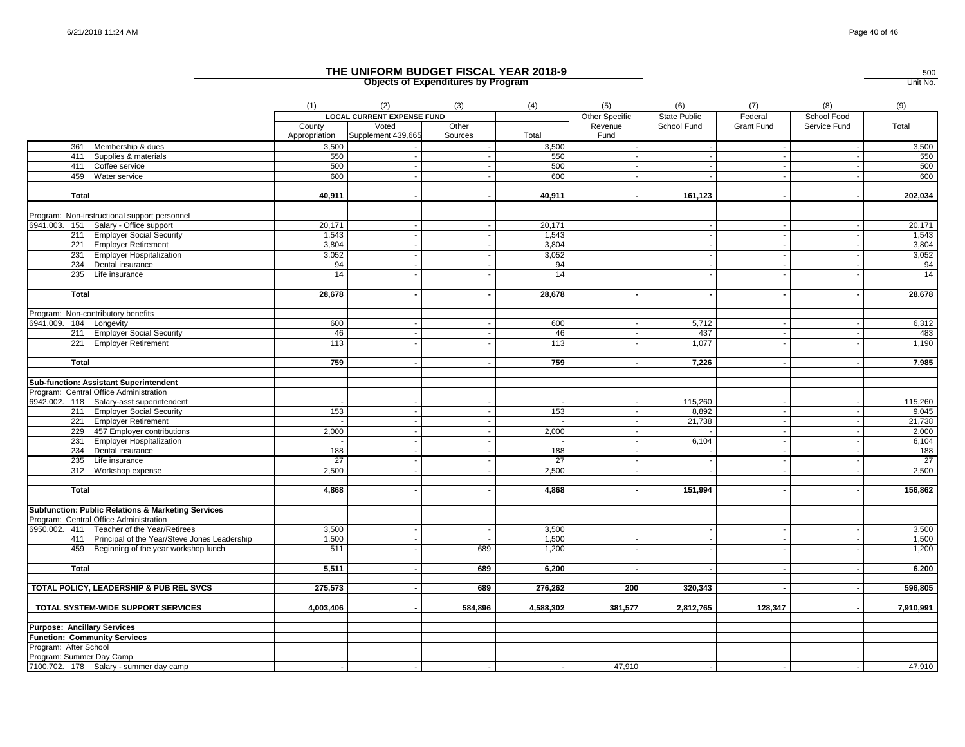|                                                               | (1)                     | (2)                               | (3)              | (4)       | (5)                      | (6)                      | (7)               | (8)                      | (9)       |
|---------------------------------------------------------------|-------------------------|-----------------------------------|------------------|-----------|--------------------------|--------------------------|-------------------|--------------------------|-----------|
|                                                               |                         | <b>LOCAL CURRENT EXPENSE FUND</b> |                  |           | <b>Other Specific</b>    | <b>State Public</b>      | Federal           | School Food              |           |
|                                                               | County<br>Appropriation | Voted<br>Supplement 439,665       | Other<br>Sources | Total     | Revenue<br>Fund          | School Fund              | <b>Grant Fund</b> | Service Fund             | Total     |
| 361 Membership & dues                                         | 3,500                   |                                   |                  | 3,500     |                          |                          |                   | $\overline{\phantom{a}}$ | 3,500     |
| 411 Supplies & materials                                      | 550                     |                                   |                  | 550       |                          |                          |                   |                          | 550       |
| 411 Coffee service                                            | 500                     |                                   |                  | 500       |                          |                          |                   |                          | 500       |
| 459 Water service                                             | 600                     |                                   |                  | 600       |                          |                          |                   |                          | 600       |
| <b>Total</b>                                                  | 40,911                  |                                   |                  | 40,911    |                          | 161,123                  |                   |                          | 202,034   |
| Program: Non-instructional support personnel                  |                         |                                   |                  |           |                          |                          |                   |                          |           |
| 6941.003.<br>151 Salary - Office support                      | 20,171                  |                                   |                  | 20,171    |                          |                          | $\sim$            |                          | 20,171    |
| 211 Employer Social Security                                  | 1,543                   |                                   |                  | 1,543     |                          |                          |                   |                          | 1,543     |
| 221 Employer Retirement                                       | 3,804                   |                                   |                  | 3,804     |                          |                          |                   |                          | 3,804     |
| 231 Employer Hospitalization                                  | 3,052                   |                                   |                  | 3,052     |                          |                          |                   |                          | 3,052     |
| 234 Dental insurance                                          | 94                      |                                   |                  | 94        |                          |                          |                   |                          | 94        |
| $235$ Life insurance                                          | 14                      |                                   |                  | 14        |                          |                          |                   |                          | 14        |
|                                                               |                         | $\sim$                            |                  |           |                          | $\overline{\phantom{a}}$ | $\sim$            | $\sim$                   |           |
| Total                                                         | 28,678                  |                                   |                  | 28,678    |                          |                          |                   |                          | 28,678    |
| Program: Non-contributory benefits                            |                         |                                   |                  |           |                          |                          |                   |                          |           |
| 6941.009. 184 Longevity                                       | 600                     |                                   |                  | 600       |                          | 5,712                    |                   |                          | 6,312     |
| 211 Employer Social Security                                  | 46                      |                                   |                  | 46        |                          | 437                      | $\sim$            |                          | 483       |
| 221 Employer Retirement                                       | 113                     |                                   |                  | 113       |                          | 1,077                    |                   |                          | 1,190     |
| <b>Total</b>                                                  | 759                     |                                   |                  | 759       |                          | 7,226                    |                   |                          | 7,985     |
|                                                               |                         |                                   |                  |           |                          |                          |                   |                          |           |
| Sub-function: Assistant Superintendent                        |                         |                                   |                  |           |                          |                          |                   |                          |           |
| Program: Central Office Administration                        |                         |                                   |                  |           |                          |                          |                   |                          |           |
| 6942.002. 118 Salary-asst superintendent                      |                         | $\sim$                            |                  |           |                          | 115,260                  | $\sim$            | $\sim$                   | 115,260   |
| 211 Employer Social Security                                  | 153                     |                                   |                  | 153       |                          | 8,892                    | $\sim$            | $\blacksquare$           | 9,045     |
| 221 Employer Retirement                                       |                         |                                   |                  |           |                          | 21,738                   | $\sim$            |                          | 21,738    |
| 229 457 Employer contributions                                | 2,000                   |                                   |                  | 2,000     |                          |                          |                   |                          | 2,000     |
| 231 Employer Hospitalization                                  |                         | $\sim$                            |                  |           | $\overline{\phantom{a}}$ | 6,104                    | $\sim$            | $\sim$                   | 6,104     |
| 234 Dental insurance                                          | 188                     |                                   |                  | 188       |                          |                          |                   |                          | 188       |
| 235 Life insurance                                            | 27                      |                                   |                  | 27        |                          |                          |                   |                          | 27        |
| 312 Workshop expense                                          | 2,500                   |                                   |                  | 2,500     |                          |                          |                   |                          | 2,500     |
| <b>Total</b>                                                  | 4,868                   |                                   |                  | 4,868     |                          | 151,994                  |                   |                          | 156,862   |
|                                                               |                         |                                   |                  |           |                          |                          |                   |                          |           |
| <b>Subfunction: Public Relations &amp; Marketing Services</b> |                         |                                   |                  |           |                          |                          |                   |                          |           |
| Program: Central Office Administration                        |                         |                                   |                  |           |                          |                          |                   |                          |           |
| 6950.002. 411 Teacher of the Year/Retirees                    | 3,500                   |                                   |                  | 3,500     |                          |                          |                   |                          | 3,500     |
| 411 Principal of the Year/Steve Jones Leadership              | 1,500                   | $\sim$                            |                  | 1,500     | $\overline{\phantom{a}}$ | $\overline{\phantom{a}}$ |                   |                          | 1,500     |
| 459 Beginning of the year workshop lunch                      | 511                     |                                   | 689              | 1,200     |                          |                          | $\sim$            |                          | 1,200     |
| <b>Total</b>                                                  | 5,511                   |                                   | 689              | 6,200     |                          |                          | $\sim$            |                          | 6,200     |
|                                                               |                         |                                   |                  |           |                          |                          |                   |                          |           |
| TOTAL POLICY, LEADERSHIP & PUB REL SVCS                       | 275,573                 |                                   | 689              | 276,262   | 200                      | 320,343                  |                   | $\blacksquare$           | 596,805   |
| TOTAL SYSTEM-WIDE SUPPORT SERVICES                            | 4,003,406               |                                   | 584,896          | 4,588,302 | 381,577                  | 2,812,765                | 128,347           |                          | 7,910,991 |
| <b>Purpose: Ancillary Services</b>                            |                         |                                   |                  |           |                          |                          |                   |                          |           |
| <b>Function: Community Services</b>                           |                         |                                   |                  |           |                          |                          |                   |                          |           |
| Program: After School                                         |                         |                                   |                  |           |                          |                          |                   |                          |           |
| Program: Summer Day Camp                                      |                         |                                   |                  |           |                          |                          |                   |                          |           |
| 7100.702. 178 Salary - summer day camp                        |                         |                                   |                  |           | 47,910                   |                          |                   |                          | 47,910    |
|                                                               |                         |                                   |                  |           |                          |                          |                   |                          |           |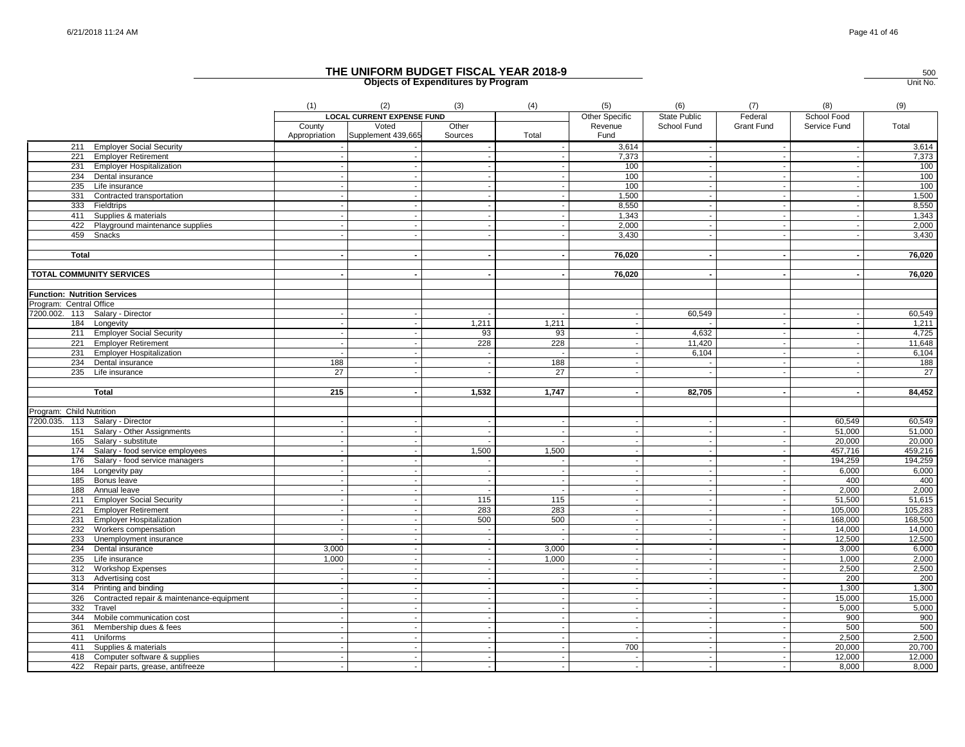|                                                         | (1)             | (2)                               | (3)                      | (4)                                | (5)                      | (6)                                | (7)               | (8)                      | (9)     |
|---------------------------------------------------------|-----------------|-----------------------------------|--------------------------|------------------------------------|--------------------------|------------------------------------|-------------------|--------------------------|---------|
|                                                         |                 | <b>LOCAL CURRENT EXPENSE FUND</b> |                          |                                    | Other Specific           | <b>State Public</b>                | Federal           | School Food              |         |
|                                                         | County          | Voted                             | Other                    |                                    | Revenue                  | School Fund                        | <b>Grant Fund</b> | Service Fund             | Total   |
|                                                         | Appropriation   | Supplement 439,665                | Sources                  | Total                              | Fund                     |                                    |                   |                          |         |
| 211 Employer Social Security                            |                 |                                   |                          |                                    | 3,614                    | $\sim$                             | $\sim$            | $\overline{\phantom{a}}$ | 3,614   |
| 221 Employer Retirement                                 |                 |                                   |                          |                                    | 7,373                    | $\sim$                             | $\sim$            | $\sim$                   | 7,373   |
| 231 Employer Hospitalization                            |                 |                                   |                          |                                    | 100                      |                                    |                   |                          | 100     |
| 234 Dental insurance                                    |                 |                                   |                          | $\sim$                             | 100                      | $\sim$                             |                   |                          | 100     |
| 235 Life insurance                                      |                 |                                   | $\sim$                   | $\sim$                             | 100                      | $\sim$                             | $\sim$            | $\overline{\phantom{a}}$ | 100     |
| 331 Contracted transportation                           |                 |                                   |                          |                                    | 1,500                    |                                    |                   |                          | 1,500   |
| 333 Fieldtrips                                          |                 |                                   |                          | $\sim$                             | 8,550                    | $\sim$                             |                   |                          | 8,550   |
| 411 Supplies & materials                                |                 |                                   | $\overline{\phantom{a}}$ | $\sim$                             | 1,343                    | $\sim$                             | $\blacksquare$    | $\overline{\phantom{a}}$ | 1,343   |
| 422 Playground maintenance supplies                     |                 |                                   |                          |                                    | 2,000                    | $\sim$                             |                   | $\sim$                   | 2,000   |
| 459 Snacks                                              |                 |                                   |                          |                                    | 3,430                    |                                    |                   |                          | 3,430   |
|                                                         |                 |                                   |                          |                                    |                          |                                    |                   |                          |         |
| <b>Total</b>                                            |                 |                                   |                          |                                    | 76,020                   |                                    |                   | $\overline{\phantom{a}}$ | 76,020  |
|                                                         |                 |                                   |                          |                                    |                          |                                    |                   |                          |         |
| <b>TOTAL COMMUNITY SERVICES</b>                         |                 |                                   |                          |                                    | 76,020                   | $\overline{\phantom{a}}$           |                   |                          | 76,020  |
|                                                         |                 |                                   |                          |                                    |                          |                                    |                   |                          |         |
| <b>Function: Nutrition Services</b>                     |                 |                                   |                          |                                    |                          |                                    |                   |                          |         |
| Program: Central Office                                 |                 |                                   |                          |                                    |                          |                                    |                   |                          |         |
| 7200.002. 113 Salary - Director                         |                 |                                   |                          |                                    |                          | 60,549                             |                   |                          | 60,549  |
| 184 Longevity                                           |                 |                                   | 1,211                    | 1,211                              |                          |                                    | $\sim$            | $\overline{\phantom{a}}$ | 1,211   |
| 211 Employer Social Security                            |                 |                                   | 93                       | 93                                 | $\overline{\phantom{a}}$ | 4,632                              | $\overline{a}$    | $\sim$                   | 4,725   |
| 221 Employer Retirement                                 |                 |                                   | 228                      | 228                                |                          | 11,420                             |                   | $\overline{\phantom{a}}$ | 11,648  |
| 231 Employer Hospitalization                            |                 |                                   |                          |                                    |                          | 6,104                              |                   | $\overline{\phantom{a}}$ | 6,104   |
| 234 Dental insurance                                    | 188             |                                   |                          | 188                                |                          | $\sim$                             |                   | $\overline{\phantom{a}}$ | 188     |
| 235<br>Life insurance                                   | $\overline{27}$ |                                   |                          | $\overline{27}$                    |                          |                                    |                   |                          | $^{27}$ |
|                                                         |                 |                                   |                          |                                    |                          |                                    |                   |                          |         |
| <b>Total</b>                                            | 215             |                                   | 1,532                    | 1,747                              |                          | 82,705                             |                   | $\overline{\phantom{a}}$ | 84,452  |
|                                                         |                 |                                   |                          |                                    |                          |                                    |                   |                          |         |
| Program: Child Nutrition                                |                 |                                   |                          |                                    |                          |                                    |                   |                          |         |
| 7200.035. 113 Salary - Director                         |                 |                                   |                          |                                    |                          | $\sim$                             |                   | 60,549                   | 60,549  |
| Salary - Other Assignments<br>151                       |                 |                                   |                          |                                    |                          | $\overline{\phantom{a}}$           |                   | 51,000                   | 51,000  |
| 165<br>Salary - substitute                              |                 |                                   |                          |                                    |                          | $\sim$                             |                   | 20.000                   | 20,000  |
| 174<br>Salary - food service employees                  |                 |                                   | 1,500                    | 1,500                              |                          |                                    |                   | 457,716                  | 459,216 |
| 176<br>Salary - food service managers                   |                 |                                   |                          |                                    |                          |                                    |                   | 194,259                  | 194,259 |
| 184<br>Longevity pay                                    |                 |                                   | $\sim$                   | $\sim$                             | $\overline{\phantom{a}}$ | $\sim$                             | $\sim$            | 6,000                    | 6,000   |
| 185<br>Bonus leave                                      |                 |                                   |                          | $\sim$                             |                          | $\sim$                             |                   | 400                      | 400     |
| 188<br>Annual leave                                     |                 |                                   |                          | $\sim$                             | $\overline{\phantom{a}}$ | $\sim$                             | $\sim$            | 2,000                    | 2,000   |
| 211 Employer Social Security                            |                 |                                   | 115                      | 115                                |                          | $\overline{\phantom{a}}$           | $\blacksquare$    | 51,500                   | 51,615  |
| 221 Employer Retirement                                 |                 |                                   | 283                      | 283                                | $\sim$                   | $\sim$                             | $\sim$            | 105,000                  | 105,283 |
| 231 Employer Hospitalization                            |                 |                                   | 500                      | 500                                |                          | $\overline{\phantom{a}}$           |                   | 168,000                  | 168,500 |
| 232<br>Workers compensation                             |                 |                                   |                          | $\sim$                             | $\overline{\phantom{a}}$ | $\sim$                             |                   | 14,000                   | 14,000  |
|                                                         |                 |                                   |                          |                                    |                          | $\overline{\phantom{a}}$           |                   | 12,500                   | 12,500  |
| 233 Unemployment insurance<br>234<br>Dental insurance   | 3,000           |                                   |                          | 3,000                              | $\overline{\phantom{a}}$ | $\mathbf{r}$                       |                   | 3,000                    | 6,000   |
|                                                         | 1,000           |                                   |                          | 1,000                              |                          | $\sim$                             |                   | 1,000                    | 2,000   |
| 235 Life insurance<br>312 Workshop Expenses             |                 |                                   |                          | $\sim$                             | $\overline{\phantom{a}}$ | $\sim$                             |                   | 2,500                    | 2,500   |
| 313 Advertising cost                                    |                 |                                   | $\blacksquare$           | $\sim$                             | $\sim$                   | $\sim$                             | $\sim$            | 200                      | 200     |
|                                                         |                 |                                   |                          |                                    |                          |                                    |                   |                          |         |
| 314 Printing and binding                                |                 |                                   |                          |                                    | $\overline{\phantom{a}}$ |                                    | $\overline{a}$    | 1,300                    | 1,300   |
| 326<br>Contracted repair & maintenance-equipment<br>332 |                 |                                   |                          | $\sim$                             |                          | $\sim$                             |                   | 15,000                   | 15,000  |
| Travel                                                  |                 |                                   |                          | $\overline{\phantom{a}}$<br>$\sim$ | $\sim$                   | $\overline{\phantom{a}}$<br>$\sim$ | $\sim$            | 5,000                    | 5,000   |
| 344 Mobile communication cost                           |                 |                                   |                          |                                    |                          |                                    |                   | 900                      | 900     |
| 361 Membership dues & fees                              |                 |                                   |                          |                                    |                          | $\sim$                             |                   | 500                      | 500     |
| 411 Uniforms                                            |                 |                                   |                          |                                    |                          |                                    |                   | 2,500                    | 2,500   |
| 411 Supplies & materials                                |                 |                                   |                          |                                    | 700                      | $\sim$                             |                   | 20,000                   | 20,700  |
| 418 Computer software & supplies                        |                 |                                   |                          |                                    |                          |                                    |                   | 12,000                   | 12,000  |
| 422 Repair parts, grease, antifreeze                    |                 |                                   |                          | $\sim$                             | $\overline{\phantom{a}}$ | $\sim$                             |                   | 8.000                    | 8,000   |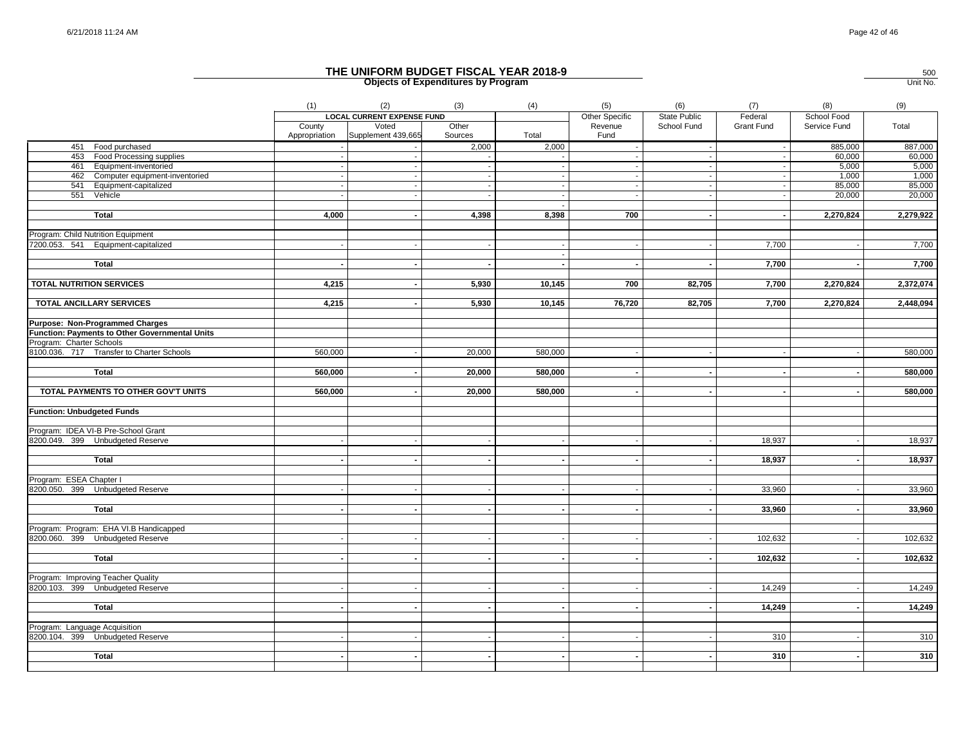|                                                | (1)                     | (2)                               | (3)              | (4)     | (5)                      | (6)                 | (7)        | (8)          | (9)       |
|------------------------------------------------|-------------------------|-----------------------------------|------------------|---------|--------------------------|---------------------|------------|--------------|-----------|
|                                                |                         | <b>LOCAL CURRENT EXPENSE FUND</b> |                  |         | Other Specific           | <b>State Public</b> | Federal    | School Food  |           |
|                                                | County<br>Appropriation | Voted<br>Supplement 439,665       | Other<br>Sources | Total   | Revenue<br>Fund          | School Fund         | Grant Fund | Service Fund | Total     |
| 451 Food purchased                             |                         |                                   | 2,000            | 2,000   | $\sim$                   |                     |            | 885,000      | 887,000   |
| 453 Food Processing supplies                   |                         |                                   |                  |         | $\sim$                   | $\sim$              |            | 60,000       | 60,000    |
| 461 Equipment-inventoried                      |                         |                                   |                  |         | $\overline{\phantom{a}}$ |                     |            | 5,000        | 5,000     |
| 462 Computer equipment-inventoried             |                         |                                   |                  | $\sim$  | $\sim$                   | $\sim$              |            | 1,000        | 1,000     |
| Equipment-capitalized<br>541                   |                         |                                   |                  |         | $\overline{\phantom{a}}$ |                     |            | 85,000       | 85,000    |
| 551<br>Vehicle                                 |                         |                                   |                  | $\sim$  | $\sim$                   | $\sim$              |            | 20,000       | 20,000    |
|                                                |                         |                                   |                  |         |                          |                     |            |              |           |
| <b>Total</b>                                   | 4,000                   |                                   | 4,398            | 8,398   | 700                      |                     |            | 2,270,824    | 2,279,922 |
| Program: Child Nutrition Equipment             |                         |                                   |                  |         |                          |                     |            |              |           |
| 7200.053. 541 Equipment-capitalized            |                         |                                   |                  |         |                          |                     | 7,700      |              | 7,700     |
|                                                |                         |                                   |                  |         |                          |                     |            |              |           |
| <b>Total</b>                                   |                         |                                   |                  |         | $\sim$                   | $\blacksquare$      | 7,700      |              | 7,700     |
|                                                |                         |                                   |                  |         |                          |                     |            |              |           |
| <b>TOTAL NUTRITION SERVICES</b>                | 4,215                   | $\sim$                            | 5,930            | 10,145  | 700                      | 82,705              | 7,700      | 2,270,824    | 2,372,074 |
| <b>TOTAL ANCILLARY SERVICES</b>                | 4,215                   |                                   | 5,930            | 10,145  | 76,720                   | 82,705              | 7,700      | 2,270,824    | 2,448,094 |
|                                                |                         |                                   |                  |         |                          |                     |            |              |           |
| Purpose: Non-Programmed Charges                |                         |                                   |                  |         |                          |                     |            |              |           |
| Function: Payments to Other Governmental Units |                         |                                   |                  |         |                          |                     |            |              |           |
| Program: Charter Schools                       |                         |                                   |                  |         |                          |                     |            |              |           |
| 8100.036. 717 Transfer to Charter Schools      | 560,000                 |                                   | 20,000           | 580,000 |                          |                     |            |              | 580,000   |
|                                                |                         |                                   |                  |         |                          |                     |            |              |           |
| <b>Total</b>                                   | 560,000                 |                                   | 20,000           | 580,000 | $\overline{\phantom{a}}$ | $\sim$              |            |              | 580,000   |
| TOTAL PAYMENTS TO OTHER GOV'T UNITS            | 560,000                 |                                   | 20,000           | 580,000 | $\sim$                   |                     |            |              | 580,000   |
|                                                |                         |                                   |                  |         |                          |                     |            |              |           |
| <b>Function: Unbudgeted Funds</b>              |                         |                                   |                  |         |                          |                     |            |              |           |
|                                                |                         |                                   |                  |         |                          |                     |            |              |           |
| Program: IDEA VI-B Pre-School Grant            |                         |                                   |                  |         |                          |                     |            |              |           |
| 8200.049. 399 Unbudgeted Reserve               |                         |                                   |                  |         |                          |                     | 18,937     |              | 18,937    |
| <b>Total</b>                                   |                         |                                   |                  |         |                          |                     | 18,937     |              |           |
|                                                |                         |                                   |                  |         |                          |                     |            |              | 18,937    |
| Program: ESEA Chapter I                        |                         |                                   |                  |         |                          |                     |            |              |           |
| 8200.050. 399 Unbudgeted Reserve               |                         |                                   |                  |         |                          |                     | 33,960     |              | 33,960    |
|                                                |                         |                                   |                  |         |                          |                     |            |              |           |
| <b>Total</b>                                   |                         |                                   |                  |         |                          |                     | 33,960     |              | 33,960    |
|                                                |                         |                                   |                  |         |                          |                     |            |              |           |
| Program: Program: EHA VI.B Handicapped         |                         |                                   |                  |         |                          |                     |            |              |           |
| 8200.060. 399 Unbudgeted Reserve               |                         |                                   |                  |         |                          |                     | 102,632    |              | 102,632   |
|                                                |                         |                                   |                  |         |                          |                     |            |              |           |
| <b>Total</b>                                   |                         |                                   |                  |         |                          |                     | 102,632    |              | 102,632   |
| Program: Improving Teacher Quality             |                         |                                   |                  |         |                          |                     |            |              |           |
| 8200.103. 399 Unbudgeted Reserve               |                         |                                   |                  |         | $\overline{\phantom{a}}$ |                     | 14,249     |              | 14,249    |
|                                                |                         |                                   |                  |         |                          |                     |            |              |           |
| <b>Total</b>                                   |                         |                                   |                  |         | $\overline{a}$           |                     | 14,249     |              | 14,249    |
|                                                |                         |                                   |                  |         |                          |                     |            |              |           |
| Program: Language Acquisition                  |                         |                                   |                  |         |                          |                     |            |              |           |
| 8200.104. 399 Unbudgeted Reserve               |                         |                                   |                  |         |                          |                     | 310        |              | 310       |
|                                                |                         |                                   |                  |         |                          |                     |            |              |           |
| <b>Total</b>                                   |                         | $\sim$                            | $\blacksquare$   | $\sim$  | $\blacksquare$           |                     | 310        |              | 310       |
|                                                |                         |                                   |                  |         |                          |                     |            |              |           |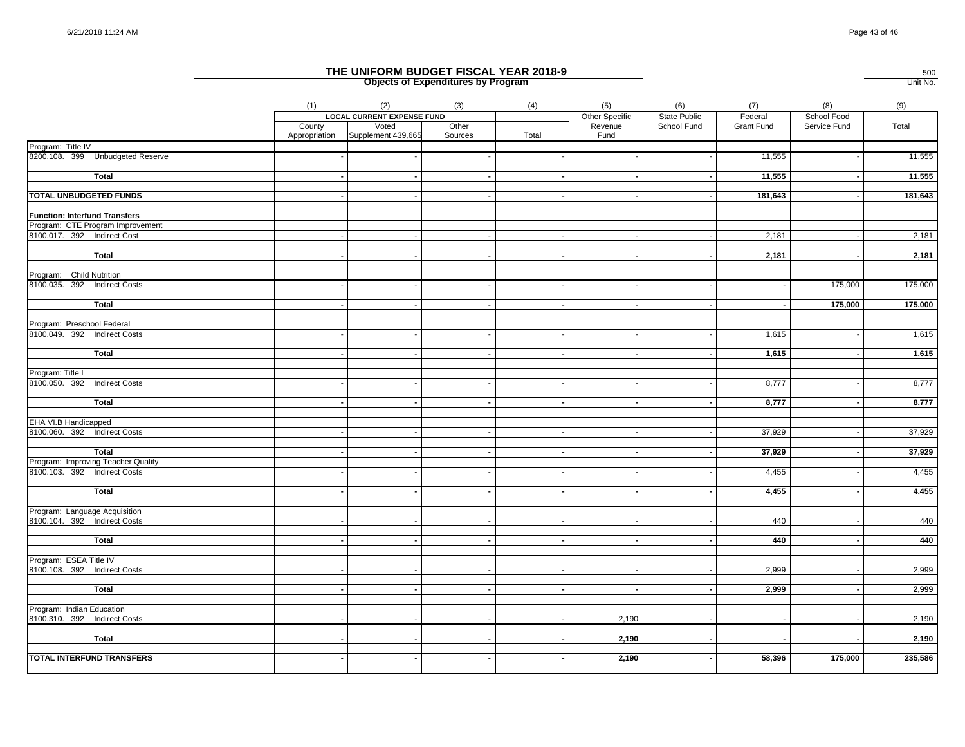|                                                                    | (1)    | (2)                                       | (3)              | (4)    | (5)                      | (6)          | (7)               | (8)          | (9)     |
|--------------------------------------------------------------------|--------|-------------------------------------------|------------------|--------|--------------------------|--------------|-------------------|--------------|---------|
|                                                                    |        | <b>LOCAL CURRENT EXPENSE FUND</b>         |                  |        | Other Specific           | State Public | Federal           | School Food  |         |
|                                                                    | County | Voted<br>Appropriation Supplement 439,665 | Other<br>Sources | Total  | Revenue<br>Fund          | School Fund  | <b>Grant Fund</b> | Service Fund | Total   |
| Program: Title IV                                                  |        |                                           |                  |        |                          |              |                   |              |         |
| 8200.108. 399 Unbudgeted Reserve                                   |        |                                           |                  |        |                          | $\sim$       | 11,555            | $\sim$       | 11,555  |
| <b>Total</b>                                                       |        |                                           |                  |        |                          |              | 11,555            |              | 11,555  |
|                                                                    |        |                                           |                  |        |                          |              |                   |              |         |
| TOTAL UNBUDGETED FUNDS                                             |        |                                           |                  |        |                          |              | 181,643           |              | 181,643 |
| <b>Function: Interfund Transfers</b>                               |        |                                           |                  |        |                          |              |                   |              |         |
| Program: CTE Program Improvement                                   |        |                                           |                  |        |                          |              |                   |              |         |
| 8100.017. 392 Indirect Cost                                        |        |                                           |                  |        |                          |              | 2,181             |              | 2,181   |
|                                                                    |        |                                           |                  |        |                          |              |                   |              |         |
| Total                                                              |        |                                           |                  |        |                          |              | 2,181             |              | 2,181   |
| Program: Child Nutrition                                           |        |                                           |                  |        |                          |              |                   |              |         |
| 8100.035. 392 Indirect Costs                                       |        |                                           |                  |        |                          |              |                   | 175,000      | 175,000 |
| Total                                                              |        |                                           |                  |        |                          |              |                   | 175,000      | 175,000 |
|                                                                    |        |                                           |                  |        |                          |              |                   |              |         |
| Program: Preschool Federal                                         |        |                                           |                  |        |                          |              |                   |              |         |
| 8100.049. 392 Indirect Costs                                       |        |                                           |                  |        | $\overline{\phantom{a}}$ | $\sim$       | 1,615             |              | 1,615   |
|                                                                    |        |                                           |                  |        |                          |              |                   |              |         |
| <b>Total</b>                                                       |        |                                           |                  |        |                          |              | 1,615             |              | 1,615   |
| Program: Title I                                                   |        |                                           |                  |        |                          |              |                   |              |         |
| 8100.050. 392 Indirect Costs                                       |        |                                           |                  |        |                          |              | 8,777             |              | 8,777   |
|                                                                    |        |                                           |                  |        |                          |              |                   |              |         |
| Total                                                              |        |                                           |                  | $\sim$ | $\overline{\phantom{a}}$ | $\sim$       | 8,777             |              | 8,777   |
| EHA VI.B Handicapped                                               |        |                                           |                  |        |                          |              |                   |              |         |
| 8100.060. 392 Indirect Costs                                       |        |                                           |                  |        |                          |              | 37,929            |              | 37,929  |
|                                                                    |        |                                           |                  |        |                          |              |                   |              |         |
| <b>Total</b>                                                       |        |                                           |                  |        |                          |              | 37,929            |              | 37,929  |
| Program: Improving Teacher Quality<br>8100.103. 392 Indirect Costs |        |                                           |                  | $\sim$ | $\overline{\phantom{a}}$ | $\sim$       | 4,455             |              | 4,455   |
|                                                                    |        |                                           |                  |        |                          |              |                   |              |         |
| <b>Total</b>                                                       |        |                                           |                  |        | $\overline{\phantom{a}}$ |              | 4,455             |              | 4,455   |
|                                                                    |        |                                           |                  |        |                          |              |                   |              |         |
| Program: Language Acquisition                                      |        |                                           |                  |        |                          |              |                   |              |         |
| 8100.104. 392 Indirect Costs                                       |        |                                           |                  |        |                          |              | 440               |              | 440     |
| <b>Total</b>                                                       |        |                                           |                  |        | $\overline{\phantom{a}}$ |              | 440               |              | 440     |
|                                                                    |        |                                           |                  |        |                          |              |                   |              |         |
| Program: ESEA Title IV                                             |        |                                           |                  |        |                          |              |                   |              |         |
| 8100.108. 392 Indirect Costs                                       |        |                                           |                  |        |                          |              | 2,999             |              | 2,999   |
| <b>Total</b>                                                       |        |                                           |                  |        |                          |              | 2,999             |              | 2,999   |
|                                                                    |        |                                           |                  |        |                          |              |                   |              |         |
| Program: Indian Education                                          |        |                                           |                  |        |                          |              |                   |              |         |
| 8100.310. 392 Indirect Costs                                       |        |                                           |                  |        | 2,190                    |              |                   |              | 2,190   |
| <b>Total</b>                                                       |        |                                           |                  |        | 2,190                    |              |                   |              | 2,190   |
|                                                                    |        |                                           |                  |        |                          |              |                   |              |         |
| <b>TOTAL INTERFUND TRANSFERS</b>                                   |        |                                           |                  |        | 2,190                    | $\sim$       | 58,396            | 175,000      | 235,586 |
|                                                                    |        |                                           |                  |        |                          |              |                   |              |         |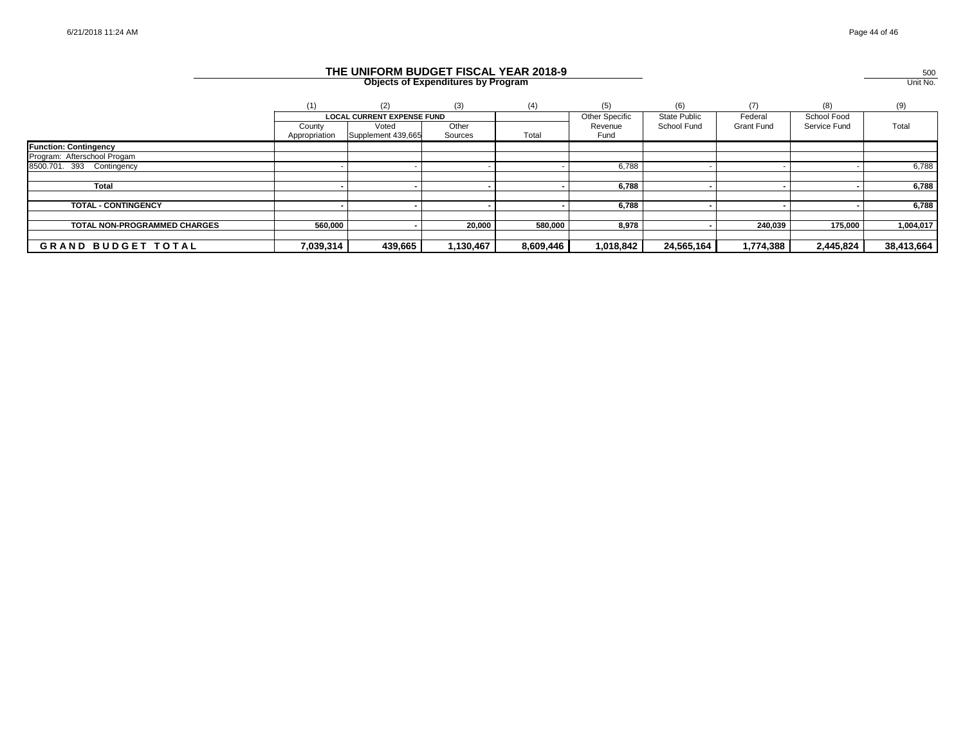|               | (2)     | (3)                           | (4)                                         | (5)                   |                     | (7)               | (8)          | (9)        |
|---------------|---------|-------------------------------|---------------------------------------------|-----------------------|---------------------|-------------------|--------------|------------|
|               |         |                               |                                             | <b>Other Specific</b> | <b>State Public</b> | Federal           | School Food  |            |
| County        | Voted   | Other                         |                                             | Revenue               | School Fund         | <b>Grant Fund</b> | Service Fund | Total      |
| Appropriation |         | Sources                       |                                             | Fund                  |                     |                   |              |            |
|               |         |                               |                                             |                       |                     |                   |              |            |
|               |         |                               |                                             |                       |                     |                   |              |            |
|               |         |                               |                                             | 6,788                 |                     |                   |              | 6,788      |
|               |         |                               |                                             |                       |                     |                   |              |            |
|               |         |                               |                                             | 6,788                 |                     |                   |              | 6,788      |
|               |         |                               |                                             |                       |                     |                   |              |            |
|               |         |                               |                                             |                       |                     |                   |              | 6,788      |
|               |         |                               |                                             |                       |                     |                   |              |            |
|               |         |                               |                                             |                       |                     |                   |              | 1,004,017  |
|               |         |                               |                                             |                       |                     |                   |              |            |
| 7,039,314     | 439,665 | 1,130,467                     | 8,609,446                                   | 1,018,842             | 24,565,164          | 1,774,388         | 2,445,824    | 38,413,664 |
|               |         | Supplement 439,665<br>560,000 | <b>LOCAL CURRENT EXPENSE FUND</b><br>20,000 | Total<br>580,000      | 6,788<br>8,978      |                   | 240,039      | 175,000    |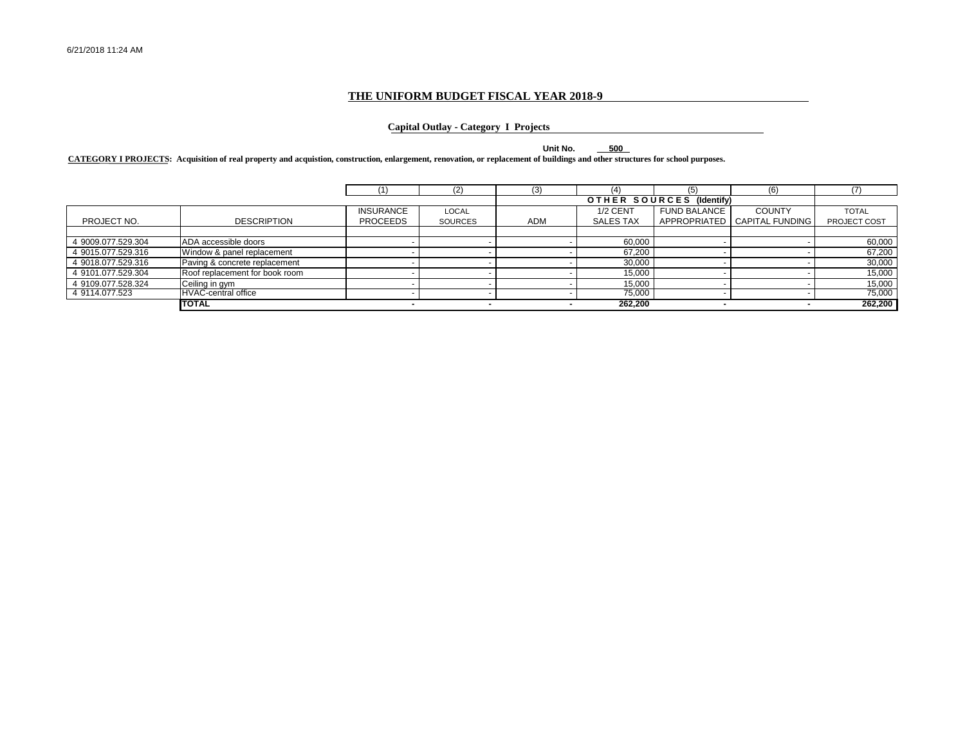#### **THE UNIFORM BUDGET FISCAL YEAR 2018-9**

#### **Capital Outlay - Category I Projects**

**Unit No. 500**

**CATEGORY I PROJECTS: Acquisition of real property and acquistion, construction, enlargement, renovation, or replacement of buildings and other structures for school purposes.**

|                    |                                |                  |                | (3)        |                  | (5)                      | (6)                    |              |
|--------------------|--------------------------------|------------------|----------------|------------|------------------|--------------------------|------------------------|--------------|
|                    |                                |                  |                |            |                  | OTHER SOURCES (Identify) |                        |              |
|                    |                                | <b>INSURANCE</b> | LOCAL          |            | 1/2 CENT         | <b>FUND BALANCE</b>      | <b>COUNTY</b>          | <b>TOTAL</b> |
| PROJECT NO.        | <b>DESCRIPTION</b>             | <b>PROCEEDS</b>  | <b>SOURCES</b> | <b>ADM</b> | <b>SALES TAX</b> | <b>APPROPRIATED</b>      | <b>CAPITAL FUNDING</b> | PROJECT COST |
|                    |                                |                  |                |            |                  |                          |                        |              |
| 4 9009.077.529.304 | ADA accessible doors           |                  |                |            | 60,000           |                          |                        | 60,000       |
| 4 9015.077.529.316 | Window & panel replacement     |                  |                |            | 67,200           |                          |                        | 67,200       |
| 4 9018.077.529.316 | Paving & concrete replacement  |                  |                |            | 30,000           |                          |                        | 30,000       |
| 4 9101.077.529.304 | Roof replacement for book room |                  |                |            | 15,000           |                          |                        | 15,000       |
| 4 9109.077.528.324 | Ceiling in gym                 |                  |                |            | 15.000           |                          |                        | 15,000       |
| 4 9114.077.523     | <b>HVAC-central office</b>     |                  |                |            | 75,000           |                          |                        | 75,000       |
|                    | <b>TOTAL</b>                   |                  |                |            | 262,200          |                          |                        | 262,200      |